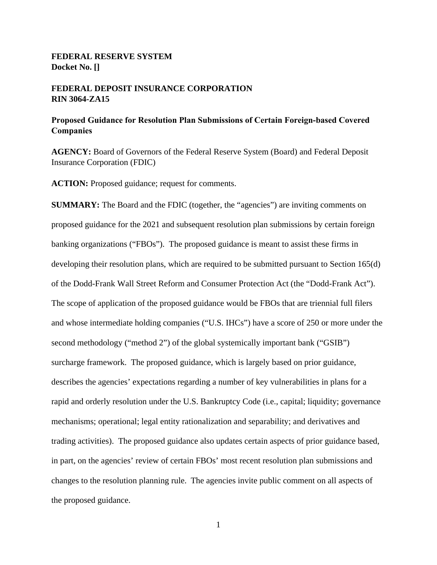# **FEDERAL RESERVE SYSTEM Docket No. []**

## **FEDERAL DEPOSIT INSURANCE CORPORATION RIN 3064-ZA15**

## **Proposed Guidance for Resolution Plan Submissions of Certain Foreign-based Covered Companies**

**AGENCY:** Board of Governors of the Federal Reserve System (Board) and Federal Deposit Insurance Corporation (FDIC)

**ACTION:** Proposed guidance; request for comments.

**SUMMARY:** The Board and the FDIC (together, the "agencies") are inviting comments on proposed guidance for the 2021 and subsequent resolution plan submissions by certain foreign banking organizations ("FBOs"). The proposed guidance is meant to assist these firms in developing their resolution plans, which are required to be submitted pursuant to Section 165(d) of the Dodd-Frank Wall Street Reform and Consumer Protection Act (the "Dodd-Frank Act"). The scope of application of the proposed guidance would be FBOs that are triennial full filers and whose intermediate holding companies ("U.S. IHCs") have a score of 250 or more under the second methodology ("method 2") of the global systemically important bank ("GSIB") surcharge framework. The proposed guidance, which is largely based on prior guidance, describes the agencies' expectations regarding a number of key vulnerabilities in plans for a rapid and orderly resolution under the U.S. Bankruptcy Code (i.e., capital; liquidity; governance mechanisms; operational; legal entity rationalization and separability; and derivatives and trading activities). The proposed guidance also updates certain aspects of prior guidance based, in part, on the agencies' review of certain FBOs' most recent resolution plan submissions and changes to the resolution planning rule. The agencies invite public comment on all aspects of the proposed guidance.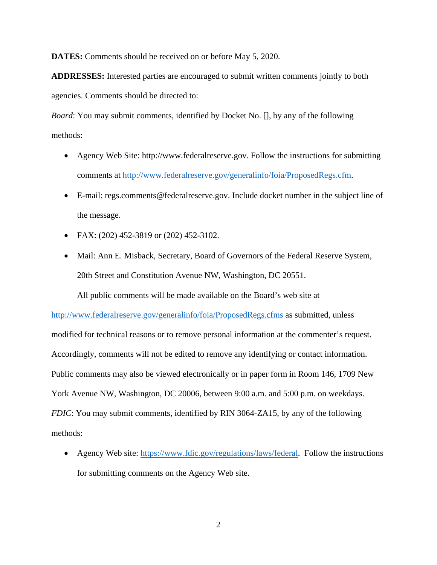**DATES:** Comments should be received on or before May 5, 2020.

**ADDRESSES:** Interested parties are encouraged to submit written comments jointly to both agencies. Comments should be directed to:

*Board*: You may submit comments, identified by Docket No. [], by any of the following methods:

- Agency Web Site: http://www.federalreserve.gov. Follow the instructions for submitting comments at http://www.federalreserve.gov/generalinfo/foia/ProposedRegs.cfm.
- E-mail: regs.comments@federalreserve.gov. Include docket number in the subject line of the message.
- FAX: (202) 452-3819 or (202) 452-3102.
- Mail: Ann E. Misback, Secretary, Board of Governors of the Federal Reserve System, 20th Street and Constitution Avenue NW, Washington, DC 20551.

All public comments will be made available on the Board's web site at

http://www.federalreserve.gov/generalinfo/foia/ProposedRegs.cfms as submitted, unless

modified for technical reasons or to remove personal information at the commenter's request. Accordingly, comments will not be edited to remove any identifying or contact information. Public comments may also be viewed electronically or in paper form in Room 146, 1709 New York Avenue NW, Washington, DC 20006, between 9:00 a.m. and 5:00 p.m. on weekdays. *FDIC*: You may submit comments, identified by RIN 3064-ZA15, by any of the following methods:

• Agency Web site: https://www.fdic.gov/regulations/laws/federal. Follow the instructions for submitting comments on the Agency Web site.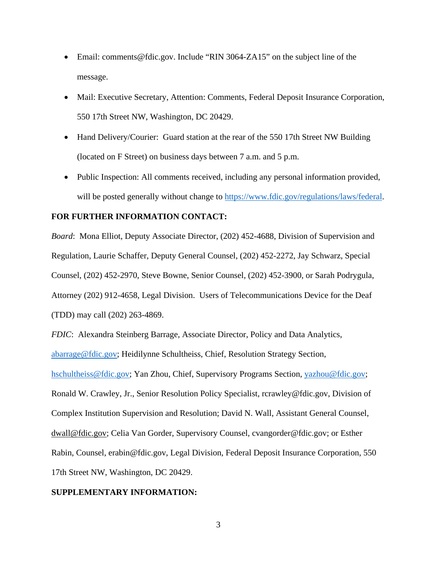- Email: comments@fdic.gov. Include "RIN 3064-ZA15" on the subject line of the message.
- Mail: Executive Secretary, Attention: Comments, Federal Deposit Insurance Corporation, 550 17th Street NW, Washington, DC 20429.
- Hand Delivery/Courier: Guard station at the rear of the 550 17th Street NW Building (located on F Street) on business days between 7 a.m. and 5 p.m.
- Public Inspection: All comments received, including any personal information provided, will be posted generally without change to https://www.fdic.gov/regulations/laws/federal.

## **FOR FURTHER INFORMATION CONTACT:**

*Board*: Mona Elliot, Deputy Associate Director, (202) 452-4688, Division of Supervision and Regulation, Laurie Schaffer, Deputy General Counsel, (202) 452-2272, Jay Schwarz, Special Counsel, (202) 452-2970, Steve Bowne, Senior Counsel, (202) 452-3900, or Sarah Podrygula, Attorney (202) 912-4658, Legal Division. Users of Telecommunications Device for the Deaf (TDD) may call (202) 263-4869.

*FDIC*: Alexandra Steinberg Barrage, Associate Director, Policy and Data Analytics, abarrage@fdic.gov; Heidilynne Schultheiss, Chief, Resolution Strategy Section,

hschultheiss@fdic.gov; Yan Zhou, Chief, Supervisory Programs Section, yazhou@fdic.gov; Ronald W. Crawley, Jr., Senior Resolution Policy Specialist, rcrawley@fdic.gov, Division of Complex Institution Supervision and Resolution; David N. Wall, Assistant General Counsel, dwall@fdic.gov; Celia Van Gorder, Supervisory Counsel, cvangorder@fdic.gov; or Esther Rabin, Counsel, erabin@fdic.gov, Legal Division, Federal Deposit Insurance Corporation, 550 17th Street NW, Washington, DC 20429.

### **SUPPLEMENTARY INFORMATION:**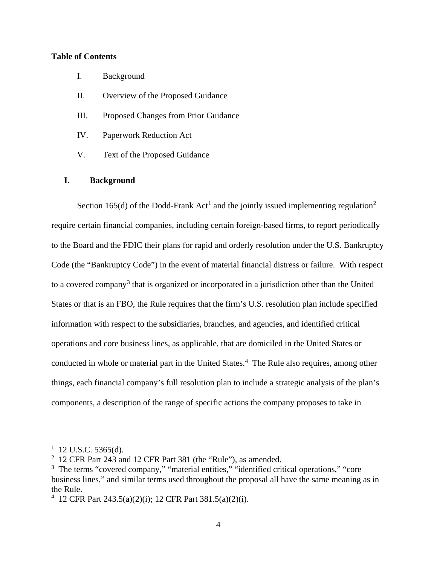## **Table of Contents**

- I. Background
- II. Overview of the Proposed Guidance
- III. Proposed Changes from Prior Guidance
- IV. Paperwork Reduction Act
- V. Text of the Proposed Guidance

### **I. Background**

Section 165(d) of the Dodd-Frank Act<sup>1</sup> and the jointly issued implementing regulation<sup>2</sup> require certain financial companies, including certain foreign-based firms, to report periodically to the Board and the FDIC their plans for rapid and orderly resolution under the U.S. Bankruptcy Code (the "Bankruptcy Code") in the event of material financial distress or failure. With respect to a covered company<sup>3</sup> that is organized or incorporated in a jurisdiction other than the United States or that is an FBO, the Rule requires that the firm's U.S. resolution plan include specified information with respect to the subsidiaries, branches, and agencies, and identified critical operations and core business lines, as applicable, that are domiciled in the United States or conducted in whole or material part in the United States.<sup>4</sup> The Rule also requires, among other things, each financial company's full resolution plan to include a strategic analysis of the plan's components, a description of the range of specific actions the company proposes to take in

 $1$  12 U.S.C. 5365(d).

 $2$  12 CFR Part 243 and 12 CFR Part 381 (the "Rule"), as amended.

<sup>&</sup>lt;sup>3</sup> The terms "covered company," "material entities," "identified critical operations," "core business lines," and similar terms used throughout the proposal all have the same meaning as in the Rule.

<sup>4</sup> 12 CFR Part 243.5(a)(2)(i); 12 CFR Part 381.5(a)(2)(i).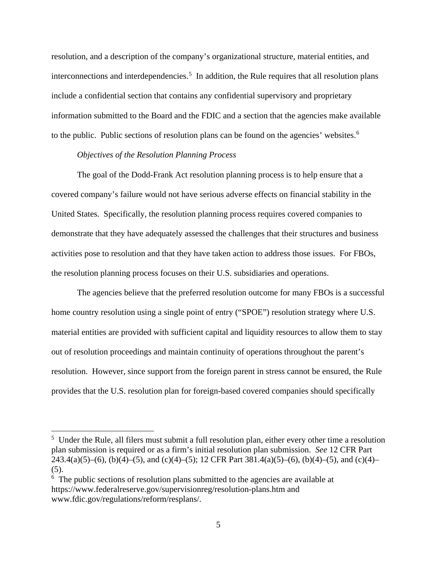resolution, and a description of the company's organizational structure, material entities, and interconnections and interdependencies.<sup>5</sup> In addition, the Rule requires that all resolution plans include a confidential section that contains any confidential supervisory and proprietary information submitted to the Board and the FDIC and a section that the agencies make available to the public. Public sections of resolution plans can be found on the agencies' websites.<sup>6</sup>

#### *Objectives of the Resolution Planning Process*

The goal of the Dodd-Frank Act resolution planning process is to help ensure that a covered company's failure would not have serious adverse effects on financial stability in the United States. Specifically, the resolution planning process requires covered companies to demonstrate that they have adequately assessed the challenges that their structures and business activities pose to resolution and that they have taken action to address those issues. For FBOs, the resolution planning process focuses on their U.S. subsidiaries and operations.

The agencies believe that the preferred resolution outcome for many FBOs is a successful home country resolution using a single point of entry ("SPOE") resolution strategy where U.S. material entities are provided with sufficient capital and liquidity resources to allow them to stay out of resolution proceedings and maintain continuity of operations throughout the parent's resolution. However, since support from the foreign parent in stress cannot be ensured, the Rule provides that the U.S. resolution plan for foreign-based covered companies should specifically

<sup>&</sup>lt;sup>5</sup> Under the Rule, all filers must submit a full resolution plan, either every other time a resolution plan submission is required or as a firm's initial resolution plan submission. *See* 12 CFR Part 243.4(a)(5)–(6), (b)(4)–(5), and (c)(4)–(5); 12 CFR Part 381.4(a)(5)–(6), (b)(4)–(5), and (c)(4)– (5).

<sup>&</sup>lt;sup>6</sup> The public sections of resolution plans submitted to the agencies are available at https://www.federalreserve.gov/supervisionreg/resolution-plans.htm and www.fdic.gov/regulations/reform/resplans/.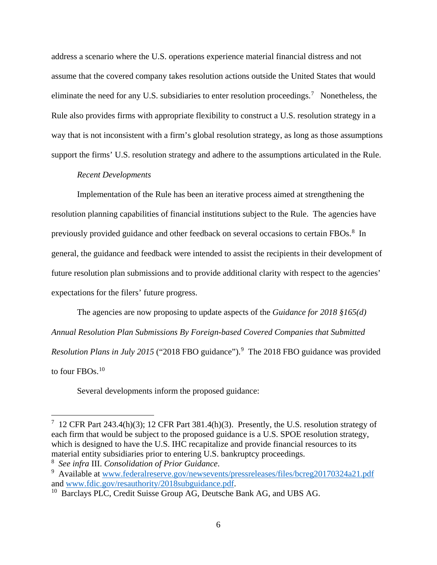address a scenario where the U.S. operations experience material financial distress and not assume that the covered company takes resolution actions outside the United States that would eliminate the need for any U.S. subsidiaries to enter resolution proceedings.<sup>7</sup> Nonetheless, the Rule also provides firms with appropriate flexibility to construct a U.S. resolution strategy in a way that is not inconsistent with a firm's global resolution strategy, as long as those assumptions support the firms' U.S. resolution strategy and adhere to the assumptions articulated in the Rule.

## *Recent Developments*

Implementation of the Rule has been an iterative process aimed at strengthening the resolution planning capabilities of financial institutions subject to the Rule. The agencies have previously provided guidance and other feedback on several occasions to certain FBOs.<sup>8</sup> In general, the guidance and feedback were intended to assist the recipients in their development of future resolution plan submissions and to provide additional clarity with respect to the agencies' expectations for the filers' future progress.

The agencies are now proposing to update aspects of the *Guidance for 2018 §165(d) Annual Resolution Plan Submissions By Foreign-based Covered Companies that Submitted*  Resolution Plans in July 2015 ("2018 FBO guidance").<sup>9</sup> The 2018 FBO guidance was provided to four FBOs. $10$ 

Several developments inform the proposed guidance:

<sup>&</sup>lt;sup>7</sup> 12 CFR Part 243.4(h)(3); 12 CFR Part 381.4(h)(3). Presently, the U.S. resolution strategy of each firm that would be subject to the proposed guidance is a U.S. SPOE resolution strategy, which is designed to have the U.S. IHC recapitalize and provide financial resources to its material entity subsidiaries prior to entering U.S. bankruptcy proceedings.

<sup>&</sup>lt;sup>8</sup> See infra III. *Consolidation of Prior Guidance*.<br><sup>9</sup> Available at www.federalreserve.gov/newseven

<sup>&</sup>lt;sup>9</sup> Available at www.federalreserve.gov/newsevents/pressreleases/files/bcreg20170324a21.pdf and www.fdic.gov/resauthority/2018subguidance.pdf.

 $10$  Barclays PLC, Credit Suisse Group AG, Deutsche Bank AG, and UBS AG.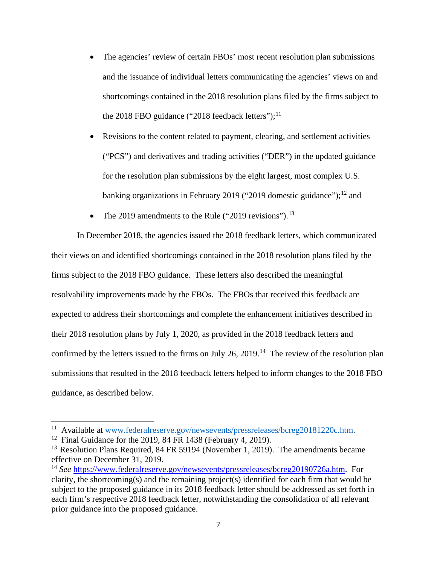• The agencies' review of certain FBOs' most recent resolution plan submissions and the issuance of individual letters communicating the agencies' views on and shortcomings contained in the 2018 resolution plans filed by the firms subject to the 2018 FBO guidance ("2018 feedback letters"); $^{11}$ 

• Revisions to the content related to payment, clearing, and settlement activities ("PCS") and derivatives and trading activities ("DER") in the updated guidance for the resolution plan submissions by the eight largest, most complex U.S. banking organizations in February 2019 ("2019 domestic guidance");<sup>12</sup> and

• The 2019 amendments to the Rule ("2019 revisions").<sup>13</sup>

In December 2018, the agencies issued the 2018 feedback letters, which communicated their views on and identified shortcomings contained in the 2018 resolution plans filed by the firms subject to the 2018 FBO guidance. These letters also described the meaningful resolvability improvements made by the FBOs. The FBOs that received this feedback are expected to address their shortcomings and complete the enhancement initiatives described in their 2018 resolution plans by July 1, 2020, as provided in the 2018 feedback letters and confirmed by the letters issued to the firms on July 26, 2019.<sup>14</sup> The review of the resolution plan submissions that resulted in the 2018 feedback letters helped to inform changes to the 2018 FBO guidance, as described below.

<sup>&</sup>lt;sup>11</sup> Available at www.federalreserve.gov/newsevents/pressreleases/bcreg20181220c.htm.<br><sup>12</sup> Final Guidance for the 2019, 84 FR 1438 (February 4, 2019).

<sup>&</sup>lt;sup>13</sup> Resolution Plans Required, 84 FR 59194 (November 1, 2019). The amendments became effective on December 31, 2019.

<sup>14</sup> *See* https://www.federalreserve.gov/newsevents/pressreleases/bcreg20190726a.htm. For clarity, the shortcoming(s) and the remaining project(s) identified for each firm that would be subject to the proposed guidance in its 2018 feedback letter should be addressed as set forth in each firm's respective 2018 feedback letter, notwithstanding the consolidation of all relevant prior guidance into the proposed guidance.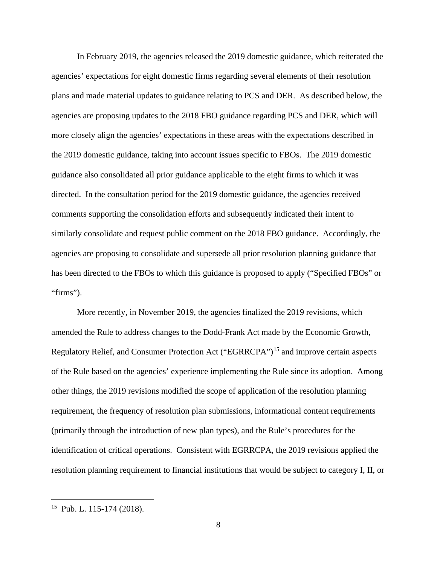In February 2019, the agencies released the 2019 domestic guidance, which reiterated the agencies' expectations for eight domestic firms regarding several elements of their resolution plans and made material updates to guidance relating to PCS and DER. As described below, the agencies are proposing updates to the 2018 FBO guidance regarding PCS and DER, which will more closely align the agencies' expectations in these areas with the expectations described in the 2019 domestic guidance, taking into account issues specific to FBOs. The 2019 domestic guidance also consolidated all prior guidance applicable to the eight firms to which it was directed. In the consultation period for the 2019 domestic guidance, the agencies received comments supporting the consolidation efforts and subsequently indicated their intent to similarly consolidate and request public comment on the 2018 FBO guidance. Accordingly, the agencies are proposing to consolidate and supersede all prior resolution planning guidance that has been directed to the FBOs to which this guidance is proposed to apply ("Specified FBOs" or "firms").

More recently, in November 2019, the agencies finalized the 2019 revisions, which amended the Rule to address changes to the Dodd-Frank Act made by the Economic Growth, Regulatory Relief, and Consumer Protection Act ("EGRRCPA")<sup>15</sup> and improve certain aspects of the Rule based on the agencies' experience implementing the Rule since its adoption. Among other things, the 2019 revisions modified the scope of application of the resolution planning requirement, the frequency of resolution plan submissions, informational content requirements (primarily through the introduction of new plan types), and the Rule's procedures for the identification of critical operations. Consistent with EGRRCPA, the 2019 revisions applied the resolution planning requirement to financial institutions that would be subject to category I, II, or

 $15$  Pub. L. 115-174 (2018).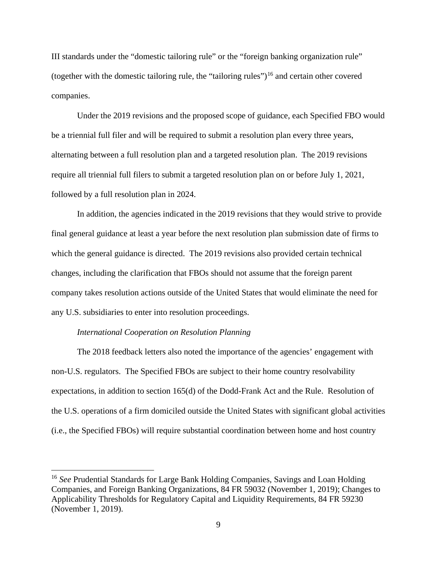III standards under the "domestic tailoring rule" or the "foreign banking organization rule" (together with the domestic tailoring rule, the "tailoring rules")<sup>16</sup> and certain other covered companies.

 Under the 2019 revisions and the proposed scope of guidance, each Specified FBO would be a triennial full filer and will be required to submit a resolution plan every three years, alternating between a full resolution plan and a targeted resolution plan. The 2019 revisions require all triennial full filers to submit a targeted resolution plan on or before July 1, 2021, followed by a full resolution plan in 2024.

In addition, the agencies indicated in the 2019 revisions that they would strive to provide final general guidance at least a year before the next resolution plan submission date of firms to which the general guidance is directed. The 2019 revisions also provided certain technical changes, including the clarification that FBOs should not assume that the foreign parent company takes resolution actions outside of the United States that would eliminate the need for any U.S. subsidiaries to enter into resolution proceedings.

#### *International Cooperation on Resolution Planning*

 $\overline{a}$ 

The 2018 feedback letters also noted the importance of the agencies' engagement with non-U.S. regulators. The Specified FBOs are subject to their home country resolvability expectations, in addition to section 165(d) of the Dodd-Frank Act and the Rule. Resolution of the U.S. operations of a firm domiciled outside the United States with significant global activities (i.e., the Specified FBOs) will require substantial coordination between home and host country

<sup>16</sup> *See* Prudential Standards for Large Bank Holding Companies, Savings and Loan Holding Companies, and Foreign Banking Organizations, 84 FR 59032 (November 1, 2019); Changes to Applicability Thresholds for Regulatory Capital and Liquidity Requirements, 84 FR 59230 (November 1, 2019).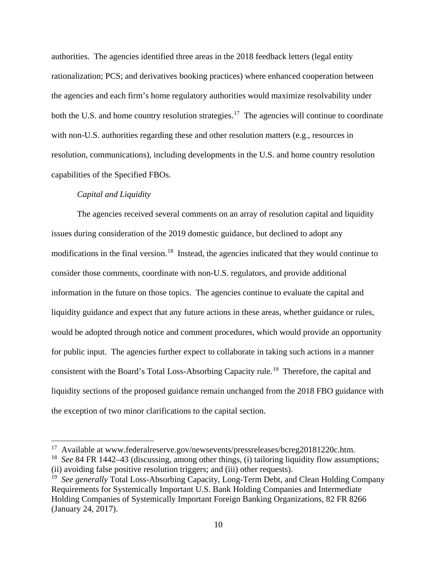authorities. The agencies identified three areas in the 2018 feedback letters (legal entity rationalization; PCS; and derivatives booking practices) where enhanced cooperation between the agencies and each firm's home regulatory authorities would maximize resolvability under both the U.S. and home country resolution strategies.<sup>17</sup> The agencies will continue to coordinate with non-U.S. authorities regarding these and other resolution matters (e.g., resources in resolution, communications), including developments in the U.S. and home country resolution capabilities of the Specified FBOs.

### *Capital and Liquidity*

 $\overline{a}$ 

The agencies received several comments on an array of resolution capital and liquidity issues during consideration of the 2019 domestic guidance, but declined to adopt any modifications in the final version.<sup>18</sup> Instead, the agencies indicated that they would continue to consider those comments, coordinate with non-U.S. regulators, and provide additional information in the future on those topics. The agencies continue to evaluate the capital and liquidity guidance and expect that any future actions in these areas, whether guidance or rules, would be adopted through notice and comment procedures, which would provide an opportunity for public input. The agencies further expect to collaborate in taking such actions in a manner consistent with the Board's Total Loss-Absorbing Capacity rule.<sup>19</sup> Therefore, the capital and liquidity sections of the proposed guidance remain unchanged from the 2018 FBO guidance with the exception of two minor clarifications to the capital section.

<sup>17</sup> Available at www.federalreserve.gov/newsevents/pressreleases/bcreg20181220c.htm.

<sup>18</sup> *See* 84 FR 1442–43 (discussing, among other things, (i) tailoring liquidity flow assumptions; (ii) avoiding false positive resolution triggers; and (iii) other requests).

<sup>&</sup>lt;sup>19</sup> *See generally* Total Loss-Absorbing Capacity, Long-Term Debt, and Clean Holding Company Requirements for Systemically Important U.S. Bank Holding Companies and Intermediate Holding Companies of Systemically Important Foreign Banking Organizations, 82 FR 8266 (January 24, 2017).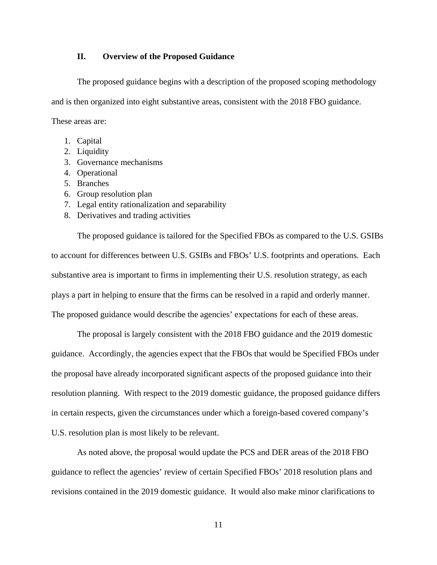#### **II. Overview of the Proposed Guidance**

The proposed guidance begins with a description of the proposed scoping methodology and is then organized into eight substantive areas, consistent with the 2018 FBO guidance. These areas are:

- 1. Capital
- 2. Liquidity
- 3. Governance mechanisms
- 4. Operational
- 5. Branches
- 6. Group resolution plan
- 7. Legal entity rationalization and separability
- 8. Derivatives and trading activities

The proposed guidance is tailored for the Specified FBOs as compared to the U.S. GSIBs to account for differences between U.S. GSIBs and FBOs' U.S. footprints and operations. Each substantive area is important to firms in implementing their U.S. resolution strategy, as each plays a part in helping to ensure that the firms can be resolved in a rapid and orderly manner. The proposed guidance would describe the agencies' expectations for each of these areas.

The proposal is largely consistent with the 2018 FBO guidance and the 2019 domestic guidance. Accordingly, the agencies expect that the FBOs that would be Specified FBOs under the proposal have already incorporated significant aspects of the proposed guidance into their resolution planning. With respect to the 2019 domestic guidance, the proposed guidance differs in certain respects, given the circumstances under which a foreign-based covered company's U.S. resolution plan is most likely to be relevant.

As noted above, the proposal would update the PCS and DER areas of the 2018 FBO guidance to reflect the agencies' review of certain Specified FBOs' 2018 resolution plans and revisions contained in the 2019 domestic guidance. It would also make minor clarifications to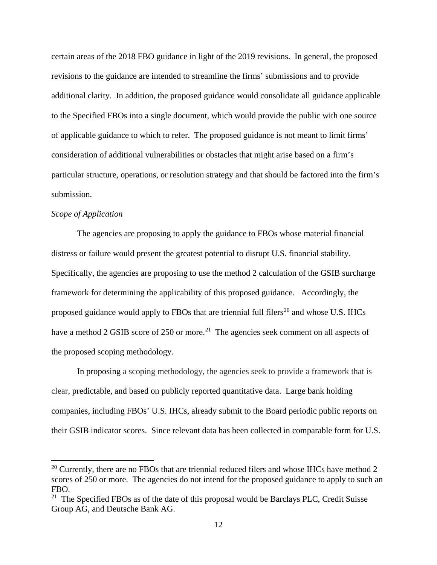certain areas of the 2018 FBO guidance in light of the 2019 revisions. In general, the proposed revisions to the guidance are intended to streamline the firms' submissions and to provide additional clarity. In addition, the proposed guidance would consolidate all guidance applicable to the Specified FBOs into a single document, which would provide the public with one source of applicable guidance to which to refer. The proposed guidance is not meant to limit firms' consideration of additional vulnerabilities or obstacles that might arise based on a firm's particular structure, operations, or resolution strategy and that should be factored into the firm's submission.

## *Scope of Application*

 $\overline{a}$ 

The agencies are proposing to apply the guidance to FBOs whose material financial distress or failure would present the greatest potential to disrupt U.S. financial stability. Specifically, the agencies are proposing to use the method 2 calculation of the GSIB surcharge framework for determining the applicability of this proposed guidance. Accordingly, the proposed guidance would apply to FBOs that are triennial full filers<sup>20</sup> and whose U.S. IHCs have a method 2 GSIB score of 250 or more.<sup>21</sup> The agencies seek comment on all aspects of the proposed scoping methodology.

In proposing a scoping methodology, the agencies seek to provide a framework that is clear, predictable, and based on publicly reported quantitative data. Large bank holding companies, including FBOs' U.S. IHCs, already submit to the Board periodic public reports on their GSIB indicator scores. Since relevant data has been collected in comparable form for U.S.

 $20$  Currently, there are no FBOs that are triennial reduced filers and whose IHCs have method 2 scores of 250 or more. The agencies do not intend for the proposed guidance to apply to such an FBO.<br><sup>21</sup> The Specified FBOs as of the date of this proposal would be Barclays PLC, Credit Suisse

Group AG, and Deutsche Bank AG.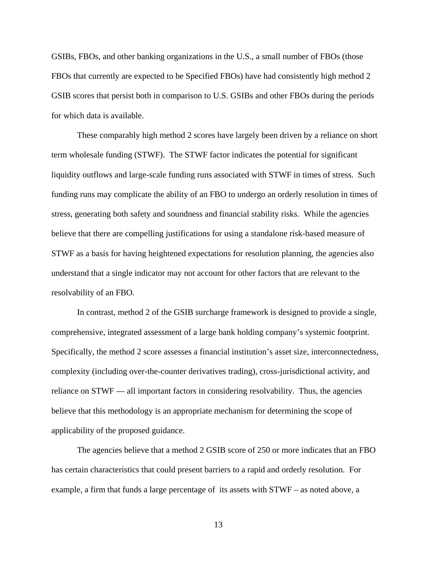GSIBs, FBOs, and other banking organizations in the U.S., a small number of FBOs (those FBOs that currently are expected to be Specified FBOs) have had consistently high method 2 GSIB scores that persist both in comparison to U.S. GSIBs and other FBOs during the periods for which data is available.

These comparably high method 2 scores have largely been driven by a reliance on short term wholesale funding (STWF). The STWF factor indicates the potential for significant liquidity outflows and large-scale funding runs associated with STWF in times of stress. Such funding runs may complicate the ability of an FBO to undergo an orderly resolution in times of stress, generating both safety and soundness and financial stability risks. While the agencies believe that there are compelling justifications for using a standalone risk-based measure of STWF as a basis for having heightened expectations for resolution planning, the agencies also understand that a single indicator may not account for other factors that are relevant to the resolvability of an FBO.

In contrast, method 2 of the GSIB surcharge framework is designed to provide a single, comprehensive, integrated assessment of a large bank holding company's systemic footprint. Specifically, the method 2 score assesses a financial institution's asset size, interconnectedness, complexity (including over-the-counter derivatives trading), cross-jurisdictional activity, and reliance on STWF — all important factors in considering resolvability. Thus, the agencies believe that this methodology is an appropriate mechanism for determining the scope of applicability of the proposed guidance.

The agencies believe that a method 2 GSIB score of 250 or more indicates that an FBO has certain characteristics that could present barriers to a rapid and orderly resolution. For example, a firm that funds a large percentage of its assets with STWF – as noted above, a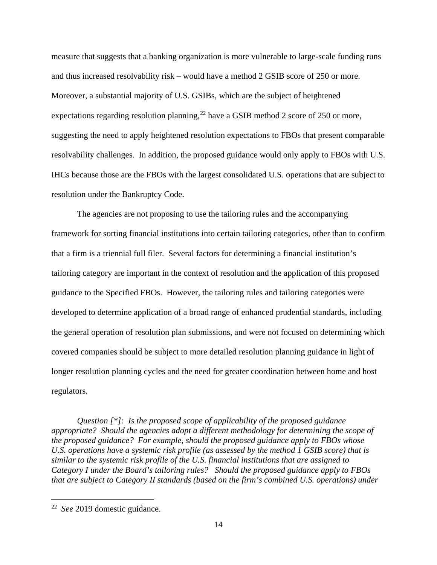measure that suggests that a banking organization is more vulnerable to large-scale funding runs and thus increased resolvability risk – would have a method 2 GSIB score of 250 or more. Moreover, a substantial majority of U.S. GSIBs, which are the subject of heightened expectations regarding resolution planning,  $^{22}$  have a GSIB method 2 score of 250 or more, suggesting the need to apply heightened resolution expectations to FBOs that present comparable resolvability challenges. In addition, the proposed guidance would only apply to FBOs with U.S. IHCs because those are the FBOs with the largest consolidated U.S. operations that are subject to resolution under the Bankruptcy Code.

The agencies are not proposing to use the tailoring rules and the accompanying framework for sorting financial institutions into certain tailoring categories, other than to confirm that a firm is a triennial full filer. Several factors for determining a financial institution's tailoring category are important in the context of resolution and the application of this proposed guidance to the Specified FBOs. However, the tailoring rules and tailoring categories were developed to determine application of a broad range of enhanced prudential standards, including the general operation of resolution plan submissions, and were not focused on determining which covered companies should be subject to more detailed resolution planning guidance in light of longer resolution planning cycles and the need for greater coordination between home and host regulators.

*Question [\*]: Is the proposed scope of applicability of the proposed guidance appropriate? Should the agencies adopt a different methodology for determining the scope of the proposed guidance? For example, should the proposed guidance apply to FBOs whose U.S. operations have a systemic risk profile (as assessed by the method 1 GSIB score) that is similar to the systemic risk profile of the U.S. financial institutions that are assigned to Category I under the Board's tailoring rules? Should the proposed guidance apply to FBOs that are subject to Category II standards (based on the firm's combined U.S. operations) under* 

<sup>22</sup> *See* 2019 domestic guidance.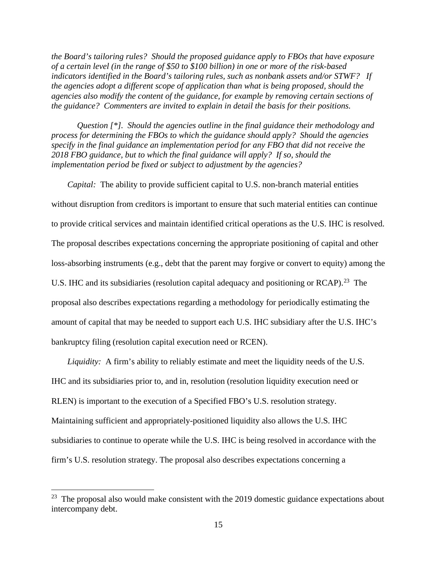*the Board's tailoring rules? Should the proposed guidance apply to FBOs that have exposure of a certain level (in the range of \$50 to \$100 billion) in one or more of the risk-based indicators identified in the Board's tailoring rules, such as nonbank assets and/or STWF? If the agencies adopt a different scope of application than what is being proposed, should the agencies also modify the content of the guidance, for example by removing certain sections of the guidance? Commenters are invited to explain in detail the basis for their positions.* 

*Question [\*]. Should the agencies outline in the final guidance their methodology and process for determining the FBOs to which the guidance should apply? Should the agencies specify in the final guidance an implementation period for any FBO that did not receive the 2018 FBO guidance, but to which the final guidance will apply? If so, should the implementation period be fixed or subject to adjustment by the agencies?* 

*Capital:* The ability to provide sufficient capital to U.S. non-branch material entities without disruption from creditors is important to ensure that such material entities can continue to provide critical services and maintain identified critical operations as the U.S. IHC is resolved. The proposal describes expectations concerning the appropriate positioning of capital and other loss-absorbing instruments (e.g., debt that the parent may forgive or convert to equity) among the U.S. IHC and its subsidiaries (resolution capital adequacy and positioning or RCAP).<sup>23</sup> The proposal also describes expectations regarding a methodology for periodically estimating the amount of capital that may be needed to support each U.S. IHC subsidiary after the U.S. IHC's bankruptcy filing (resolution capital execution need or RCEN).

*Liquidity:* A firm's ability to reliably estimate and meet the liquidity needs of the U.S. IHC and its subsidiaries prior to, and in, resolution (resolution liquidity execution need or RLEN) is important to the execution of a Specified FBO's U.S. resolution strategy. Maintaining sufficient and appropriately-positioned liquidity also allows the U.S. IHC subsidiaries to continue to operate while the U.S. IHC is being resolved in accordance with the firm's U.S. resolution strategy. The proposal also describes expectations concerning a

 $23$  The proposal also would make consistent with the 2019 domestic guidance expectations about intercompany debt.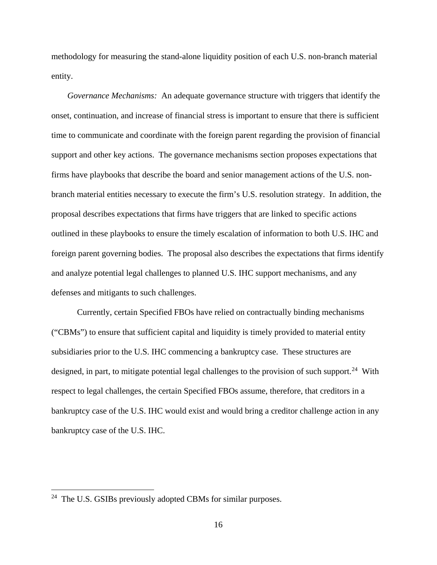methodology for measuring the stand-alone liquidity position of each U.S. non-branch material entity.

*Governance Mechanisms:* An adequate governance structure with triggers that identify the onset, continuation, and increase of financial stress is important to ensure that there is sufficient time to communicate and coordinate with the foreign parent regarding the provision of financial support and other key actions. The governance mechanisms section proposes expectations that firms have playbooks that describe the board and senior management actions of the U.S. nonbranch material entities necessary to execute the firm's U.S. resolution strategy. In addition, the proposal describes expectations that firms have triggers that are linked to specific actions outlined in these playbooks to ensure the timely escalation of information to both U.S. IHC and foreign parent governing bodies. The proposal also describes the expectations that firms identify and analyze potential legal challenges to planned U.S. IHC support mechanisms, and any defenses and mitigants to such challenges.

Currently, certain Specified FBOs have relied on contractually binding mechanisms ("CBMs") to ensure that sufficient capital and liquidity is timely provided to material entity subsidiaries prior to the U.S. IHC commencing a bankruptcy case. These structures are designed, in part, to mitigate potential legal challenges to the provision of such support.<sup>24</sup> With respect to legal challenges, the certain Specified FBOs assume, therefore, that creditors in a bankruptcy case of the U.S. IHC would exist and would bring a creditor challenge action in any bankruptcy case of the U.S. IHC.

<sup>&</sup>lt;sup>24</sup> The U.S. GSIBs previously adopted CBMs for similar purposes.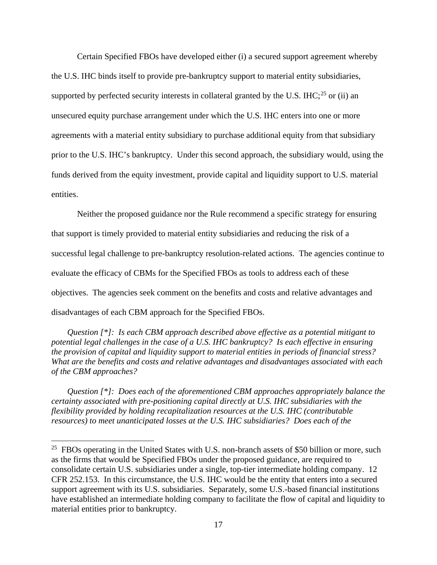Certain Specified FBOs have developed either (i) a secured support agreement whereby the U.S. IHC binds itself to provide pre-bankruptcy support to material entity subsidiaries, supported by perfected security interests in collateral granted by the U.S. IHC;<sup>25</sup> or (ii) an unsecured equity purchase arrangement under which the U.S. IHC enters into one or more agreements with a material entity subsidiary to purchase additional equity from that subsidiary prior to the U.S. IHC's bankruptcy. Under this second approach, the subsidiary would, using the funds derived from the equity investment, provide capital and liquidity support to U.S. material entities.

Neither the proposed guidance nor the Rule recommend a specific strategy for ensuring that support is timely provided to material entity subsidiaries and reducing the risk of a successful legal challenge to pre-bankruptcy resolution-related actions. The agencies continue to evaluate the efficacy of CBMs for the Specified FBOs as tools to address each of these objectives. The agencies seek comment on the benefits and costs and relative advantages and disadvantages of each CBM approach for the Specified FBOs.

*Question [\*]: Is each CBM approach described above effective as a potential mitigant to potential legal challenges in the case of a U.S. IHC bankruptcy? Is each effective in ensuring the provision of capital and liquidity support to material entities in periods of financial stress? What are the benefits and costs and relative advantages and disadvantages associated with each of the CBM approaches?* 

*Question [\*]: Does each of the aforementioned CBM approaches appropriately balance the certainty associated with pre-positioning capital directly at U.S. IHC subsidiaries with the flexibility provided by holding recapitalization resources at the U.S. IHC (contributable resources) to meet unanticipated losses at the U.S. IHC subsidiaries? Does each of the* 

 $25$  FBOs operating in the United States with U.S. non-branch assets of \$50 billion or more, such as the firms that would be Specified FBOs under the proposed guidance, are required to consolidate certain U.S. subsidiaries under a single, top-tier intermediate holding company. 12 CFR 252.153. In this circumstance, the U.S. IHC would be the entity that enters into a secured support agreement with its U.S. subsidiaries. Separately, some U.S.-based financial institutions have established an intermediate holding company to facilitate the flow of capital and liquidity to material entities prior to bankruptcy.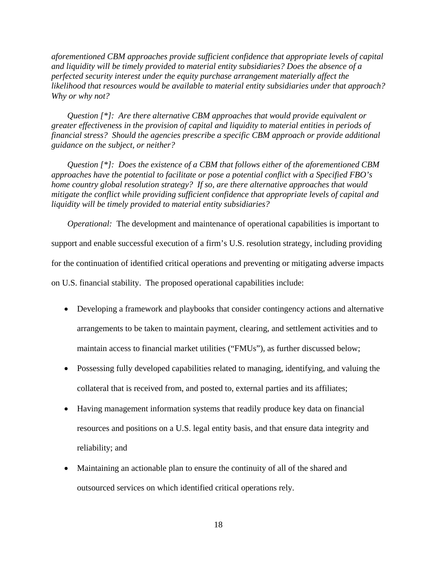*aforementioned CBM approaches provide sufficient confidence that appropriate levels of capital and liquidity will be timely provided to material entity subsidiaries? Does the absence of a perfected security interest under the equity purchase arrangement materially affect the likelihood that resources would be available to material entity subsidiaries under that approach? Why or why not?* 

*Question [\*]: Are there alternative CBM approaches that would provide equivalent or greater effectiveness in the provision of capital and liquidity to material entities in periods of financial stress? Should the agencies prescribe a specific CBM approach or provide additional guidance on the subject, or neither?* 

*Question [\*]: Does the existence of a CBM that follows either of the aforementioned CBM approaches have the potential to facilitate or pose a potential conflict with a Specified FBO's home country global resolution strategy? If so, are there alternative approaches that would mitigate the conflict while providing sufficient confidence that appropriate levels of capital and liquidity will be timely provided to material entity subsidiaries?* 

*Operational:* The development and maintenance of operational capabilities is important to support and enable successful execution of a firm's U.S. resolution strategy, including providing for the continuation of identified critical operations and preventing or mitigating adverse impacts on U.S. financial stability. The proposed operational capabilities include:

- Developing a framework and playbooks that consider contingency actions and alternative arrangements to be taken to maintain payment, clearing, and settlement activities and to maintain access to financial market utilities ("FMUs"), as further discussed below;
- Possessing fully developed capabilities related to managing, identifying, and valuing the collateral that is received from, and posted to, external parties and its affiliates;
- Having management information systems that readily produce key data on financial resources and positions on a U.S. legal entity basis, and that ensure data integrity and reliability; and
- Maintaining an actionable plan to ensure the continuity of all of the shared and outsourced services on which identified critical operations rely.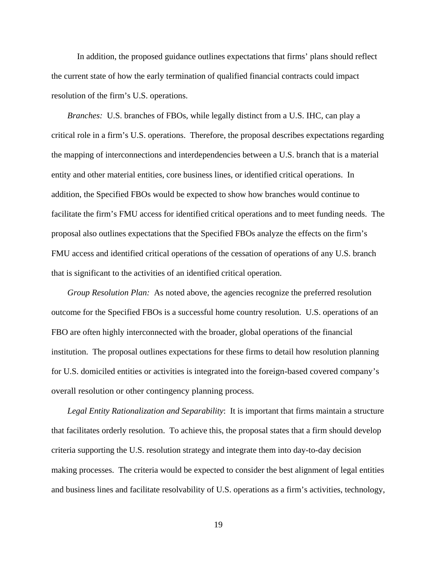In addition, the proposed guidance outlines expectations that firms' plans should reflect the current state of how the early termination of qualified financial contracts could impact resolution of the firm's U.S. operations.

*Branches:* U.S. branches of FBOs, while legally distinct from a U.S. IHC, can play a critical role in a firm's U.S. operations. Therefore, the proposal describes expectations regarding the mapping of interconnections and interdependencies between a U.S. branch that is a material entity and other material entities, core business lines, or identified critical operations. In addition, the Specified FBOs would be expected to show how branches would continue to facilitate the firm's FMU access for identified critical operations and to meet funding needs. The proposal also outlines expectations that the Specified FBOs analyze the effects on the firm's FMU access and identified critical operations of the cessation of operations of any U.S. branch that is significant to the activities of an identified critical operation.

*Group Resolution Plan:* As noted above, the agencies recognize the preferred resolution outcome for the Specified FBOs is a successful home country resolution. U.S. operations of an FBO are often highly interconnected with the broader, global operations of the financial institution. The proposal outlines expectations for these firms to detail how resolution planning for U.S. domiciled entities or activities is integrated into the foreign-based covered company's overall resolution or other contingency planning process.

*Legal Entity Rationalization and Separability*: It is important that firms maintain a structure that facilitates orderly resolution. To achieve this, the proposal states that a firm should develop criteria supporting the U.S. resolution strategy and integrate them into day-to-day decision making processes. The criteria would be expected to consider the best alignment of legal entities and business lines and facilitate resolvability of U.S. operations as a firm's activities, technology,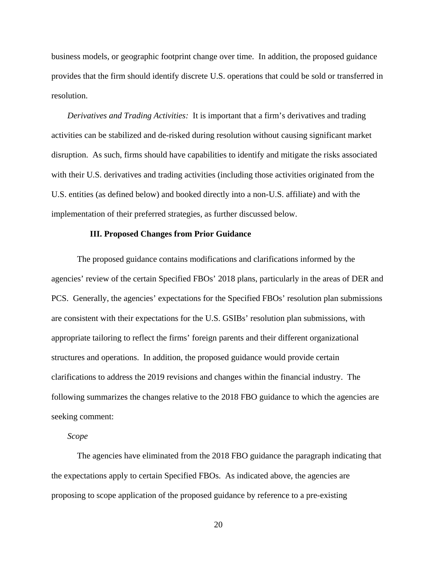business models, or geographic footprint change over time. In addition, the proposed guidance provides that the firm should identify discrete U.S. operations that could be sold or transferred in resolution.

*Derivatives and Trading Activities:* It is important that a firm's derivatives and trading activities can be stabilized and de-risked during resolution without causing significant market disruption. As such, firms should have capabilities to identify and mitigate the risks associated with their U.S. derivatives and trading activities (including those activities originated from the U.S. entities (as defined below) and booked directly into a non-U.S. affiliate) and with the implementation of their preferred strategies, as further discussed below.

#### **III. Proposed Changes from Prior Guidance**

The proposed guidance contains modifications and clarifications informed by the agencies' review of the certain Specified FBOs' 2018 plans, particularly in the areas of DER and PCS. Generally, the agencies' expectations for the Specified FBOs' resolution plan submissions are consistent with their expectations for the U.S. GSIBs' resolution plan submissions, with appropriate tailoring to reflect the firms' foreign parents and their different organizational structures and operations. In addition, the proposed guidance would provide certain clarifications to address the 2019 revisions and changes within the financial industry. The following summarizes the changes relative to the 2018 FBO guidance to which the agencies are seeking comment:

### *Scope*

The agencies have eliminated from the 2018 FBO guidance the paragraph indicating that the expectations apply to certain Specified FBOs. As indicated above, the agencies are proposing to scope application of the proposed guidance by reference to a pre-existing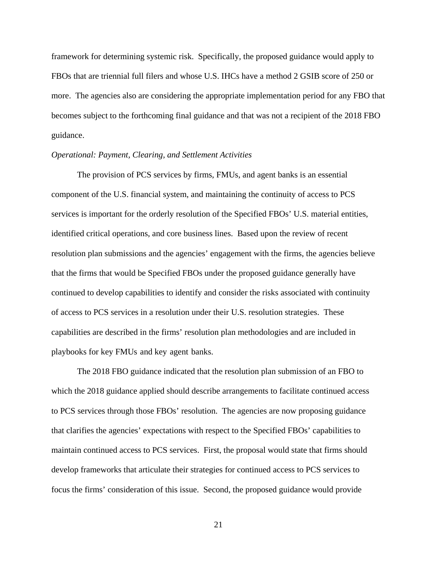framework for determining systemic risk. Specifically, the proposed guidance would apply to FBOs that are triennial full filers and whose U.S. IHCs have a method 2 GSIB score of 250 or more. The agencies also are considering the appropriate implementation period for any FBO that becomes subject to the forthcoming final guidance and that was not a recipient of the 2018 FBO guidance.

### *Operational: Payment, Clearing, and Settlement Activities*

The provision of PCS services by firms, FMUs, and agent banks is an essential component of the U.S. financial system, and maintaining the continuity of access to PCS services is important for the orderly resolution of the Specified FBOs' U.S. material entities, identified critical operations, and core business lines. Based upon the review of recent resolution plan submissions and the agencies' engagement with the firms, the agencies believe that the firms that would be Specified FBOs under the proposed guidance generally have continued to develop capabilities to identify and consider the risks associated with continuity of access to PCS services in a resolution under their U.S. resolution strategies. These capabilities are described in the firms' resolution plan methodologies and are included in playbooks for key FMUs and key agent banks.

The 2018 FBO guidance indicated that the resolution plan submission of an FBO to which the 2018 guidance applied should describe arrangements to facilitate continued access to PCS services through those FBOs' resolution. The agencies are now proposing guidance that clarifies the agencies' expectations with respect to the Specified FBOs' capabilities to maintain continued access to PCS services. First, the proposal would state that firms should develop frameworks that articulate their strategies for continued access to PCS services to focus the firms' consideration of this issue. Second, the proposed guidance would provide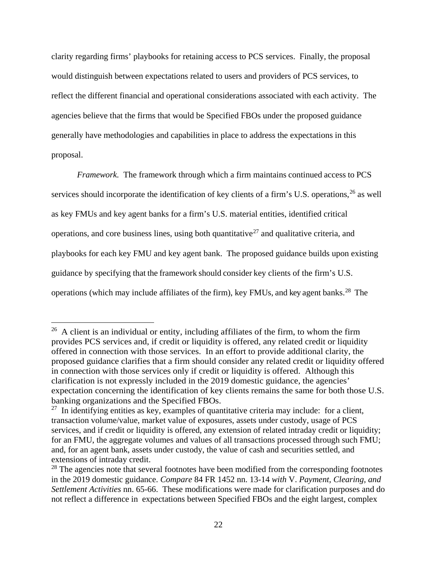clarity regarding firms' playbooks for retaining access to PCS services. Finally, the proposal would distinguish between expectations related to users and providers of PCS services, to reflect the different financial and operational considerations associated with each activity. The agencies believe that the firms that would be Specified FBOs under the proposed guidance generally have methodologies and capabilities in place to address the expectations in this proposal.

*Framework.* The framework through which a firm maintains continued access to PCS services should incorporate the identification of key clients of a firm's U.S. operations, <sup>26</sup> as well as key FMUs and key agent banks for a firm's U.S. material entities, identified critical operations, and core business lines, using both quantitative<sup>27</sup> and qualitative criteria, and playbooks for each key FMU and key agent bank. The proposed guidance builds upon existing guidance by specifying that the framework should consider key clients of the firm's U.S. operations (which may include affiliates of the firm), key FMUs, and key agent banks.<sup>28</sup> The

 $26$  A client is an individual or entity, including affiliates of the firm, to whom the firm provides PCS services and, if credit or liquidity is offered, any related credit or liquidity offered in connection with those services. In an effort to provide additional clarity, the proposed guidance clarifies that a firm should consider any related credit or liquidity offered in connection with those services only if credit or liquidity is offered. Although this clarification is not expressly included in the 2019 domestic guidance, the agencies' expectation concerning the identification of key clients remains the same for both those U.S. banking organizations and the Specified FBOs.

 $27$  In identifying entities as key, examples of quantitative criteria may include: for a client, transaction volume/value, market value of exposures, assets under custody, usage of PCS services, and if credit or liquidity is offered, any extension of related intraday credit or liquidity; for an FMU, the aggregate volumes and values of all transactions processed through such FMU; and, for an agent bank, assets under custody, the value of cash and securities settled, and extensions of intraday credit.

<sup>&</sup>lt;sup>28</sup> The agencies note that several footnotes have been modified from the corresponding footnotes in the 2019 domestic guidance. *Compare* 84 FR 1452 nn. 13-14 *with* V. *Payment, Clearing, and Settlement Activities* nn. 65-66. These modifications were made for clarification purposes and do not reflect a difference in expectations between Specified FBOs and the eight largest, complex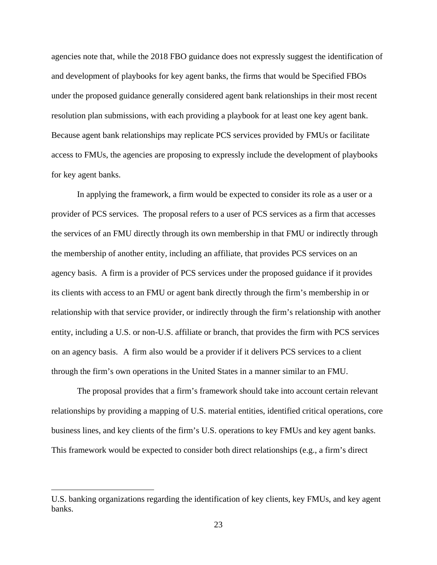agencies note that, while the 2018 FBO guidance does not expressly suggest the identification of and development of playbooks for key agent banks, the firms that would be Specified FBOs under the proposed guidance generally considered agent bank relationships in their most recent resolution plan submissions, with each providing a playbook for at least one key agent bank. Because agent bank relationships may replicate PCS services provided by FMUs or facilitate access to FMUs, the agencies are proposing to expressly include the development of playbooks for key agent banks.

In applying the framework, a firm would be expected to consider its role as a user or a provider of PCS services. The proposal refers to a user of PCS services as a firm that accesses the services of an FMU directly through its own membership in that FMU or indirectly through the membership of another entity, including an affiliate, that provides PCS services on an agency basis. A firm is a provider of PCS services under the proposed guidance if it provides its clients with access to an FMU or agent bank directly through the firm's membership in or relationship with that service provider, or indirectly through the firm's relationship with another entity, including a U.S. or non-U.S. affiliate or branch, that provides the firm with PCS services on an agency basis. A firm also would be a provider if it delivers PCS services to a client through the firm's own operations in the United States in a manner similar to an FMU.

The proposal provides that a firm's framework should take into account certain relevant relationships by providing a mapping of U.S. material entities, identified critical operations, core business lines, and key clients of the firm's U.S. operations to key FMUs and key agent banks. This framework would be expected to consider both direct relationships (e.g., a firm's direct

U.S. banking organizations regarding the identification of key clients, key FMUs, and key agent banks.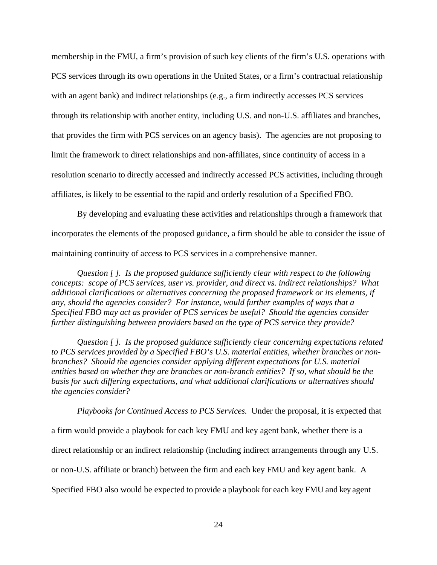membership in the FMU, a firm's provision of such key clients of the firm's U.S. operations with PCS services through its own operations in the United States, or a firm's contractual relationship with an agent bank) and indirect relationships (e.g., a firm indirectly accesses PCS services through its relationship with another entity, including U.S. and non-U.S. affiliates and branches, that provides the firm with PCS services on an agency basis). The agencies are not proposing to limit the framework to direct relationships and non-affiliates, since continuity of access in a resolution scenario to directly accessed and indirectly accessed PCS activities, including through affiliates, is likely to be essential to the rapid and orderly resolution of a Specified FBO.

By developing and evaluating these activities and relationships through a framework that incorporates the elements of the proposed guidance, a firm should be able to consider the issue of maintaining continuity of access to PCS services in a comprehensive manner.

*Question [ ]. Is the proposed guidance sufficiently clear with respect to the following concepts: scope of PCS services, user vs. provider, and direct vs. indirect relationships? What additional clarifications or alternatives concerning the proposed framework or its elements, if any, should the agencies consider? For instance, would further examples of ways that a Specified FBO may act as provider of PCS services be useful? Should the agencies consider further distinguishing between providers based on the type of PCS service they provide?*

*Question [ ]. Is the proposed guidance sufficiently clear concerning expectations related to PCS services provided by a Specified FBO's U.S. material entities, whether branches or nonbranches? Should the agencies consider applying different expectations for U.S. material entities based on whether they are branches or non-branch entities? If so, what should be the basis for such differing expectations, and what additional clarifications or alternatives should the agencies consider?* 

*Playbooks for Continued Access to PCS Services.* Under the proposal, it is expected that a firm would provide a playbook for each key FMU and key agent bank, whether there is a direct relationship or an indirect relationship (including indirect arrangements through any U.S. or non-U.S. affiliate or branch) between the firm and each key FMU and key agent bank. A Specified FBO also would be expected to provide a playbook for each key FMU and key agent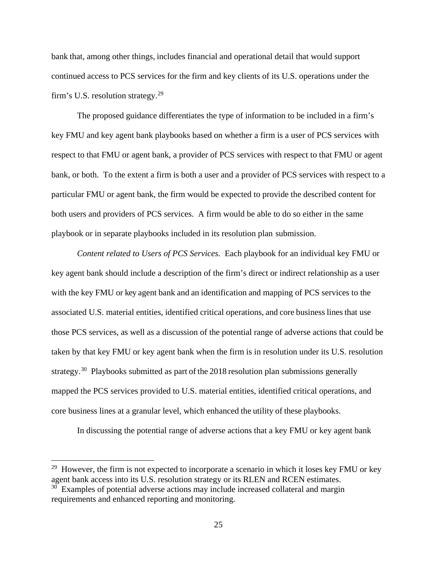bank that, among other things, includes financial and operational detail that would support continued access to PCS services for the firm and key clients of its U.S. operations under the firm's U.S. resolution strategy.<sup>29</sup>

The proposed guidance differentiates the type of information to be included in a firm's key FMU and key agent bank playbooks based on whether a firm is a user of PCS services with respect to that FMU or agent bank, a provider of PCS services with respect to that FMU or agent bank, or both. To the extent a firm is both a user and a provider of PCS services with respect to a particular FMU or agent bank, the firm would be expected to provide the described content for both users and providers of PCS services. A firm would be able to do so either in the same playbook or in separate playbooks included in its resolution plan submission.

*Content related to Users of PCS Services.* Each playbook for an individual key FMU or key agent bank should include a description of the firm's direct or indirect relationship as a user with the key FMU or key agent bank and an identification and mapping of PCS services to the associated U.S. material entities, identified critical operations, and core business linesthat use those PCS services, as well as a discussion of the potential range of adverse actions that could be taken by that key FMU or key agent bank when the firm is in resolution under its U.S. resolution strategy.<sup>30</sup> Playbooks submitted as part of the 2018 resolution plan submissions generally mapped the PCS services provided to U.S. material entities, identified critical operations, and core business lines at a granular level, which enhanced the utility of these playbooks.

In discussing the potential range of adverse actions that a key FMU or key agent bank

<sup>&</sup>lt;sup>29</sup> However, the firm is not expected to incorporate a scenario in which it loses key FMU or key agent bank access into its U.S. resolution strategy or its RLEN and RCEN estimates.

<sup>&</sup>lt;sup>30</sup> Examples of potential adverse actions may include increased collateral and margin requirements and enhanced reporting and monitoring.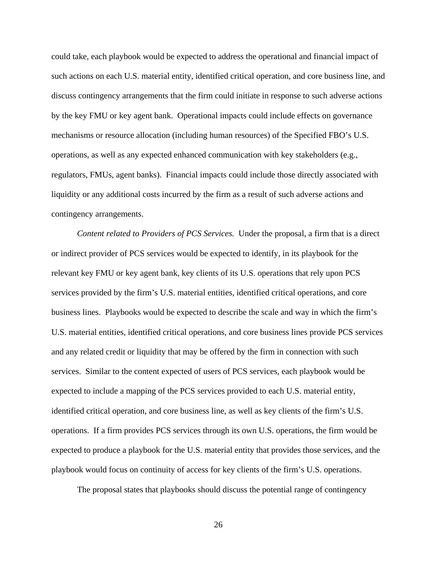could take, each playbook would be expected to address the operational and financial impact of such actions on each U.S. material entity, identified critical operation, and core business line, and discuss contingency arrangements that the firm could initiate in response to such adverse actions by the key FMU or key agent bank. Operational impacts could include effects on governance mechanisms or resource allocation (including human resources) of the Specified FBO's U.S. operations, as well as any expected enhanced communication with key stakeholders (e.g.*,*  regulators, FMUs, agent banks). Financial impacts could include those directly associated with liquidity or any additional costs incurred by the firm as a result of such adverse actions and contingency arrangements.

*Content related to Providers of PCS Services.* Under the proposal, a firm that is a direct or indirect provider of PCS services would be expected to identify, in its playbook for the relevant key FMU or key agent bank, key clients of its U.S. operations that rely upon PCS services provided by the firm's U.S. material entities, identified critical operations, and core business lines. Playbooks would be expected to describe the scale and way in which the firm's U.S. material entities, identified critical operations, and core business lines provide PCS services and any related credit or liquidity that may be offered by the firm in connection with such services. Similar to the content expected of users of PCS services, each playbook would be expected to include a mapping of the PCS services provided to each U.S. material entity, identified critical operation, and core business line, as well as key clients of the firm's U.S. operations. If a firm provides PCS services through its own U.S. operations, the firm would be expected to produce a playbook for the U.S. material entity that provides those services, and the playbook would focus on continuity of access for key clients of the firm's U.S. operations.

The proposal states that playbooks should discuss the potential range of contingency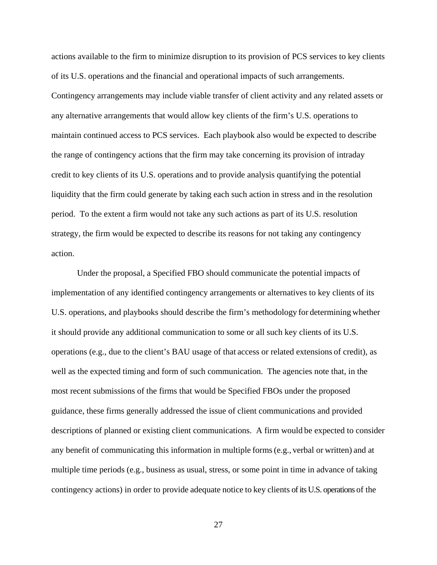actions available to the firm to minimize disruption to its provision of PCS services to key clients of its U.S. operations and the financial and operational impacts of such arrangements. Contingency arrangements may include viable transfer of client activity and any related assets or any alternative arrangements that would allow key clients of the firm's U.S. operations to maintain continued access to PCS services. Each playbook also would be expected to describe the range of contingency actions that the firm may take concerning its provision of intraday credit to key clients of its U.S. operations and to provide analysis quantifying the potential liquidity that the firm could generate by taking each such action in stress and in the resolution period. To the extent a firm would not take any such actions as part of its U.S. resolution strategy, the firm would be expected to describe its reasons for not taking any contingency action.

Under the proposal, a Specified FBO should communicate the potential impacts of implementation of any identified contingency arrangements or alternatives to key clients of its U.S. operations, and playbooks should describe the firm's methodology for determining whether it should provide any additional communication to some or all such key clients of its U.S. operations (e.g., due to the client's BAU usage of that access or related extensions of credit), as well as the expected timing and form of such communication. The agencies note that, in the most recent submissions of the firms that would be Specified FBOs under the proposed guidance, these firms generally addressed the issue of client communications and provided descriptions of planned or existing client communications. A firm would be expected to consider any benefit of communicating this information in multiple forms (e.g.*,* verbal or written) and at multiple time periods (e.g., business as usual, stress, or some point in time in advance of taking contingency actions) in order to provide adequate notice to key clients of its U.S. operations of the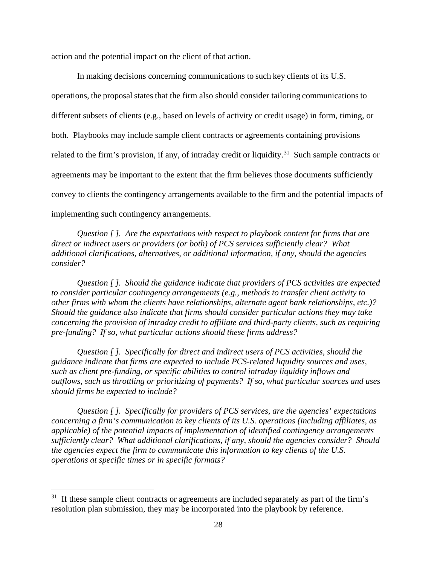action and the potential impact on the client of that action.

In making decisions concerning communications to such key clients of its U.S. operations, the proposal states that the firm also should consider tailoring communications to different subsets of clients (e.g., based on levels of activity or credit usage) in form, timing, or both. Playbooks may include sample client contracts or agreements containing provisions related to the firm's provision, if any, of intraday credit or liquidity.<sup>31</sup> Such sample contracts or agreements may be important to the extent that the firm believes those documents sufficiently convey to clients the contingency arrangements available to the firm and the potential impacts of implementing such contingency arrangements.

*Question [ ]. Are the expectations with respect to playbook content for firms that are direct or indirect users or providers (or both) of PCS services sufficiently clear? What additional clarifications, alternatives, or additional information, if any, should the agencies consider?*

*Question [ ]. Should the guidance indicate that providers of PCS activities are expected to consider particular contingency arrangements (e.g., methods to transfer client activity to other firms with whom the clients have relationships, alternate agent bank relationships, etc.)? Should the guidance also indicate that firms should consider particular actions they may take concerning the provision of intraday credit to affiliate and third-party clients, such as requiring pre-funding? If so, what particular actions should these firms address?*

*Question [ ]. Specifically for direct and indirect users of PCS activities, should the guidance indicate that firms are expected to include PCS-related liquidity sources and uses, such as client pre-funding, or specific abilities to control intraday liquidity inflows and outflows, such as throttling or prioritizing of payments? If so, what particular sources and uses should firms be expected to include?* 

*Question [ ]. Specifically for providers of PCS services, are the agencies' expectations concerning a firm's communication to key clients of its U.S. operations (including affiliates, as applicable) of the potential impacts of implementation of identified contingency arrangements sufficiently clear? What additional clarifications, if any, should the agencies consider? Should the agencies expect the firm to communicate this information to key clients of the U.S. operations at specific times or in specific formats?*

 $31$  If these sample client contracts or agreements are included separately as part of the firm's resolution plan submission, they may be incorporated into the playbook by reference.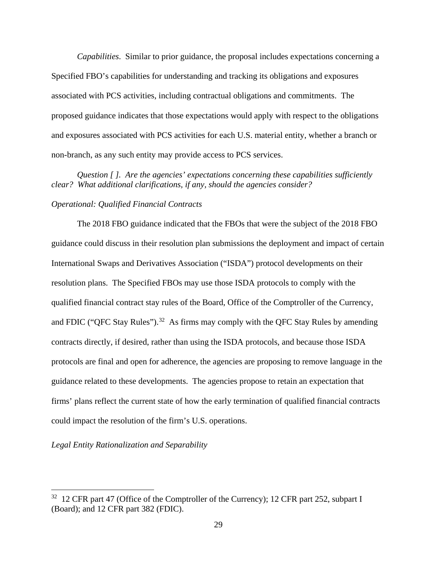*Capabilities*. Similar to prior guidance, the proposal includes expectations concerning a Specified FBO's capabilities for understanding and tracking its obligations and exposures associated with PCS activities, including contractual obligations and commitments. The proposed guidance indicates that those expectations would apply with respect to the obligations and exposures associated with PCS activities for each U.S. material entity, whether a branch or non-branch, as any such entity may provide access to PCS services.

*Question [ ]. Are the agencies' expectations concerning these capabilities sufficiently clear? What additional clarifications, if any, should the agencies consider?* 

## *Operational: Qualified Financial Contracts*

The 2018 FBO guidance indicated that the FBOs that were the subject of the 2018 FBO guidance could discuss in their resolution plan submissions the deployment and impact of certain International Swaps and Derivatives Association ("ISDA") protocol developments on their resolution plans. The Specified FBOs may use those ISDA protocols to comply with the qualified financial contract stay rules of the Board, Office of the Comptroller of the Currency, and FDIC ("QFC Stay Rules").<sup>32</sup> As firms may comply with the QFC Stay Rules by amending contracts directly, if desired, rather than using the ISDA protocols, and because those ISDA protocols are final and open for adherence, the agencies are proposing to remove language in the guidance related to these developments. The agencies propose to retain an expectation that firms' plans reflect the current state of how the early termination of qualified financial contracts could impact the resolution of the firm's U.S. operations.

*Legal Entity Rationalization and Separability* 

<sup>&</sup>lt;sup>32</sup> 12 CFR part 47 (Office of the Comptroller of the Currency); 12 CFR part 252, subpart I (Board); and 12 CFR part 382 (FDIC).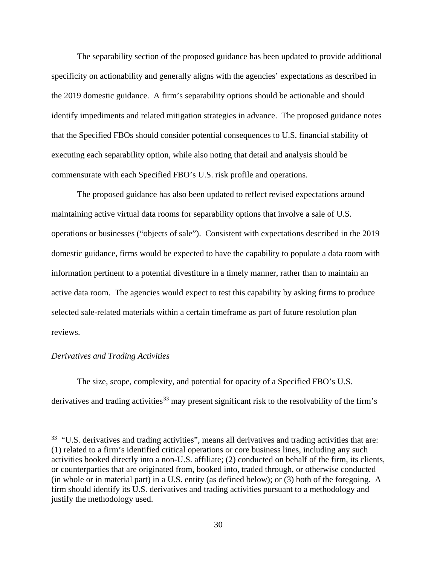The separability section of the proposed guidance has been updated to provide additional specificity on actionability and generally aligns with the agencies' expectations as described in the 2019 domestic guidance. A firm's separability options should be actionable and should identify impediments and related mitigation strategies in advance. The proposed guidance notes that the Specified FBOs should consider potential consequences to U.S. financial stability of executing each separability option, while also noting that detail and analysis should be commensurate with each Specified FBO's U.S. risk profile and operations.

The proposed guidance has also been updated to reflect revised expectations around maintaining active virtual data rooms for separability options that involve a sale of U.S. operations or businesses ("objects of sale"). Consistent with expectations described in the 2019 domestic guidance, firms would be expected to have the capability to populate a data room with information pertinent to a potential divestiture in a timely manner, rather than to maintain an active data room. The agencies would expect to test this capability by asking firms to produce selected sale-related materials within a certain timeframe as part of future resolution plan reviews.

#### *Derivatives and Trading Activities*

 $\overline{a}$ 

The size, scope, complexity, and potential for opacity of a Specified FBO's U.S. derivatives and trading activities<sup>33</sup> may present significant risk to the resolvability of the firm's

<sup>&</sup>lt;sup>33</sup> "U.S. derivatives and trading activities", means all derivatives and trading activities that are: (1) related to a firm's identified critical operations or core business lines, including any such activities booked directly into a non-U.S. affiliate; (2) conducted on behalf of the firm, its clients, or counterparties that are originated from, booked into, traded through, or otherwise conducted (in whole or in material part) in a U.S. entity (as defined below); or (3) both of the foregoing. A firm should identify its U.S. derivatives and trading activities pursuant to a methodology and justify the methodology used.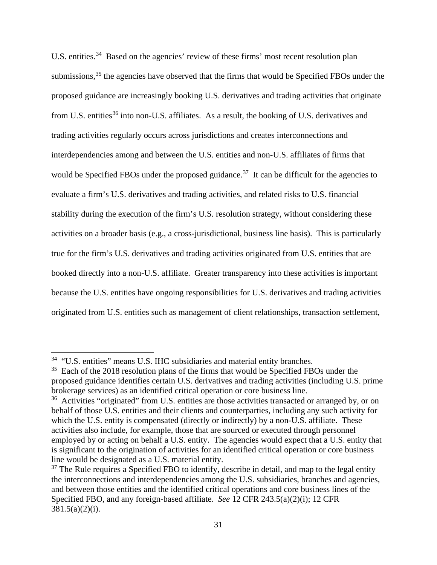U.S. entities.<sup>34</sup> Based on the agencies' review of these firms' most recent resolution plan submissions,<sup>35</sup> the agencies have observed that the firms that would be Specified FBOs under the proposed guidance are increasingly booking U.S. derivatives and trading activities that originate from U.S. entities<sup>36</sup> into non-U.S. affiliates. As a result, the booking of U.S. derivatives and trading activities regularly occurs across jurisdictions and creates interconnections and interdependencies among and between the U.S. entities and non-U.S. affiliates of firms that would be Specified FBOs under the proposed guidance.<sup>37</sup> It can be difficult for the agencies to evaluate a firm's U.S. derivatives and trading activities, and related risks to U.S. financial stability during the execution of the firm's U.S. resolution strategy, without considering these activities on a broader basis (e.g., a cross-jurisdictional, business line basis). This is particularly true for the firm's U.S. derivatives and trading activities originated from U.S. entities that are booked directly into a non-U.S. affiliate. Greater transparency into these activities is important because the U.S. entities have ongoing responsibilities for U.S. derivatives and trading activities originated from U.S. entities such as management of client relationships, transaction settlement,

<sup>&</sup>lt;sup>34</sup> "U.S. entities" means U.S. IHC subsidiaries and material entity branches.

<sup>&</sup>lt;sup>35</sup> Each of the 2018 resolution plans of the firms that would be Specified FBOs under the proposed guidance identifies certain U.S. derivatives and trading activities (including U.S. prime brokerage services) as an identified critical operation or core business line.

<sup>&</sup>lt;sup>36</sup> Activities "originated" from U.S. entities are those activities transacted or arranged by, or on behalf of those U.S. entities and their clients and counterparties, including any such activity for which the U.S. entity is compensated (directly or indirectly) by a non-U.S. affiliate. These activities also include, for example, those that are sourced or executed through personnel employed by or acting on behalf a U.S. entity. The agencies would expect that a U.S. entity that is significant to the origination of activities for an identified critical operation or core business line would be designated as a U.S. material entity.

 $37$  The Rule requires a Specified FBO to identify, describe in detail, and map to the legal entity the interconnections and interdependencies among the U.S. subsidiaries, branches and agencies, and between those entities and the identified critical operations and core business lines of the Specified FBO, and any foreign-based affiliate. *See* 12 CFR 243.5(a)(2)(i); 12 CFR  $381.5(a)(2)(i)$ .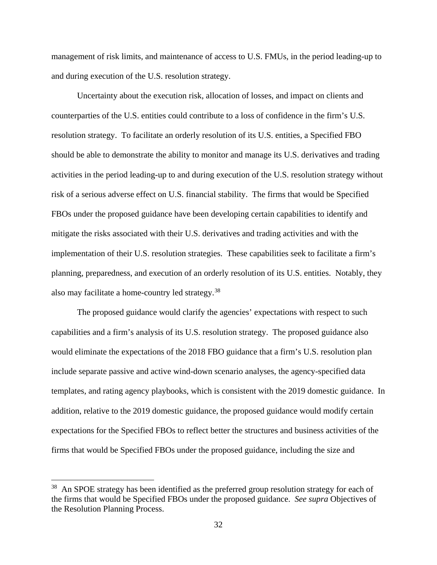management of risk limits, and maintenance of access to U.S. FMUs, in the period leading-up to and during execution of the U.S. resolution strategy.

Uncertainty about the execution risk, allocation of losses, and impact on clients and counterparties of the U.S. entities could contribute to a loss of confidence in the firm's U.S. resolution strategy. To facilitate an orderly resolution of its U.S. entities, a Specified FBO should be able to demonstrate the ability to monitor and manage its U.S. derivatives and trading activities in the period leading-up to and during execution of the U.S. resolution strategy without risk of a serious adverse effect on U.S. financial stability. The firms that would be Specified FBOs under the proposed guidance have been developing certain capabilities to identify and mitigate the risks associated with their U.S. derivatives and trading activities and with the implementation of their U.S. resolution strategies. These capabilities seek to facilitate a firm's planning, preparedness, and execution of an orderly resolution of its U.S. entities. Notably, they also may facilitate a home-country led strategy.38

The proposed guidance would clarify the agencies' expectations with respect to such capabilities and a firm's analysis of its U.S. resolution strategy. The proposed guidance also would eliminate the expectations of the 2018 FBO guidance that a firm's U.S. resolution plan include separate passive and active wind-down scenario analyses, the agency-specified data templates, and rating agency playbooks, which is consistent with the 2019 domestic guidance. In addition, relative to the 2019 domestic guidance, the proposed guidance would modify certain expectations for the Specified FBOs to reflect better the structures and business activities of the firms that would be Specified FBOs under the proposed guidance, including the size and

<sup>&</sup>lt;sup>38</sup> An SPOE strategy has been identified as the preferred group resolution strategy for each of the firms that would be Specified FBOs under the proposed guidance. *See supra* Objectives of the Resolution Planning Process.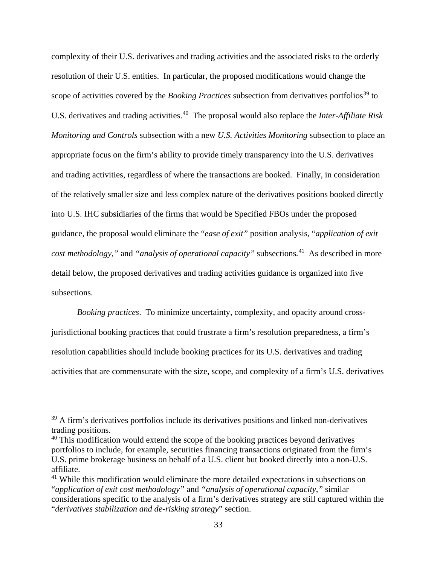complexity of their U.S. derivatives and trading activities and the associated risks to the orderly resolution of their U.S. entities. In particular, the proposed modifications would change the scope of activities covered by the *Booking Practices* subsection from derivatives portfolios<sup>39</sup> to U.S. derivatives and trading activities.40 The proposal would also replace the *Inter-Affiliate Risk Monitoring and Controls* subsection with a new *U.S. Activities Monitoring* subsection to place an appropriate focus on the firm's ability to provide timely transparency into the U.S. derivatives and trading activities, regardless of where the transactions are booked. Finally, in consideration of the relatively smaller size and less complex nature of the derivatives positions booked directly into U.S. IHC subsidiaries of the firms that would be Specified FBOs under the proposed guidance, the proposal would eliminate the "*ease of exit"* position analysis*,* "*application of exit cost methodology*,*"* and *"analysis of operational capacity"* subsections*.* <sup>41</sup>As described in more detail below, the proposed derivatives and trading activities guidance is organized into five subsections.

*Booking practices*. To minimize uncertainty, complexity, and opacity around crossjurisdictional booking practices that could frustrate a firm's resolution preparedness, a firm's resolution capabilities should include booking practices for its U.S. derivatives and trading activities that are commensurate with the size, scope, and complexity of a firm's U.S. derivatives

 $39$  A firm's derivatives portfolios include its derivatives positions and linked non-derivatives trading positions.

 $40$  This modification would extend the scope of the booking practices beyond derivatives portfolios to include, for example, securities financing transactions originated from the firm's U.S. prime brokerage business on behalf of a U.S. client but booked directly into a non-U.S. affiliate.

<sup>&</sup>lt;sup>41</sup> While this modification would eliminate the more detailed expectations in subsections on "*application of exit cost methodology"* and *"analysis of operational capacity*,*"* similar considerations specific to the analysis of a firm's derivatives strategy are still captured within the "*derivatives stabilization and de-risking strategy*" section.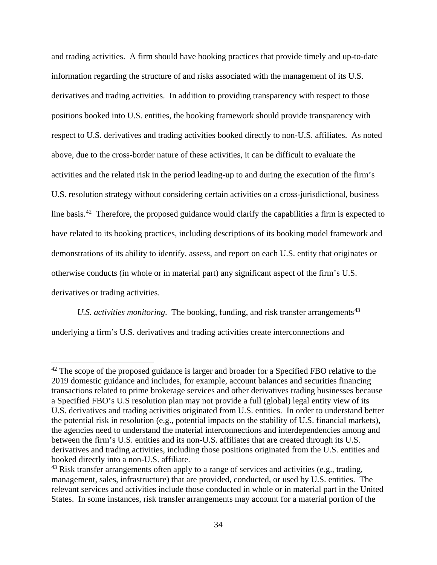and trading activities. A firm should have booking practices that provide timely and up-to-date information regarding the structure of and risks associated with the management of its U.S. derivatives and trading activities. In addition to providing transparency with respect to those positions booked into U.S. entities, the booking framework should provide transparency with respect to U.S. derivatives and trading activities booked directly to non-U.S. affiliates. As noted above, due to the cross-border nature of these activities, it can be difficult to evaluate the activities and the related risk in the period leading-up to and during the execution of the firm's U.S. resolution strategy without considering certain activities on a cross-jurisdictional, business line basis.<sup>42</sup> Therefore, the proposed guidance would clarify the capabilities a firm is expected to have related to its booking practices, including descriptions of its booking model framework and demonstrations of its ability to identify, assess, and report on each U.S. entity that originates or otherwise conducts (in whole or in material part) any significant aspect of the firm's U.S. derivatives or trading activities.

*U.S. activities monitoring.* The booking, funding, and risk transfer arrangements<sup>43</sup> underlying a firm's U.S. derivatives and trading activities create interconnections and

<sup>&</sup>lt;sup>42</sup> The scope of the proposed guidance is larger and broader for a Specified FBO relative to the 2019 domestic guidance and includes, for example, account balances and securities financing transactions related to prime brokerage services and other derivatives trading businesses because a Specified FBO's U.S resolution plan may not provide a full (global) legal entity view of its U.S. derivatives and trading activities originated from U.S. entities. In order to understand better the potential risk in resolution (e.g., potential impacts on the stability of U.S. financial markets), the agencies need to understand the material interconnections and interdependencies among and between the firm's U.S. entities and its non-U.S. affiliates that are created through its U.S. derivatives and trading activities, including those positions originated from the U.S. entities and booked directly into a non-U.S. affiliate.

 $43$  Risk transfer arrangements often apply to a range of services and activities (e.g., trading, management, sales, infrastructure) that are provided, conducted, or used by U.S. entities. The relevant services and activities include those conducted in whole or in material part in the United States. In some instances, risk transfer arrangements may account for a material portion of the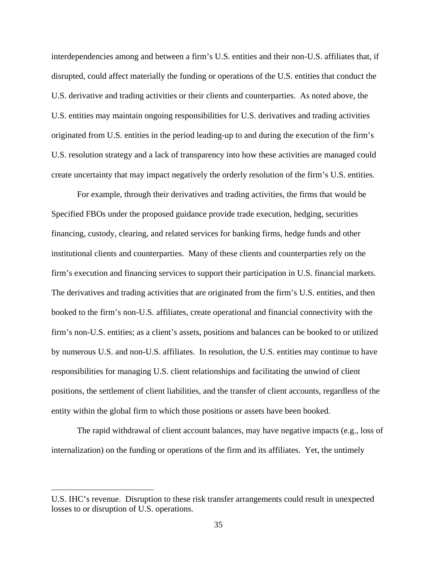interdependencies among and between a firm's U.S. entities and their non-U.S. affiliates that, if disrupted, could affect materially the funding or operations of the U.S. entities that conduct the U.S. derivative and trading activities or their clients and counterparties. As noted above, the U.S. entities may maintain ongoing responsibilities for U.S. derivatives and trading activities originated from U.S. entities in the period leading-up to and during the execution of the firm's U.S. resolution strategy and a lack of transparency into how these activities are managed could create uncertainty that may impact negatively the orderly resolution of the firm's U.S. entities.

For example, through their derivatives and trading activities, the firms that would be Specified FBOs under the proposed guidance provide trade execution, hedging, securities financing, custody, clearing, and related services for banking firms, hedge funds and other institutional clients and counterparties. Many of these clients and counterparties rely on the firm's execution and financing services to support their participation in U.S. financial markets. The derivatives and trading activities that are originated from the firm's U.S. entities, and then booked to the firm's non-U.S. affiliates, create operational and financial connectivity with the firm's non-U.S. entities; as a client's assets, positions and balances can be booked to or utilized by numerous U.S. and non-U.S. affiliates. In resolution, the U.S. entities may continue to have responsibilities for managing U.S. client relationships and facilitating the unwind of client positions, the settlement of client liabilities, and the transfer of client accounts, regardless of the entity within the global firm to which those positions or assets have been booked.

The rapid withdrawal of client account balances, may have negative impacts (e.g., loss of internalization) on the funding or operations of the firm and its affiliates. Yet, the untimely

U.S. IHC's revenue. Disruption to these risk transfer arrangements could result in unexpected losses to or disruption of U.S. operations.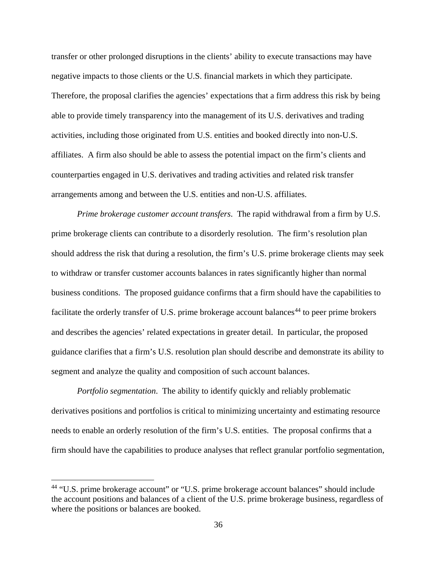transfer or other prolonged disruptions in the clients' ability to execute transactions may have negative impacts to those clients or the U.S. financial markets in which they participate. Therefore, the proposal clarifies the agencies' expectations that a firm address this risk by being able to provide timely transparency into the management of its U.S. derivatives and trading activities, including those originated from U.S. entities and booked directly into non-U.S. affiliates. A firm also should be able to assess the potential impact on the firm's clients and counterparties engaged in U.S. derivatives and trading activities and related risk transfer arrangements among and between the U.S. entities and non-U.S. affiliates.

*Prime brokerage customer account transfers*. The rapid withdrawal from a firm by U.S. prime brokerage clients can contribute to a disorderly resolution. The firm's resolution plan should address the risk that during a resolution, the firm's U.S. prime brokerage clients may seek to withdraw or transfer customer accounts balances in rates significantly higher than normal business conditions. The proposed guidance confirms that a firm should have the capabilities to facilitate the orderly transfer of U.S. prime brokerage account balances<sup>44</sup> to peer prime brokers and describes the agencies' related expectations in greater detail. In particular, the proposed guidance clarifies that a firm's U.S. resolution plan should describe and demonstrate its ability to segment and analyze the quality and composition of such account balances.

*Portfolio segmentation*. The ability to identify quickly and reliably problematic derivatives positions and portfolios is critical to minimizing uncertainty and estimating resource needs to enable an orderly resolution of the firm's U.S. entities. The proposal confirms that a firm should have the capabilities to produce analyses that reflect granular portfolio segmentation,

<sup>&</sup>lt;sup>44</sup> "U.S. prime brokerage account" or "U.S. prime brokerage account balances" should include the account positions and balances of a client of the U.S. prime brokerage business, regardless of where the positions or balances are booked.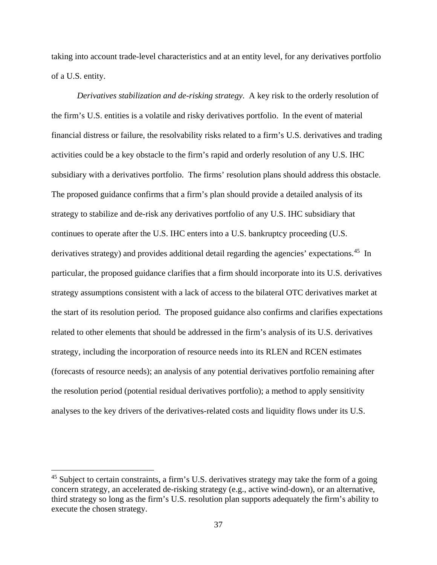taking into account trade-level characteristics and at an entity level, for any derivatives portfolio of a U.S. entity.

*Derivatives stabilization and de-risking strategy*. A key risk to the orderly resolution of the firm's U.S. entities is a volatile and risky derivatives portfolio. In the event of material financial distress or failure, the resolvability risks related to a firm's U.S. derivatives and trading activities could be a key obstacle to the firm's rapid and orderly resolution of any U.S. IHC subsidiary with a derivatives portfolio. The firms' resolution plans should address this obstacle. The proposed guidance confirms that a firm's plan should provide a detailed analysis of its strategy to stabilize and de-risk any derivatives portfolio of any U.S. IHC subsidiary that continues to operate after the U.S. IHC enters into a U.S. bankruptcy proceeding (U.S. derivatives strategy) and provides additional detail regarding the agencies' expectations.<sup>45</sup> In particular, the proposed guidance clarifies that a firm should incorporate into its U.S. derivatives strategy assumptions consistent with a lack of access to the bilateral OTC derivatives market at the start of its resolution period. The proposed guidance also confirms and clarifies expectations related to other elements that should be addressed in the firm's analysis of its U.S. derivatives strategy, including the incorporation of resource needs into its RLEN and RCEN estimates (forecasts of resource needs); an analysis of any potential derivatives portfolio remaining after the resolution period (potential residual derivatives portfolio); a method to apply sensitivity analyses to the key drivers of the derivatives-related costs and liquidity flows under its U.S.

<sup>&</sup>lt;sup>45</sup> Subject to certain constraints, a firm's U.S. derivatives strategy may take the form of a going concern strategy, an accelerated de-risking strategy (e.g., active wind-down), or an alternative, third strategy so long as the firm's U.S. resolution plan supports adequately the firm's ability to execute the chosen strategy.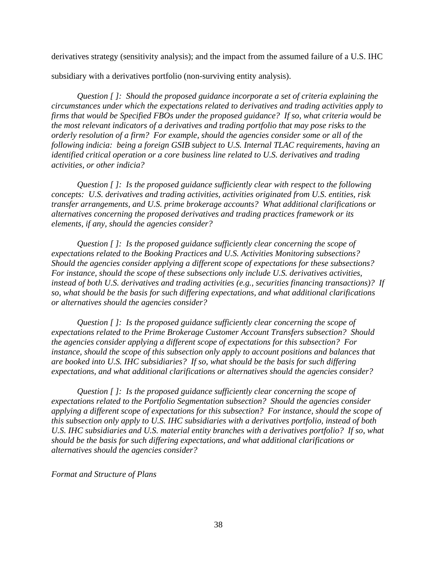derivatives strategy (sensitivity analysis); and the impact from the assumed failure of a U.S. IHC

subsidiary with a derivatives portfolio (non-surviving entity analysis).

*Question [ ]: Should the proposed guidance incorporate a set of criteria explaining the circumstances under which the expectations related to derivatives and trading activities apply to firms that would be Specified FBOs under the proposed guidance? If so, what criteria would be the most relevant indicators of a derivatives and trading portfolio that may pose risks to the orderly resolution of a firm? For example, should the agencies consider some or all of the following indicia: being a foreign GSIB subject to U.S. Internal TLAC requirements, having an identified critical operation or a core business line related to U.S. derivatives and trading activities, or other indicia?* 

*Question [ ]: Is the proposed guidance sufficiently clear with respect to the following concepts: U.S. derivatives and trading activities, activities originated from U.S. entities, risk transfer arrangements, and U.S. prime brokerage accounts? What additional clarifications or alternatives concerning the proposed derivatives and trading practices framework or its elements, if any, should the agencies consider?* 

*Question [ ]: Is the proposed guidance sufficiently clear concerning the scope of expectations related to the Booking Practices and U.S. Activities Monitoring subsections? Should the agencies consider applying a different scope of expectations for these subsections? For instance, should the scope of these subsections only include U.S. derivatives activities, instead of both U.S. derivatives and trading activities (e.g., securities financing transactions)? If so, what should be the basis for such differing expectations, and what additional clarifications or alternatives should the agencies consider?* 

*Question [ ]: Is the proposed guidance sufficiently clear concerning the scope of expectations related to the Prime Brokerage Customer Account Transfers subsection? Should the agencies consider applying a different scope of expectations for this subsection? For instance, should the scope of this subsection only apply to account positions and balances that are booked into U.S. IHC subsidiaries? If so, what should be the basis for such differing expectations, and what additional clarifications or alternatives should the agencies consider?* 

*Question [ ]: Is the proposed guidance sufficiently clear concerning the scope of expectations related to the Portfolio Segmentation subsection? Should the agencies consider applying a different scope of expectations for this subsection? For instance, should the scope of this subsection only apply to U.S. IHC subsidiaries with a derivatives portfolio, instead of both U.S. IHC subsidiaries and U.S. material entity branches with a derivatives portfolio? If so, what should be the basis for such differing expectations, and what additional clarifications or alternatives should the agencies consider?*

*Format and Structure of Plans*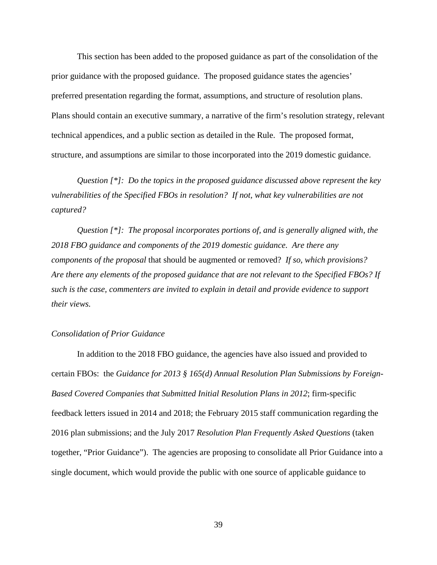This section has been added to the proposed guidance as part of the consolidation of the prior guidance with the proposed guidance. The proposed guidance states the agencies' preferred presentation regarding the format, assumptions, and structure of resolution plans. Plans should contain an executive summary, a narrative of the firm's resolution strategy, relevant technical appendices, and a public section as detailed in the Rule. The proposed format, structure, and assumptions are similar to those incorporated into the 2019 domestic guidance.

*Question [\*]: Do the topics in the proposed guidance discussed above represent the key vulnerabilities of the Specified FBOs in resolution? If not, what key vulnerabilities are not captured?*

*Question [\*]: The proposal incorporates portions of, and is generally aligned with, the 2018 FBO guidance and components of the 2019 domestic guidance. Are there any components of the proposal* that should be augmented or removed? *If so, which provisions? Are there any elements of the proposed guidance that are not relevant to the Specified FBOs? If such is the case, commenters are invited to explain in detail and provide evidence to support their views.*

#### *Consolidation of Prior Guidance*

In addition to the 2018 FBO guidance, the agencies have also issued and provided to certain FBOs: the *Guidance for 2013 § 165(d) Annual Resolution Plan Submissions by Foreign-Based Covered Companies that Submitted Initial Resolution Plans in 2012*; firm-specific feedback letters issued in 2014 and 2018; the February 2015 staff communication regarding the 2016 plan submissions; and the July 2017 *Resolution Plan Frequently Asked Questions* (taken together, "Prior Guidance"). The agencies are proposing to consolidate all Prior Guidance into a single document, which would provide the public with one source of applicable guidance to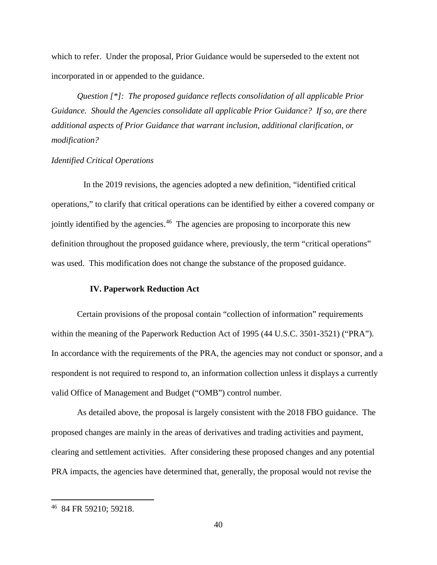which to refer. Under the proposal, Prior Guidance would be superseded to the extent not incorporated in or appended to the guidance.

*Question [\*]: The proposed guidance reflects consolidation of all applicable Prior Guidance. Should the Agencies consolidate all applicable Prior Guidance? If so, are there additional aspects of Prior Guidance that warrant inclusion, additional clarification, or modification?*

### *Identified Critical Operations*

 In the 2019 revisions, the agencies adopted a new definition, "identified critical operations," to clarify that critical operations can be identified by either a covered company or jointly identified by the agencies.<sup>46</sup> The agencies are proposing to incorporate this new definition throughout the proposed guidance where, previously, the term "critical operations" was used. This modification does not change the substance of the proposed guidance.

#### **IV. Paperwork Reduction Act**

Certain provisions of the proposal contain "collection of information" requirements within the meaning of the Paperwork Reduction Act of 1995 (44 U.S.C. 3501-3521) ("PRA"). In accordance with the requirements of the PRA, the agencies may not conduct or sponsor, and a respondent is not required to respond to, an information collection unless it displays a currently valid Office of Management and Budget ("OMB") control number.

As detailed above, the proposal is largely consistent with the 2018 FBO guidance. The proposed changes are mainly in the areas of derivatives and trading activities and payment, clearing and settlement activities. After considering these proposed changes and any potential PRA impacts, the agencies have determined that, generally, the proposal would not revise the

<sup>46 84</sup> FR 59210; 59218.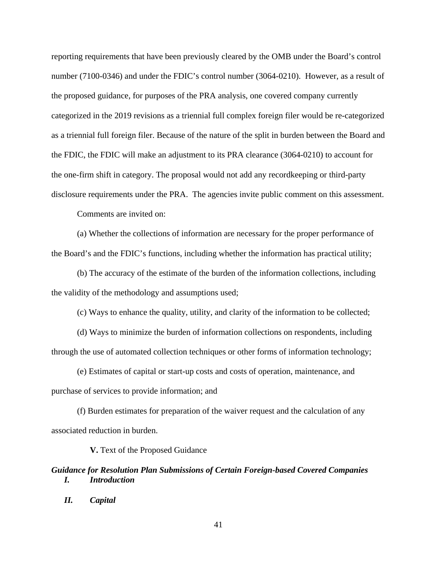reporting requirements that have been previously cleared by the OMB under the Board's control number (7100-0346) and under the FDIC's control number (3064-0210). However, as a result of the proposed guidance, for purposes of the PRA analysis, one covered company currently categorized in the 2019 revisions as a triennial full complex foreign filer would be re-categorized as a triennial full foreign filer. Because of the nature of the split in burden between the Board and the FDIC, the FDIC will make an adjustment to its PRA clearance (3064-0210) to account for the one-firm shift in category. The proposal would not add any recordkeeping or third-party disclosure requirements under the PRA. The agencies invite public comment on this assessment.

Comments are invited on:

(a) Whether the collections of information are necessary for the proper performance of the Board's and the FDIC's functions, including whether the information has practical utility;

(b) The accuracy of the estimate of the burden of the information collections, including the validity of the methodology and assumptions used;

(c) Ways to enhance the quality, utility, and clarity of the information to be collected;

(d) Ways to minimize the burden of information collections on respondents, including through the use of automated collection techniques or other forms of information technology;

(e) Estimates of capital or start-up costs and costs of operation, maintenance, and purchase of services to provide information; and

(f) Burden estimates for preparation of the waiver request and the calculation of any associated reduction in burden.

**V.** Text of the Proposed Guidance

*Guidance for Resolution Plan Submissions of Certain Foreign-based Covered Companies I. Introduction*

*II. Capital* 

41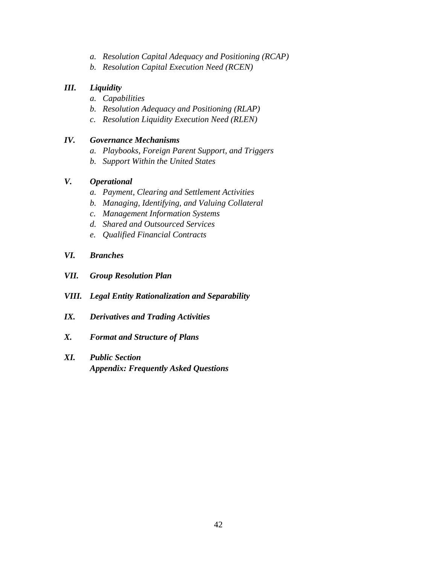- *a. Resolution Capital Adequacy and Positioning (RCAP)*
- *b. Resolution Capital Execution Need (RCEN)*

# *III. Liquidity*

- *a. Capabilities*
- *b. Resolution Adequacy and Positioning (RLAP)*
- *c. Resolution Liquidity Execution Need (RLEN)*

# *IV. Governance Mechanisms*

- *a. Playbooks, Foreign Parent Support, and Triggers*
- *b. Support Within the United States*

# *V. Operational*

- *a. Payment, Clearing and Settlement Activities*
- *b. Managing, Identifying, and Valuing Collateral*
- *c. Management Information Systems*
- *d. Shared and Outsourced Services*
- *e. Qualified Financial Contracts*
- *VI. Branches*
- *VII. Group Resolution Plan*
- *VIII. Legal Entity Rationalization and Separability*
- *IX. Derivatives and Trading Activities*
- *X. Format and Structure of Plans*
- *XI. Public Section Appendix: Frequently Asked Questions*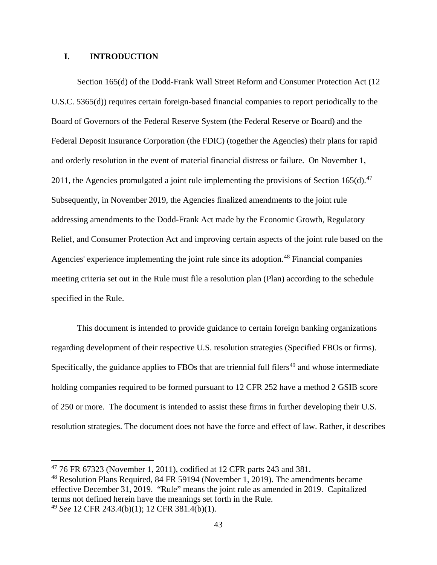### **I. INTRODUCTION**

Section 165(d) of the Dodd-Frank Wall Street Reform and Consumer Protection Act (12 U.S.C. 5365(d)) requires certain foreign-based financial companies to report periodically to the Board of Governors of the Federal Reserve System (the Federal Reserve or Board) and the Federal Deposit Insurance Corporation (the FDIC) (together the Agencies) their plans for rapid and orderly resolution in the event of material financial distress or failure. On November 1, 2011, the Agencies promulgated a joint rule implementing the provisions of Section 165(d).<sup>47</sup> Subsequently, in November 2019, the Agencies finalized amendments to the joint rule addressing amendments to the Dodd-Frank Act made by the Economic Growth, Regulatory Relief, and Consumer Protection Act and improving certain aspects of the joint rule based on the Agencies' experience implementing the joint rule since its adoption.<sup>48</sup> Financial companies meeting criteria set out in the Rule must file a resolution plan (Plan) according to the schedule specified in the Rule.

This document is intended to provide guidance to certain foreign banking organizations regarding development of their respective U.S. resolution strategies (Specified FBOs or firms). Specifically, the guidance applies to FBOs that are triennial full filers<sup>49</sup> and whose intermediate holding companies required to be formed pursuant to 12 CFR 252 have a method 2 GSIB score of 250 or more. The document is intended to assist these firms in further developing their U.S. resolution strategies. The document does not have the force and effect of law. Rather, it describes

<sup>47 76</sup> FR 67323 (November 1, 2011), codified at 12 CFR parts 243 and 381.

<sup>48</sup> Resolution Plans Required, 84 FR 59194 (November 1, 2019). The amendments became effective December 31, 2019. "Rule" means the joint rule as amended in 2019. Capitalized terms not defined herein have the meanings set forth in the Rule. <sup>49</sup> *See* 12 CFR 243.4(b)(1); 12 CFR 381.4(b)(1).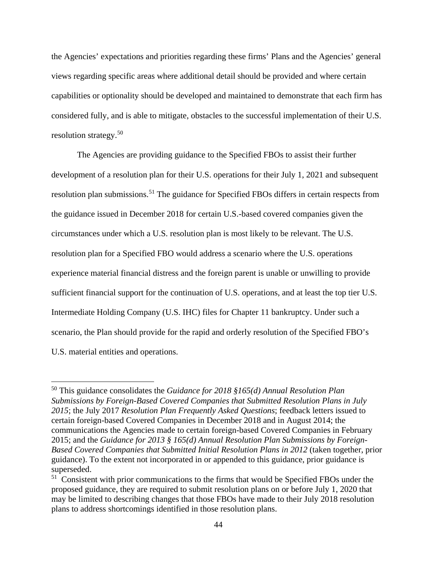the Agencies' expectations and priorities regarding these firms' Plans and the Agencies' general views regarding specific areas where additional detail should be provided and where certain capabilities or optionality should be developed and maintained to demonstrate that each firm has considered fully, and is able to mitigate, obstacles to the successful implementation of their U.S. resolution strategy. 50

The Agencies are providing guidance to the Specified FBOs to assist their further development of a resolution plan for their U.S. operations for their July 1, 2021 and subsequent resolution plan submissions.<sup>51</sup> The guidance for Specified FBOs differs in certain respects from the guidance issued in December 2018 for certain U.S.-based covered companies given the circumstances under which a U.S. resolution plan is most likely to be relevant. The U.S. resolution plan for a Specified FBO would address a scenario where the U.S. operations experience material financial distress and the foreign parent is unable or unwilling to provide sufficient financial support for the continuation of U.S. operations, and at least the top tier U.S. Intermediate Holding Company (U.S. IHC) files for Chapter 11 bankruptcy. Under such a scenario, the Plan should provide for the rapid and orderly resolution of the Specified FBO's U.S. material entities and operations.

<sup>50</sup> This guidance consolidates the *Guidance for 2018 §165(d) Annual Resolution Plan Submissions by Foreign-Based Covered Companies that Submitted Resolution Plans in July 2015*; the July 2017 *Resolution Plan Frequently Asked Questions*; feedback letters issued to certain foreign-based Covered Companies in December 2018 and in August 2014; the communications the Agencies made to certain foreign-based Covered Companies in February 2015; and the *Guidance for 2013 § 165(d) Annual Resolution Plan Submissions by Foreign-Based Covered Companies that Submitted Initial Resolution Plans in 2012* (taken together, prior guidance). To the extent not incorporated in or appended to this guidance, prior guidance is superseded.

<sup>&</sup>lt;sup>51</sup> Consistent with prior communications to the firms that would be Specified FBOs under the proposed guidance, they are required to submit resolution plans on or before July 1, 2020 that may be limited to describing changes that those FBOs have made to their July 2018 resolution plans to address shortcomings identified in those resolution plans.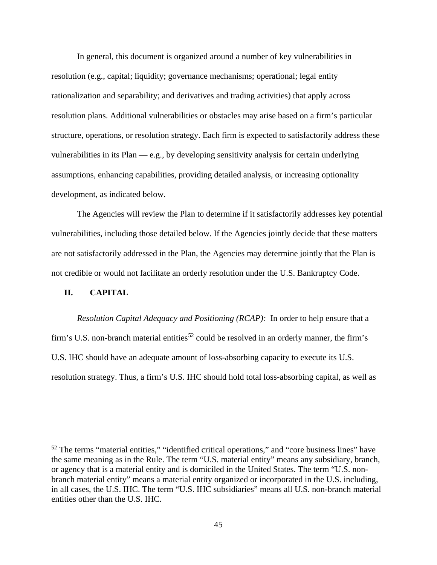In general, this document is organized around a number of key vulnerabilities in resolution (e.g., capital; liquidity; governance mechanisms; operational; legal entity rationalization and separability; and derivatives and trading activities) that apply across resolution plans. Additional vulnerabilities or obstacles may arise based on a firm's particular structure, operations, or resolution strategy. Each firm is expected to satisfactorily address these vulnerabilities in its Plan — e.g., by developing sensitivity analysis for certain underlying assumptions, enhancing capabilities, providing detailed analysis, or increasing optionality development, as indicated below.

The Agencies will review the Plan to determine if it satisfactorily addresses key potential vulnerabilities, including those detailed below. If the Agencies jointly decide that these matters are not satisfactorily addressed in the Plan, the Agencies may determine jointly that the Plan is not credible or would not facilitate an orderly resolution under the U.S. Bankruptcy Code.

### **II. CAPITAL**

 $\overline{a}$ 

*Resolution Capital Adequacy and Positioning (RCAP):* In order to help ensure that a firm's U.S. non-branch material entities<sup>52</sup> could be resolved in an orderly manner, the firm's U.S. IHC should have an adequate amount of loss-absorbing capacity to execute its U.S. resolution strategy. Thus, a firm's U.S. IHC should hold total loss-absorbing capital, as well as

<sup>&</sup>lt;sup>52</sup> The terms "material entities," "identified critical operations," and "core business lines" have the same meaning as in the Rule. The term "U.S. material entity" means any subsidiary, branch, or agency that is a material entity and is domiciled in the United States. The term "U.S. nonbranch material entity" means a material entity organized or incorporated in the U.S. including, in all cases, the U.S. IHC. The term "U.S. IHC subsidiaries" means all U.S. non-branch material entities other than the U.S. IHC.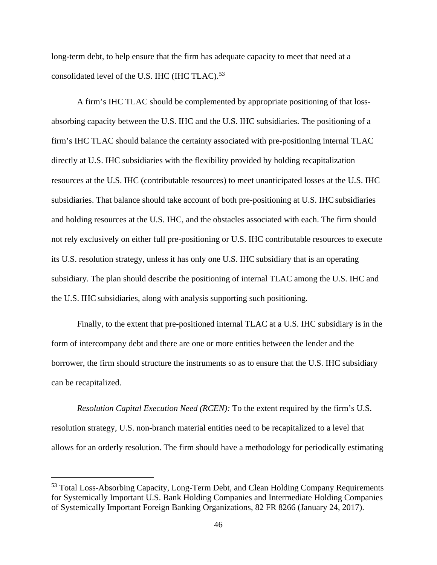long-term debt, to help ensure that the firm has adequate capacity to meet that need at a consolidated level of the U.S. IHC (IHC TLAC).<sup>53</sup>

A firm's IHC TLAC should be complemented by appropriate positioning of that lossabsorbing capacity between the U.S. IHC and the U.S. IHC subsidiaries. The positioning of a firm's IHC TLAC should balance the certainty associated with pre-positioning internal TLAC directly at U.S. IHC subsidiaries with the flexibility provided by holding recapitalization resources at the U.S. IHC (contributable resources) to meet unanticipated losses at the U.S. IHC subsidiaries. That balance should take account of both pre-positioning at U.S. IHC subsidiaries and holding resources at the U.S. IHC, and the obstacles associated with each. The firm should not rely exclusively on either full pre-positioning or U.S. IHC contributable resources to execute its U.S. resolution strategy, unless it has only one U.S. IHC subsidiary that is an operating subsidiary. The plan should describe the positioning of internal TLAC among the U.S. IHC and the U.S. IHC subsidiaries, along with analysis supporting such positioning.

Finally, to the extent that pre-positioned internal TLAC at a U.S. IHC subsidiary is in the form of intercompany debt and there are one or more entities between the lender and the borrower, the firm should structure the instruments so as to ensure that the U.S. IHC subsidiary can be recapitalized.

*Resolution Capital Execution Need (RCEN):* To the extent required by the firm's U.S. resolution strategy, U.S. non-branch material entities need to be recapitalized to a level that allows for an orderly resolution. The firm should have a methodology for periodically estimating

<sup>&</sup>lt;sup>53</sup> Total Loss-Absorbing Capacity, Long-Term Debt, and Clean Holding Company Requirements for Systemically Important U.S. Bank Holding Companies and Intermediate Holding Companies of Systemically Important Foreign Banking Organizations, 82 FR 8266 (January 24, 2017).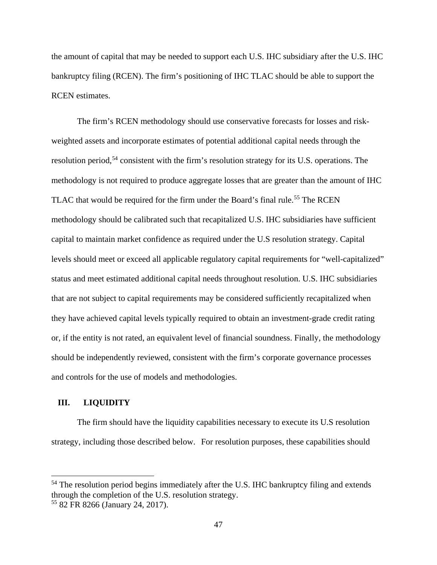the amount of capital that may be needed to support each U.S. IHC subsidiary after the U.S. IHC bankruptcy filing (RCEN). The firm's positioning of IHC TLAC should be able to support the RCEN estimates.

The firm's RCEN methodology should use conservative forecasts for losses and riskweighted assets and incorporate estimates of potential additional capital needs through the resolution period,<sup>54</sup> consistent with the firm's resolution strategy for its U.S. operations. The methodology is not required to produce aggregate losses that are greater than the amount of IHC TLAC that would be required for the firm under the Board's final rule.<sup>55</sup> The RCEN methodology should be calibrated such that recapitalized U.S. IHC subsidiaries have sufficient capital to maintain market confidence as required under the U.S resolution strategy. Capital levels should meet or exceed all applicable regulatory capital requirements for "well-capitalized" status and meet estimated additional capital needs throughout resolution. U.S. IHC subsidiaries that are not subject to capital requirements may be considered sufficiently recapitalized when they have achieved capital levels typically required to obtain an investment-grade credit rating or, if the entity is not rated, an equivalent level of financial soundness. Finally, the methodology should be independently reviewed, consistent with the firm's corporate governance processes and controls for the use of models and methodologies.

#### **III. LIQUIDITY**

 $\overline{a}$ 

The firm should have the liquidity capabilities necessary to execute its U.S resolution strategy, including those described below. For resolution purposes, these capabilities should

 $54$  The resolution period begins immediately after the U.S. IHC bankruptcy filing and extends through the completion of the U.S. resolution strategy.

<sup>55 82</sup> FR 8266 (January 24, 2017).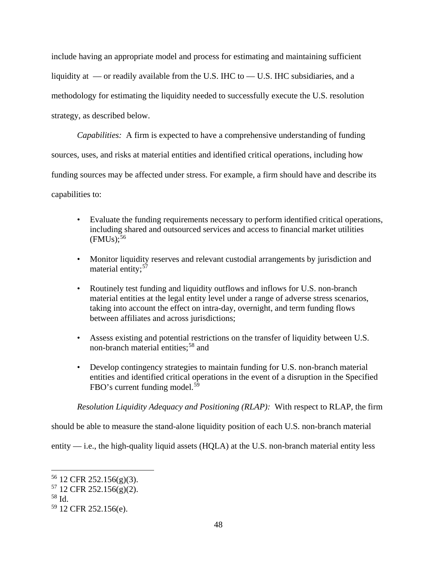include having an appropriate model and process for estimating and maintaining sufficient liquidity at — or readily available from the U.S. IHC to — U.S. IHC subsidiaries, and a methodology for estimating the liquidity needed to successfully execute the U.S. resolution strategy, as described below.

*Capabilities:* A firm is expected to have a comprehensive understanding of funding sources, uses, and risks at material entities and identified critical operations, including how funding sources may be affected under stress. For example, a firm should have and describe its capabilities to:

- Evaluate the funding requirements necessary to perform identified critical operations, including shared and outsourced services and access to financial market utilities  $(FMUs);$ <sup>56</sup>
- Monitor liquidity reserves and relevant custodial arrangements by jurisdiction and material entity:<sup>57</sup>
- Routinely test funding and liquidity outflows and inflows for U.S. non-branch material entities at the legal entity level under a range of adverse stress scenarios, taking into account the effect on intra-day, overnight, and term funding flows between affiliates and across jurisdictions;
- Assess existing and potential restrictions on the transfer of liquidity between U.S. non-branch material entities;<sup>58</sup> and
- Develop contingency strategies to maintain funding for U.S. non-branch material entities and identified critical operations in the event of a disruption in the Specified FBO's current funding model.<sup>59</sup>

*Resolution Liquidity Adequacy and Positioning (RLAP):* With respect to RLAP, the firm

should be able to measure the stand-alone liquidity position of each U.S. non-branch material

entity — i.e., the high-quality liquid assets (HQLA) at the U.S. non-branch material entity less

<sup>56 12</sup> CFR 252.156(g)(3).

 $57$  12 CFR 252.156(g)(2).

<sup>58</sup> Id.

<sup>59 12</sup> CFR 252.156(e).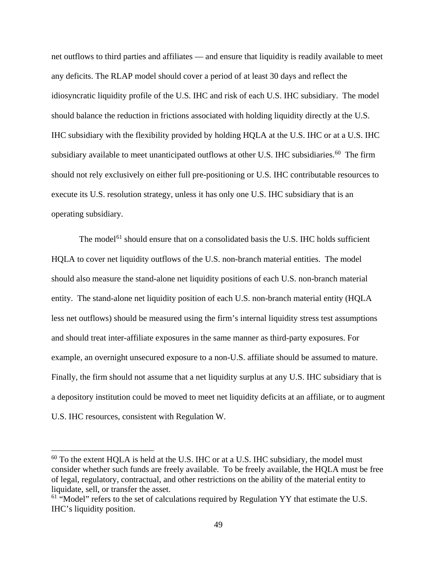net outflows to third parties and affiliates — and ensure that liquidity is readily available to meet any deficits. The RLAP model should cover a period of at least 30 days and reflect the idiosyncratic liquidity profile of the U.S. IHC and risk of each U.S. IHC subsidiary. The model should balance the reduction in frictions associated with holding liquidity directly at the U.S. IHC subsidiary with the flexibility provided by holding HQLA at the U.S. IHC or at a U.S. IHC subsidiary available to meet unanticipated outflows at other U.S. IHC subsidiaries.<sup>60</sup> The firm should not rely exclusively on either full pre-positioning or U.S. IHC contributable resources to execute its U.S. resolution strategy, unless it has only one U.S. IHC subsidiary that is an operating subsidiary.

The model<sup>61</sup> should ensure that on a consolidated basis the U.S. IHC holds sufficient HQLA to cover net liquidity outflows of the U.S. non-branch material entities. The model should also measure the stand-alone net liquidity positions of each U.S. non-branch material entity. The stand-alone net liquidity position of each U.S. non-branch material entity (HQLA less net outflows) should be measured using the firm's internal liquidity stress test assumptions and should treat inter-affiliate exposures in the same manner as third-party exposures. For example, an overnight unsecured exposure to a non-U.S. affiliate should be assumed to mature. Finally, the firm should not assume that a net liquidity surplus at any U.S. IHC subsidiary that is a depository institution could be moved to meet net liquidity deficits at an affiliate, or to augment U.S. IHC resources, consistent with Regulation W.

 $60$  To the extent HOLA is held at the U.S. IHC or at a U.S. IHC subsidiary, the model must consider whether such funds are freely available. To be freely available, the HQLA must be free of legal, regulatory, contractual, and other restrictions on the ability of the material entity to liquidate, sell, or transfer the asset.

 $61$  "Model" refers to the set of calculations required by Regulation YY that estimate the U.S. IHC's liquidity position.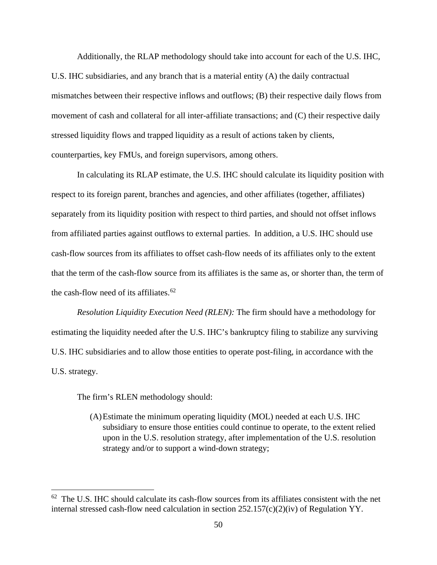Additionally, the RLAP methodology should take into account for each of the U.S. IHC, U.S. IHC subsidiaries, and any branch that is a material entity (A) the daily contractual mismatches between their respective inflows and outflows; (B) their respective daily flows from movement of cash and collateral for all inter-affiliate transactions; and (C) their respective daily stressed liquidity flows and trapped liquidity as a result of actions taken by clients, counterparties, key FMUs, and foreign supervisors, among others.

In calculating its RLAP estimate, the U.S. IHC should calculate its liquidity position with respect to its foreign parent, branches and agencies, and other affiliates (together, affiliates) separately from its liquidity position with respect to third parties, and should not offset inflows from affiliated parties against outflows to external parties. In addition, a U.S. IHC should use cash-flow sources from its affiliates to offset cash-flow needs of its affiliates only to the extent that the term of the cash-flow source from its affiliates is the same as, or shorter than, the term of the cash-flow need of its affiliates. $62$ 

*Resolution Liquidity Execution Need (RLEN):* The firm should have a methodology for estimating the liquidity needed after the U.S. IHC's bankruptcy filing to stabilize any surviving U.S. IHC subsidiaries and to allow those entities to operate post-filing, in accordance with the U.S. strategy.

The firm's RLEN methodology should:

 $\overline{a}$ 

(A)Estimate the minimum operating liquidity (MOL) needed at each U.S. IHC subsidiary to ensure those entities could continue to operate, to the extent relied upon in the U.S. resolution strategy, after implementation of the U.S. resolution strategy and/or to support a wind-down strategy;

 $62$  The U.S. IHC should calculate its cash-flow sources from its affiliates consistent with the net internal stressed cash-flow need calculation in section 252.157(c)(2)(iv) of Regulation YY.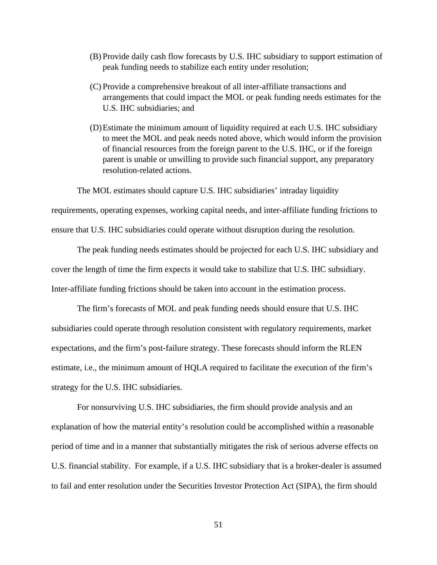- (B) Provide daily cash flow forecasts by U.S. IHC subsidiary to support estimation of peak funding needs to stabilize each entity under resolution;
- (C) Provide a comprehensive breakout of all inter-affiliate transactions and arrangements that could impact the MOL or peak funding needs estimates for the U.S. IHC subsidiaries; and
- (D)Estimate the minimum amount of liquidity required at each U.S. IHC subsidiary to meet the MOL and peak needs noted above, which would inform the provision of financial resources from the foreign parent to the U.S. IHC, or if the foreign parent is unable or unwilling to provide such financial support, any preparatory resolution-related actions.

The MOL estimates should capture U.S. IHC subsidiaries' intraday liquidity

requirements, operating expenses, working capital needs, and inter-affiliate funding frictions to ensure that U.S. IHC subsidiaries could operate without disruption during the resolution.

The peak funding needs estimates should be projected for each U.S. IHC subsidiary and cover the length of time the firm expects it would take to stabilize that U.S. IHC subsidiary. Inter-affiliate funding frictions should be taken into account in the estimation process.

The firm's forecasts of MOL and peak funding needs should ensure that U.S. IHC subsidiaries could operate through resolution consistent with regulatory requirements, market expectations, and the firm's post-failure strategy. These forecasts should inform the RLEN estimate, i.e., the minimum amount of HQLA required to facilitate the execution of the firm's strategy for the U.S. IHC subsidiaries.

For nonsurviving U.S. IHC subsidiaries, the firm should provide analysis and an explanation of how the material entity's resolution could be accomplished within a reasonable period of time and in a manner that substantially mitigates the risk of serious adverse effects on U.S. financial stability. For example, if a U.S. IHC subsidiary that is a broker-dealer is assumed to fail and enter resolution under the Securities Investor Protection Act (SIPA), the firm should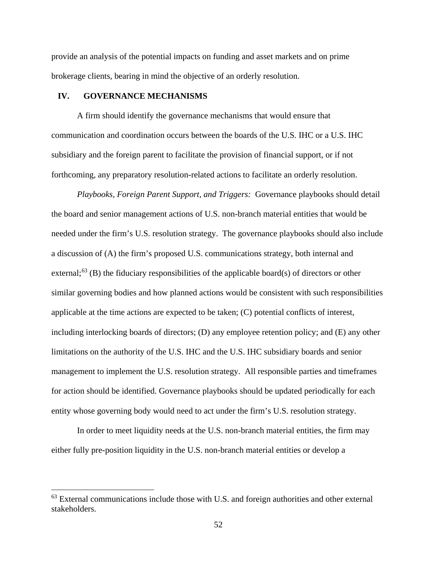provide an analysis of the potential impacts on funding and asset markets and on prime brokerage clients, bearing in mind the objective of an orderly resolution.

#### **IV. GOVERNANCE MECHANISMS**

 $\overline{a}$ 

A firm should identify the governance mechanisms that would ensure that communication and coordination occurs between the boards of the U.S. IHC or a U.S. IHC subsidiary and the foreign parent to facilitate the provision of financial support, or if not forthcoming, any preparatory resolution-related actions to facilitate an orderly resolution.

*Playbooks, Foreign Parent Support, and Triggers:* Governance playbooks should detail the board and senior management actions of U.S. non-branch material entities that would be needed under the firm's U.S. resolution strategy. The governance playbooks should also include a discussion of (A) the firm's proposed U.S. communications strategy, both internal and external;<sup>63</sup> (B) the fiduciary responsibilities of the applicable board(s) of directors or other similar governing bodies and how planned actions would be consistent with such responsibilities applicable at the time actions are expected to be taken; (C) potential conflicts of interest, including interlocking boards of directors; (D) any employee retention policy; and (E) any other limitations on the authority of the U.S. IHC and the U.S. IHC subsidiary boards and senior management to implement the U.S. resolution strategy. All responsible parties and timeframes for action should be identified. Governance playbooks should be updated periodically for each entity whose governing body would need to act under the firm's U.S. resolution strategy.

In order to meet liquidity needs at the U.S. non-branch material entities, the firm may either fully pre-position liquidity in the U.S. non-branch material entities or develop a

 $63$  External communications include those with U.S. and foreign authorities and other external stakeholders.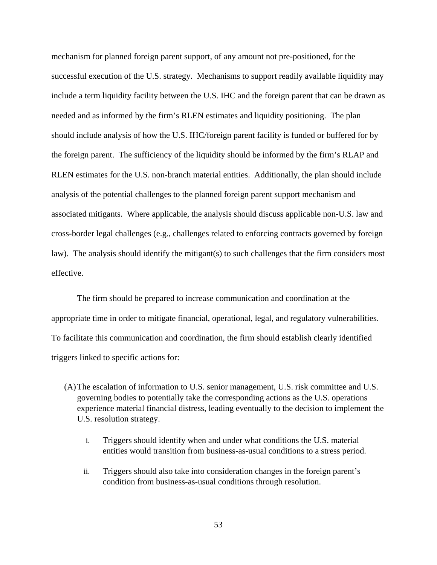mechanism for planned foreign parent support, of any amount not pre-positioned, for the successful execution of the U.S. strategy. Mechanisms to support readily available liquidity may include a term liquidity facility between the U.S. IHC and the foreign parent that can be drawn as needed and as informed by the firm's RLEN estimates and liquidity positioning. The plan should include analysis of how the U.S. IHC/foreign parent facility is funded or buffered for by the foreign parent. The sufficiency of the liquidity should be informed by the firm's RLAP and RLEN estimates for the U.S. non-branch material entities. Additionally, the plan should include analysis of the potential challenges to the planned foreign parent support mechanism and associated mitigants. Where applicable, the analysis should discuss applicable non-U.S. law and cross-border legal challenges (e.g., challenges related to enforcing contracts governed by foreign law). The analysis should identify the mitigant(s) to such challenges that the firm considers most effective.

The firm should be prepared to increase communication and coordination at the appropriate time in order to mitigate financial, operational, legal, and regulatory vulnerabilities. To facilitate this communication and coordination, the firm should establish clearly identified triggers linked to specific actions for:

- (A)The escalation of information to U.S. senior management, U.S. risk committee and U.S. governing bodies to potentially take the corresponding actions as the U.S. operations experience material financial distress, leading eventually to the decision to implement the U.S. resolution strategy.
	- i. Triggers should identify when and under what conditions the U.S. material entities would transition from business-as-usual conditions to a stress period.
	- ii. Triggers should also take into consideration changes in the foreign parent's condition from business-as-usual conditions through resolution.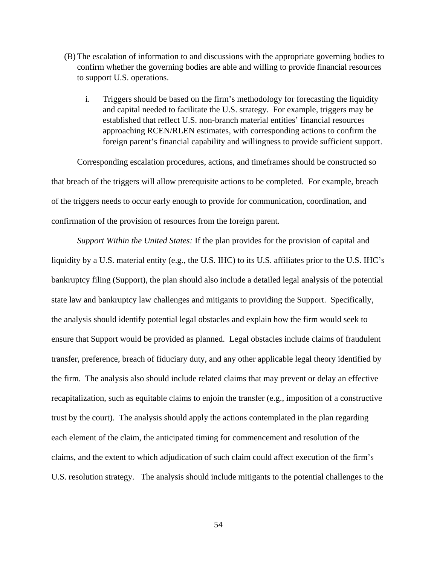- (B) The escalation of information to and discussions with the appropriate governing bodies to confirm whether the governing bodies are able and willing to provide financial resources to support U.S. operations.
	- i. Triggers should be based on the firm's methodology for forecasting the liquidity and capital needed to facilitate the U.S. strategy. For example, triggers may be established that reflect U.S. non-branch material entities' financial resources approaching RCEN/RLEN estimates, with corresponding actions to confirm the foreign parent's financial capability and willingness to provide sufficient support.

Corresponding escalation procedures, actions, and timeframes should be constructed so that breach of the triggers will allow prerequisite actions to be completed. For example, breach of the triggers needs to occur early enough to provide for communication, coordination, and confirmation of the provision of resources from the foreign parent.

*Support Within the United States:* If the plan provides for the provision of capital and liquidity by a U.S. material entity (e.g., the U.S. IHC) to its U.S. affiliates prior to the U.S. IHC's bankruptcy filing (Support), the plan should also include a detailed legal analysis of the potential state law and bankruptcy law challenges and mitigants to providing the Support. Specifically, the analysis should identify potential legal obstacles and explain how the firm would seek to ensure that Support would be provided as planned. Legal obstacles include claims of fraudulent transfer, preference, breach of fiduciary duty, and any other applicable legal theory identified by the firm. The analysis also should include related claims that may prevent or delay an effective recapitalization, such as equitable claims to enjoin the transfer (e.g., imposition of a constructive trust by the court). The analysis should apply the actions contemplated in the plan regarding each element of the claim, the anticipated timing for commencement and resolution of the claims, and the extent to which adjudication of such claim could affect execution of the firm's U.S. resolution strategy. The analysis should include mitigants to the potential challenges to the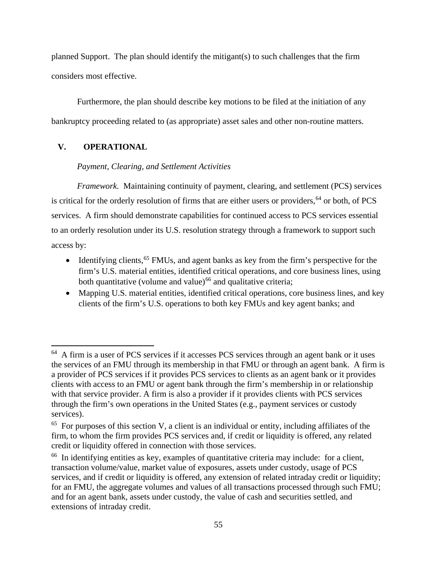planned Support. The plan should identify the mitigant(s) to such challenges that the firm considers most effective.

Furthermore, the plan should describe key motions to be filed at the initiation of any bankruptcy proceeding related to (as appropriate) asset sales and other non-routine matters.

# **V. OPERATIONAL**

 $\overline{a}$ 

*Payment, Clearing, and Settlement Activities* 

*Framework.* Maintaining continuity of payment, clearing, and settlement (PCS) services is critical for the orderly resolution of firms that are either users or providers, <sup>64</sup> or both, of PCS services. A firm should demonstrate capabilities for continued access to PCS services essential to an orderly resolution under its U.S. resolution strategy through a framework to support such access by:

- Identifying clients,<sup>65</sup> FMUs, and agent banks as key from the firm's perspective for the firm's U.S. material entities, identified critical operations, and core business lines, using both quantitative (volume and value) $66$  and qualitative criteria;
- Mapping U.S. material entities, identified critical operations, core business lines, and key clients of the firm's U.S. operations to both key FMUs and key agent banks; and

<sup>&</sup>lt;sup>64</sup> A firm is a user of PCS services if it accesses PCS services through an agent bank or it uses the services of an FMU through its membership in that FMU or through an agent bank. A firm is a provider of PCS services if it provides PCS services to clients as an agent bank or it provides clients with access to an FMU or agent bank through the firm's membership in or relationship with that service provider. A firm is also a provider if it provides clients with PCS services through the firm's own operations in the United States (e.g., payment services or custody services).

<sup>&</sup>lt;sup>65</sup> For purposes of this section V, a client is an individual or entity, including affiliates of the firm, to whom the firm provides PCS services and, if credit or liquidity is offered, any related credit or liquidity offered in connection with those services.

<sup>&</sup>lt;sup>66</sup> In identifying entities as key, examples of quantitative criteria may include: for a client, transaction volume/value, market value of exposures, assets under custody, usage of PCS services, and if credit or liquidity is offered, any extension of related intraday credit or liquidity; for an FMU, the aggregate volumes and values of all transactions processed through such FMU; and for an agent bank, assets under custody, the value of cash and securities settled, and extensions of intraday credit.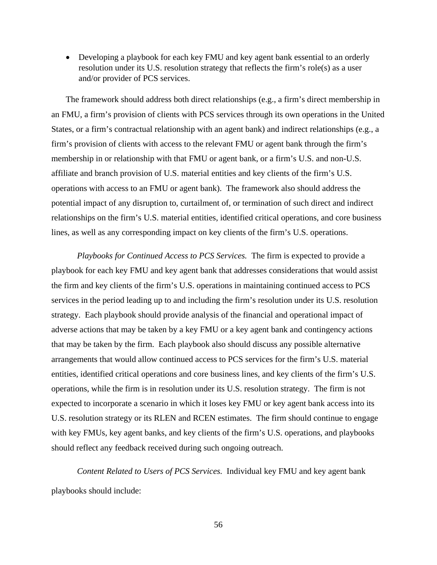• Developing a playbook for each key FMU and key agent bank essential to an orderly resolution under its U.S. resolution strategy that reflects the firm's role(s) as a user and/or provider of PCS services.

The framework should address both direct relationships (e.g., a firm's direct membership in an FMU, a firm's provision of clients with PCS services through its own operations in the United States, or a firm's contractual relationship with an agent bank) and indirect relationships (e.g., a firm's provision of clients with access to the relevant FMU or agent bank through the firm's membership in or relationship with that FMU or agent bank, or a firm's U.S. and non-U.S. affiliate and branch provision of U.S. material entities and key clients of the firm's U.S. operations with access to an FMU or agent bank). The framework also should address the potential impact of any disruption to, curtailment of, or termination of such direct and indirect relationships on the firm's U.S. material entities, identified critical operations, and core business lines, as well as any corresponding impact on key clients of the firm's U.S. operations.

*Playbooks for Continued Access to PCS Services.* The firm is expected to provide a playbook for each key FMU and key agent bank that addresses considerations that would assist the firm and key clients of the firm's U.S. operations in maintaining continued access to PCS services in the period leading up to and including the firm's resolution under its U.S. resolution strategy. Each playbook should provide analysis of the financial and operational impact of adverse actions that may be taken by a key FMU or a key agent bank and contingency actions that may be taken by the firm. Each playbook also should discuss any possible alternative arrangements that would allow continued access to PCS services for the firm's U.S. material entities, identified critical operations and core business lines, and key clients of the firm's U.S. operations, while the firm is in resolution under its U.S. resolution strategy. The firm is not expected to incorporate a scenario in which it loses key FMU or key agent bank access into its U.S. resolution strategy or its RLEN and RCEN estimates. The firm should continue to engage with key FMUs, key agent banks, and key clients of the firm's U.S. operations, and playbooks should reflect any feedback received during such ongoing outreach.

*Content Related to Users of PCS Services.* Individual key FMU and key agent bank playbooks should include:

56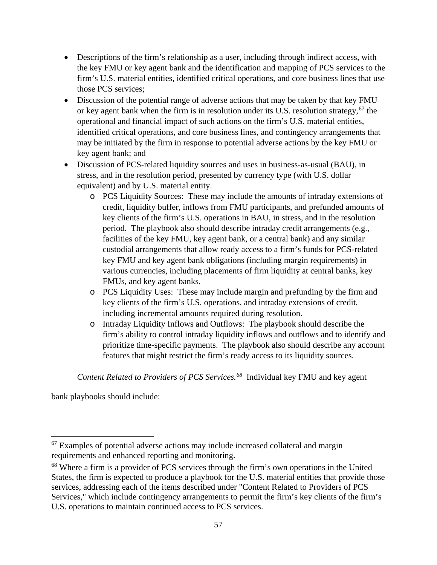- Descriptions of the firm's relationship as a user, including through indirect access, with the key FMU or key agent bank and the identification and mapping of PCS services to the firm's U.S. material entities, identified critical operations, and core business lines that use those PCS services;
- Discussion of the potential range of adverse actions that may be taken by that key FMU or key agent bank when the firm is in resolution under its U.S. resolution strategy,  $67$  the operational and financial impact of such actions on the firm's U.S. material entities, identified critical operations, and core business lines, and contingency arrangements that may be initiated by the firm in response to potential adverse actions by the key FMU or key agent bank; and
- Discussion of PCS-related liquidity sources and uses in business-as-usual (BAU), in stress, and in the resolution period, presented by currency type (with U.S. dollar equivalent) and by U.S. material entity.
	- o PCS Liquidity Sources: These may include the amounts of intraday extensions of credit, liquidity buffer, inflows from FMU participants, and prefunded amounts of key clients of the firm's U.S. operations in BAU, in stress, and in the resolution period. The playbook also should describe intraday credit arrangements (e.g., facilities of the key FMU, key agent bank, or a central bank) and any similar custodial arrangements that allow ready access to a firm's funds for PCS-related key FMU and key agent bank obligations (including margin requirements) in various currencies, including placements of firm liquidity at central banks, key FMUs, and key agent banks.
	- o PCS Liquidity Uses: These may include margin and prefunding by the firm and key clients of the firm's U.S. operations, and intraday extensions of credit, including incremental amounts required during resolution.
	- o Intraday Liquidity Inflows and Outflows: The playbook should describe the firm's ability to control intraday liquidity inflows and outflows and to identify and prioritize time-specific payments. The playbook also should describe any account features that might restrict the firm's ready access to its liquidity sources.

*Content Related to Providers of PCS Services.68* Individual key FMU and key agent

bank playbooks should include:

 $\overline{a}$  $67$  Examples of potential adverse actions may include increased collateral and margin requirements and enhanced reporting and monitoring.

<sup>&</sup>lt;sup>68</sup> Where a firm is a provider of PCS services through the firm's own operations in the United States, the firm is expected to produce a playbook for the U.S. material entities that provide those services, addressing each of the items described under "Content Related to Providers of PCS Services," which include contingency arrangements to permit the firm's key clients of the firm's U.S. operations to maintain continued access to PCS services.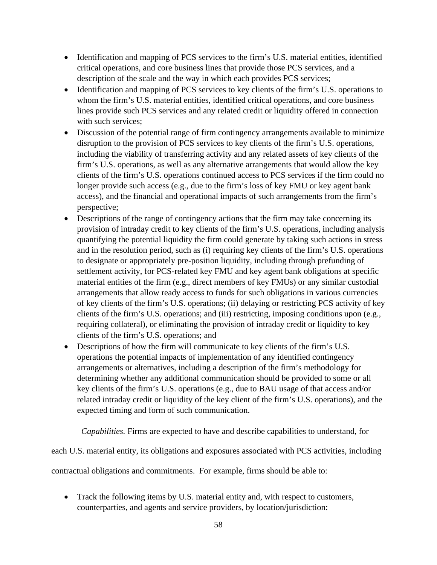- Identification and mapping of PCS services to the firm's U.S. material entities, identified critical operations, and core business lines that provide those PCS services, and a description of the scale and the way in which each provides PCS services;
- Identification and mapping of PCS services to key clients of the firm's U.S. operations to whom the firm's U.S. material entities, identified critical operations, and core business lines provide such PCS services and any related credit or liquidity offered in connection with such services;
- Discussion of the potential range of firm contingency arrangements available to minimize disruption to the provision of PCS services to key clients of the firm's U.S. operations, including the viability of transferring activity and any related assets of key clients of the firm's U.S. operations, as well as any alternative arrangements that would allow the key clients of the firm's U.S. operations continued access to PCS services if the firm could no longer provide such access (e.g., due to the firm's loss of key FMU or key agent bank access), and the financial and operational impacts of such arrangements from the firm's perspective;
- Descriptions of the range of contingency actions that the firm may take concerning its provision of intraday credit to key clients of the firm's U.S. operations, including analysis quantifying the potential liquidity the firm could generate by taking such actions in stress and in the resolution period, such as (i) requiring key clients of the firm's U.S. operations to designate or appropriately pre-position liquidity, including through prefunding of settlement activity, for PCS-related key FMU and key agent bank obligations at specific material entities of the firm (e.g., direct members of key FMUs) or any similar custodial arrangements that allow ready access to funds for such obligations in various currencies of key clients of the firm's U.S. operations; (ii) delaying or restricting PCS activity of key clients of the firm's U.S. operations; and (iii) restricting, imposing conditions upon (e.g., requiring collateral), or eliminating the provision of intraday credit or liquidity to key clients of the firm's U.S. operations; and
- Descriptions of how the firm will communicate to key clients of the firm's U.S. operations the potential impacts of implementation of any identified contingency arrangements or alternatives, including a description of the firm's methodology for determining whether any additional communication should be provided to some or all key clients of the firm's U.S. operations (e.g., due to BAU usage of that access and/or related intraday credit or liquidity of the key client of the firm's U.S. operations), and the expected timing and form of such communication.

*Capabilities.* Firms are expected to have and describe capabilities to understand, for

each U.S. material entity, its obligations and exposures associated with PCS activities, including

contractual obligations and commitments. For example, firms should be able to:

• Track the following items by U.S. material entity and, with respect to customers, counterparties, and agents and service providers, by location/jurisdiction: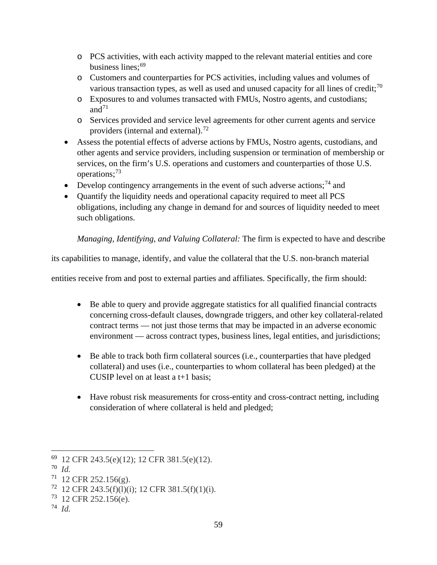- o PCS activities, with each activity mapped to the relevant material entities and core business lines;<sup>69</sup>
- o Customers and counterparties for PCS activities, including values and volumes of various transaction types, as well as used and unused capacity for all lines of credit;<sup>70</sup>
- o Exposures to and volumes transacted with FMUs, Nostro agents, and custodians; and $71$
- o Services provided and service level agreements for other current agents and service providers (internal and external).<sup>72</sup>
- Assess the potential effects of adverse actions by FMUs, Nostro agents, custodians, and other agents and service providers, including suspension or termination of membership or services, on the firm's U.S. operations and customers and counterparties of those U.S. operations;<sup>73</sup>
- Develop contingency arrangements in the event of such adverse actions;<sup>74</sup> and
- Quantify the liquidity needs and operational capacity required to meet all PCS obligations, including any change in demand for and sources of liquidity needed to meet such obligations.

*Managing, Identifying, and Valuing Collateral:* The firm is expected to have and describe

its capabilities to manage, identify, and value the collateral that the U.S. non-branch material

entities receive from and post to external parties and affiliates. Specifically, the firm should:

- Be able to query and provide aggregate statistics for all qualified financial contracts concerning cross-default clauses, downgrade triggers, and other key collateral-related contract terms — not just those terms that may be impacted in an adverse economic environment — across contract types, business lines, legal entities, and jurisdictions;
- Be able to track both firm collateral sources (i.e., counterparties that have pledged collateral) and uses (i.e., counterparties to whom collateral has been pledged) at the CUSIP level on at least a t+1 basis;
- Have robust risk measurements for cross-entity and cross-contract netting, including consideration of where collateral is held and pledged;

<sup>69 12</sup> CFR 243.5(e)(12); 12 CFR 381.5(e)(12).

<sup>70</sup> *Id.*

 $71$  12 CFR 252.156(g).

 $72$  12 CFR 243.5(f)(l)(i); 12 CFR 381.5(f)(1)(i).

<sup>73 12</sup> CFR 252.156(e).

<sup>74</sup> *Id.*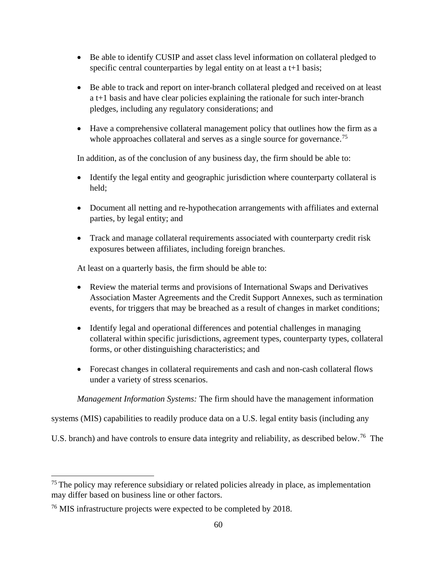- Be able to identify CUSIP and asset class level information on collateral pledged to specific central counterparties by legal entity on at least a t+1 basis;
- Be able to track and report on inter-branch collateral pledged and received on at least a t+1 basis and have clear policies explaining the rationale for such inter-branch pledges, including any regulatory considerations; and
- Have a comprehensive collateral management policy that outlines how the firm as a whole approaches collateral and serves as a single source for governance.<sup>75</sup>

In addition, as of the conclusion of any business day, the firm should be able to:

- Identify the legal entity and geographic jurisdiction where counterparty collateral is held;
- Document all netting and re-hypothecation arrangements with affiliates and external parties, by legal entity; and
- Track and manage collateral requirements associated with counterparty credit risk exposures between affiliates, including foreign branches.

At least on a quarterly basis, the firm should be able to:

- Review the material terms and provisions of International Swaps and Derivatives Association Master Agreements and the Credit Support Annexes, such as termination events, for triggers that may be breached as a result of changes in market conditions;
- Identify legal and operational differences and potential challenges in managing collateral within specific jurisdictions, agreement types, counterparty types, collateral forms, or other distinguishing characteristics; and
- Forecast changes in collateral requirements and cash and non-cash collateral flows under a variety of stress scenarios.

*Management Information Systems:* The firm should have the management information

systems (MIS) capabilities to readily produce data on a U.S. legal entity basis (including any

U.S. branch) and have controls to ensure data integrity and reliability, as described below.<sup>76</sup> The

 $75$  The policy may reference subsidiary or related policies already in place, as implementation may differ based on business line or other factors.

<sup>76</sup> MIS infrastructure projects were expected to be completed by 2018.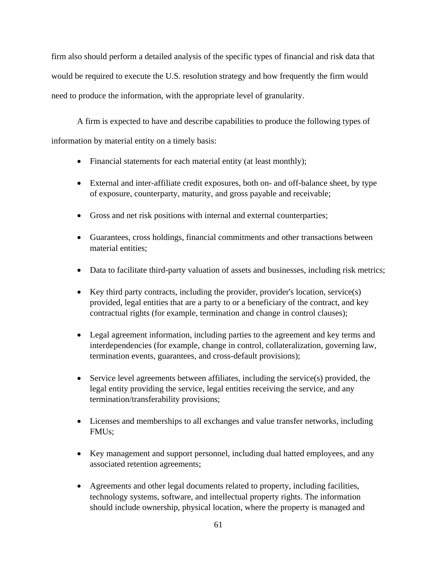firm also should perform a detailed analysis of the specific types of financial and risk data that would be required to execute the U.S. resolution strategy and how frequently the firm would need to produce the information, with the appropriate level of granularity.

A firm is expected to have and describe capabilities to produce the following types of information by material entity on a timely basis:

- Financial statements for each material entity (at least monthly);
- External and inter-affiliate credit exposures, both on- and off-balance sheet, by type of exposure, counterparty, maturity, and gross payable and receivable;
- Gross and net risk positions with internal and external counterparties;
- Guarantees, cross holdings, financial commitments and other transactions between material entities;
- Data to facilitate third-party valuation of assets and businesses, including risk metrics;
- Key third party contracts, including the provider, provider's location, service(s) provided, legal entities that are a party to or a beneficiary of the contract, and key contractual rights (for example, termination and change in control clauses);
- Legal agreement information, including parties to the agreement and key terms and interdependencies (for example, change in control, collateralization, governing law, termination events, guarantees, and cross-default provisions);
- Service level agreements between affiliates, including the service(s) provided, the legal entity providing the service, legal entities receiving the service, and any termination/transferability provisions;
- Licenses and memberships to all exchanges and value transfer networks, including FMUs;
- Key management and support personnel, including dual hatted employees, and any associated retention agreements;
- Agreements and other legal documents related to property, including facilities, technology systems, software, and intellectual property rights. The information should include ownership, physical location, where the property is managed and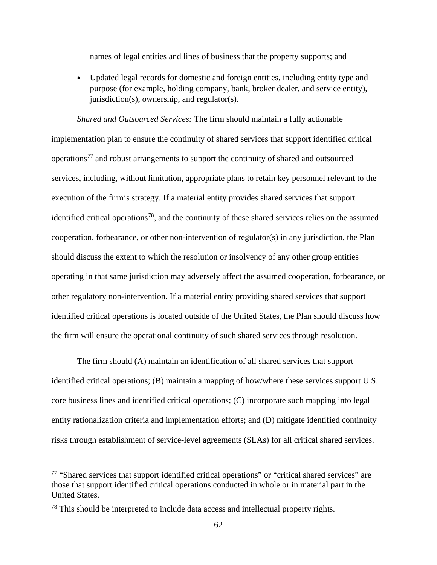names of legal entities and lines of business that the property supports; and

• Updated legal records for domestic and foreign entities, including entity type and purpose (for example, holding company, bank, broker dealer, and service entity), jurisdiction(s), ownership, and regulator(s).

*Shared and Outsourced Services:* The firm should maintain a fully actionable implementation plan to ensure the continuity of shared services that support identified critical operations77 and robust arrangements to support the continuity of shared and outsourced services, including, without limitation, appropriate plans to retain key personnel relevant to the execution of the firm's strategy. If a material entity provides shared services that support identified critical operations<sup>78</sup>, and the continuity of these shared services relies on the assumed cooperation, forbearance, or other non-intervention of regulator(s) in any jurisdiction, the Plan should discuss the extent to which the resolution or insolvency of any other group entities operating in that same jurisdiction may adversely affect the assumed cooperation, forbearance, or other regulatory non-intervention. If a material entity providing shared services that support identified critical operations is located outside of the United States, the Plan should discuss how the firm will ensure the operational continuity of such shared services through resolution.

The firm should (A) maintain an identification of all shared services that support identified critical operations; (B) maintain a mapping of how/where these services support U.S. core business lines and identified critical operations; (C) incorporate such mapping into legal entity rationalization criteria and implementation efforts; and (D) mitigate identified continuity risks through establishment of service-level agreements (SLAs) for all critical shared services.

<sup>77</sup> "Shared services that support identified critical operations" or "critical shared services" are those that support identified critical operations conducted in whole or in material part in the United States.

<sup>&</sup>lt;sup>78</sup> This should be interpreted to include data access and intellectual property rights.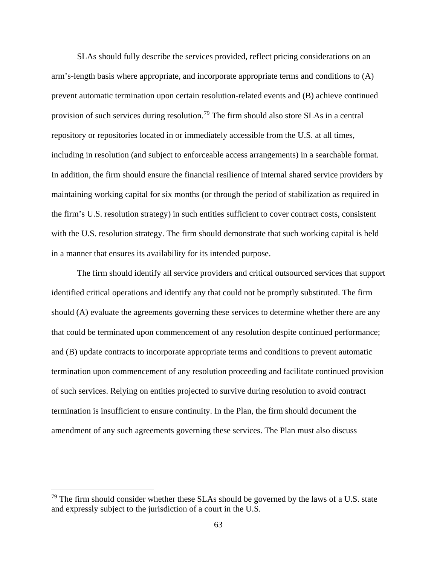SLAs should fully describe the services provided, reflect pricing considerations on an arm's-length basis where appropriate, and incorporate appropriate terms and conditions to (A) prevent automatic termination upon certain resolution-related events and (B) achieve continued provision of such services during resolution.<sup>79</sup> The firm should also store SLAs in a central repository or repositories located in or immediately accessible from the U.S. at all times, including in resolution (and subject to enforceable access arrangements) in a searchable format. In addition, the firm should ensure the financial resilience of internal shared service providers by maintaining working capital for six months (or through the period of stabilization as required in the firm's U.S. resolution strategy) in such entities sufficient to cover contract costs, consistent with the U.S. resolution strategy. The firm should demonstrate that such working capital is held in a manner that ensures its availability for its intended purpose.

The firm should identify all service providers and critical outsourced services that support identified critical operations and identify any that could not be promptly substituted. The firm should (A) evaluate the agreements governing these services to determine whether there are any that could be terminated upon commencement of any resolution despite continued performance; and (B) update contracts to incorporate appropriate terms and conditions to prevent automatic termination upon commencement of any resolution proceeding and facilitate continued provision of such services. Relying on entities projected to survive during resolution to avoid contract termination is insufficient to ensure continuity. In the Plan, the firm should document the amendment of any such agreements governing these services. The Plan must also discuss

 $79$  The firm should consider whether these SLAs should be governed by the laws of a U.S. state and expressly subject to the jurisdiction of a court in the U.S.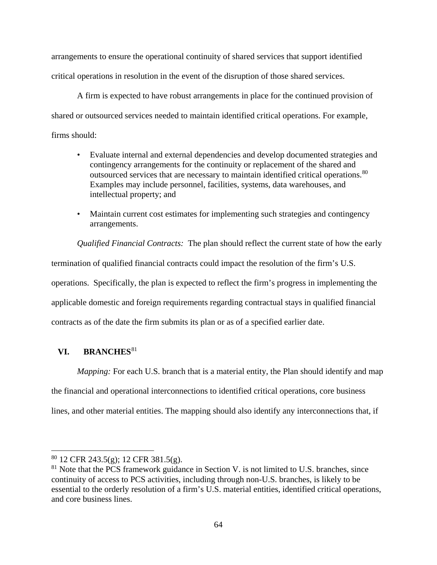arrangements to ensure the operational continuity of shared services that support identified critical operations in resolution in the event of the disruption of those shared services.

A firm is expected to have robust arrangements in place for the continued provision of shared or outsourced services needed to maintain identified critical operations. For example, firms should:

- Evaluate internal and external dependencies and develop documented strategies and contingency arrangements for the continuity or replacement of the shared and outsourced services that are necessary to maintain identified critical operations.<sup>80</sup> Examples may include personnel, facilities, systems, data warehouses, and intellectual property; and
- Maintain current cost estimates for implementing such strategies and contingency arrangements.

*Qualified Financial Contracts:* The plan should reflect the current state of how the early termination of qualified financial contracts could impact the resolution of the firm's U.S. operations. Specifically, the plan is expected to reflect the firm's progress in implementing the applicable domestic and foreign requirements regarding contractual stays in qualified financial contracts as of the date the firm submits its plan or as of a specified earlier date.

# **VI. BRANCHES**<sup>81</sup>

 $\overline{a}$ 

*Mapping:* For each U.S. branch that is a material entity, the Plan should identify and map the financial and operational interconnections to identified critical operations, core business lines, and other material entities. The mapping should also identify any interconnections that, if

<sup>&</sup>lt;sup>80</sup> 12 CFR 243.5(g); 12 CFR 381.5(g).

 $81$  Note that the PCS framework guidance in Section V. is not limited to U.S. branches, since continuity of access to PCS activities, including through non-U.S. branches, is likely to be essential to the orderly resolution of a firm's U.S. material entities, identified critical operations, and core business lines.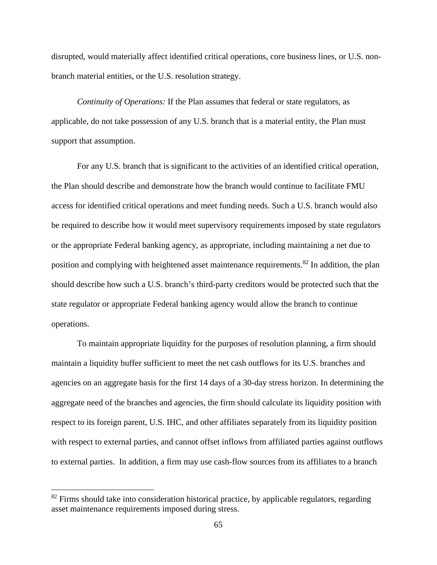disrupted, would materially affect identified critical operations, core business lines, or U.S. nonbranch material entities, or the U.S. resolution strategy.

*Continuity of Operations:* If the Plan assumes that federal or state regulators, as applicable, do not take possession of any U.S. branch that is a material entity, the Plan must support that assumption.

For any U.S. branch that is significant to the activities of an identified critical operation, the Plan should describe and demonstrate how the branch would continue to facilitate FMU access for identified critical operations and meet funding needs. Such a U.S. branch would also be required to describe how it would meet supervisory requirements imposed by state regulators or the appropriate Federal banking agency, as appropriate, including maintaining a net due to position and complying with heightened asset maintenance requirements.<sup>82</sup> In addition, the plan should describe how such a U.S. branch's third-party creditors would be protected such that the state regulator or appropriate Federal banking agency would allow the branch to continue operations.

To maintain appropriate liquidity for the purposes of resolution planning, a firm should maintain a liquidity buffer sufficient to meet the net cash outflows for its U.S. branches and agencies on an aggregate basis for the first 14 days of a 30-day stress horizon. In determining the aggregate need of the branches and agencies, the firm should calculate its liquidity position with respect to its foreign parent, U.S. IHC, and other affiliates separately from its liquidity position with respect to external parties, and cannot offset inflows from affiliated parties against outflows to external parties. In addition, a firm may use cash-flow sources from its affiliates to a branch

 $82$  Firms should take into consideration historical practice, by applicable regulators, regarding asset maintenance requirements imposed during stress.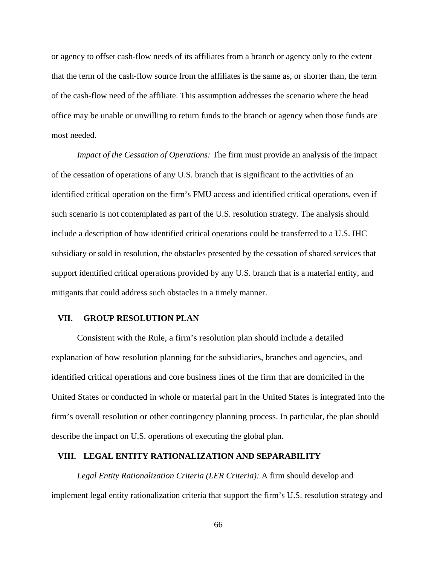or agency to offset cash-flow needs of its affiliates from a branch or agency only to the extent that the term of the cash-flow source from the affiliates is the same as, or shorter than, the term of the cash-flow need of the affiliate. This assumption addresses the scenario where the head office may be unable or unwilling to return funds to the branch or agency when those funds are most needed.

*Impact of the Cessation of Operations:* The firm must provide an analysis of the impact of the cessation of operations of any U.S. branch that is significant to the activities of an identified critical operation on the firm's FMU access and identified critical operations, even if such scenario is not contemplated as part of the U.S. resolution strategy. The analysis should include a description of how identified critical operations could be transferred to a U.S. IHC subsidiary or sold in resolution, the obstacles presented by the cessation of shared services that support identified critical operations provided by any U.S. branch that is a material entity, and mitigants that could address such obstacles in a timely manner.

### **VII. GROUP RESOLUTION PLAN**

Consistent with the Rule, a firm's resolution plan should include a detailed explanation of how resolution planning for the subsidiaries, branches and agencies, and identified critical operations and core business lines of the firm that are domiciled in the United States or conducted in whole or material part in the United States is integrated into the firm's overall resolution or other contingency planning process. In particular, the plan should describe the impact on U.S. operations of executing the global plan.

#### **VIII. LEGAL ENTITY RATIONALIZATION AND SEPARABILITY**

*Legal Entity Rationalization Criteria (LER Criteria):* A firm should develop and implement legal entity rationalization criteria that support the firm's U.S. resolution strategy and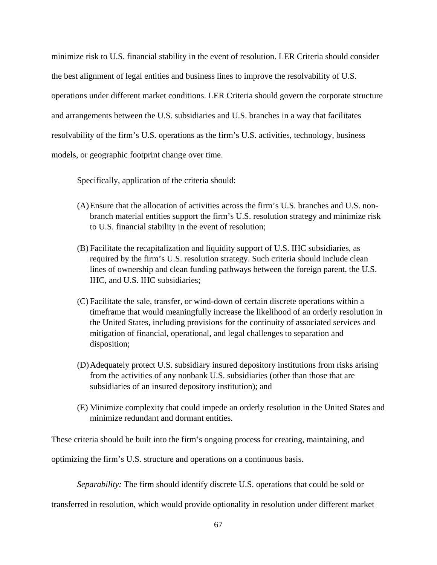minimize risk to U.S. financial stability in the event of resolution. LER Criteria should consider the best alignment of legal entities and business lines to improve the resolvability of U.S. operations under different market conditions. LER Criteria should govern the corporate structure and arrangements between the U.S. subsidiaries and U.S. branches in a way that facilitates resolvability of the firm's U.S. operations as the firm's U.S. activities, technology, business models, or geographic footprint change over time.

Specifically, application of the criteria should:

- (A)Ensure that the allocation of activities across the firm's U.S. branches and U.S. nonbranch material entities support the firm's U.S. resolution strategy and minimize risk to U.S. financial stability in the event of resolution;
- (B) Facilitate the recapitalization and liquidity support of U.S. IHC subsidiaries, as required by the firm's U.S. resolution strategy. Such criteria should include clean lines of ownership and clean funding pathways between the foreign parent, the U.S. IHC, and U.S. IHC subsidiaries;
- (C) Facilitate the sale, transfer, or wind-down of certain discrete operations within a timeframe that would meaningfully increase the likelihood of an orderly resolution in the United States, including provisions for the continuity of associated services and mitigation of financial, operational, and legal challenges to separation and disposition;
- (D)Adequately protect U.S. subsidiary insured depository institutions from risks arising from the activities of any nonbank U.S. subsidiaries (other than those that are subsidiaries of an insured depository institution); and
- (E) Minimize complexity that could impede an orderly resolution in the United States and minimize redundant and dormant entities.

These criteria should be built into the firm's ongoing process for creating, maintaining, and

optimizing the firm's U.S. structure and operations on a continuous basis.

*Separability:* The firm should identify discrete U.S. operations that could be sold or

transferred in resolution, which would provide optionality in resolution under different market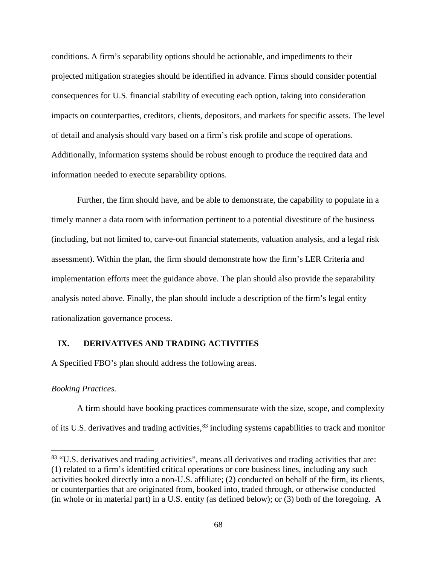conditions. A firm's separability options should be actionable, and impediments to their projected mitigation strategies should be identified in advance. Firms should consider potential consequences for U.S. financial stability of executing each option, taking into consideration impacts on counterparties, creditors, clients, depositors, and markets for specific assets. The level of detail and analysis should vary based on a firm's risk profile and scope of operations. Additionally, information systems should be robust enough to produce the required data and information needed to execute separability options.

Further, the firm should have, and be able to demonstrate, the capability to populate in a timely manner a data room with information pertinent to a potential divestiture of the business (including, but not limited to, carve-out financial statements, valuation analysis, and a legal risk assessment). Within the plan, the firm should demonstrate how the firm's LER Criteria and implementation efforts meet the guidance above. The plan should also provide the separability analysis noted above. Finally, the plan should include a description of the firm's legal entity rationalization governance process.

#### **IX. DERIVATIVES AND TRADING ACTIVITIES**

A Specified FBO's plan should address the following areas.

#### *Booking Practices.*

 $\overline{a}$ 

A firm should have booking practices commensurate with the size, scope, and complexity of its U.S. derivatives and trading activities,<sup>83</sup> including systems capabilities to track and monitor

<sup>&</sup>lt;sup>83</sup> "U.S. derivatives and trading activities", means all derivatives and trading activities that are: (1) related to a firm's identified critical operations or core business lines, including any such activities booked directly into a non-U.S. affiliate; (2) conducted on behalf of the firm, its clients, or counterparties that are originated from, booked into, traded through, or otherwise conducted (in whole or in material part) in a U.S. entity (as defined below); or (3) both of the foregoing. A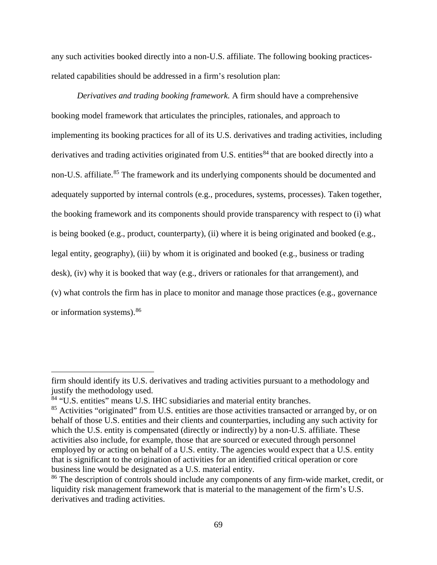any such activities booked directly into a non-U.S. affiliate. The following booking practicesrelated capabilities should be addressed in a firm's resolution plan:

*Derivatives and trading booking framework.* A firm should have a comprehensive booking model framework that articulates the principles, rationales, and approach to implementing its booking practices for all of its U.S. derivatives and trading activities, including derivatives and trading activities originated from U.S. entities<sup>84</sup> that are booked directly into a non-U.S. affiliate.<sup>85</sup> The framework and its underlying components should be documented and adequately supported by internal controls (e.g., procedures, systems, processes). Taken together, the booking framework and its components should provide transparency with respect to (i) what is being booked (e.g., product, counterparty), (ii) where it is being originated and booked (e.g., legal entity, geography), (iii) by whom it is originated and booked (e.g., business or trading desk), (iv) why it is booked that way (e.g., drivers or rationales for that arrangement), and (v) what controls the firm has in place to monitor and manage those practices (e.g., governance or information systems).86

firm should identify its U.S. derivatives and trading activities pursuant to a methodology and justify the methodology used.

<sup>84</sup> "U.S. entities" means U.S. IHC subsidiaries and material entity branches.

<sup>&</sup>lt;sup>85</sup> Activities "originated" from U.S. entities are those activities transacted or arranged by, or on behalf of those U.S. entities and their clients and counterparties, including any such activity for which the U.S. entity is compensated (directly or indirectly) by a non-U.S. affiliate. These activities also include, for example, those that are sourced or executed through personnel employed by or acting on behalf of a U.S. entity. The agencies would expect that a U.S. entity that is significant to the origination of activities for an identified critical operation or core business line would be designated as a U.S. material entity.

<sup>&</sup>lt;sup>86</sup> The description of controls should include any components of any firm-wide market, credit, or liquidity risk management framework that is material to the management of the firm's U.S. derivatives and trading activities.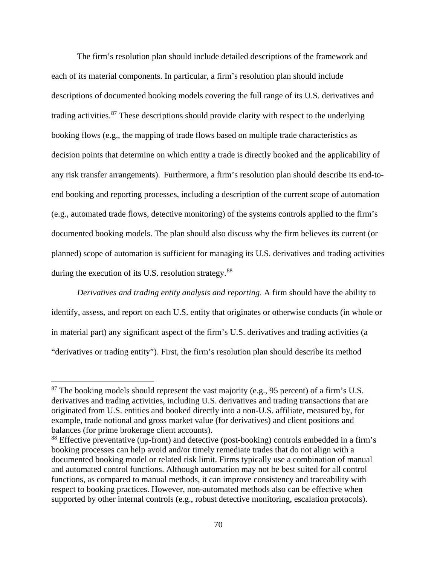The firm's resolution plan should include detailed descriptions of the framework and each of its material components. In particular, a firm's resolution plan should include descriptions of documented booking models covering the full range of its U.S. derivatives and trading activities. $87$  These descriptions should provide clarity with respect to the underlying booking flows (e.g., the mapping of trade flows based on multiple trade characteristics as decision points that determine on which entity a trade is directly booked and the applicability of any risk transfer arrangements). Furthermore, a firm's resolution plan should describe its end-toend booking and reporting processes, including a description of the current scope of automation (e.g., automated trade flows, detective monitoring) of the systems controls applied to the firm's documented booking models. The plan should also discuss why the firm believes its current (or planned) scope of automation is sufficient for managing its U.S. derivatives and trading activities during the execution of its U.S. resolution strategy.<sup>88</sup>

*Derivatives and trading entity analysis and reporting.* A firm should have the ability to identify, assess, and report on each U.S. entity that originates or otherwise conducts (in whole or in material part) any significant aspect of the firm's U.S. derivatives and trading activities (a "derivatives or trading entity"). First, the firm's resolution plan should describe its method

 $87$  The booking models should represent the vast majority (e.g., 95 percent) of a firm's U.S. derivatives and trading activities, including U.S. derivatives and trading transactions that are originated from U.S. entities and booked directly into a non-U.S. affiliate, measured by, for example, trade notional and gross market value (for derivatives) and client positions and balances (for prime brokerage client accounts).

<sup>88</sup> Effective preventative (up-front) and detective (post-booking) controls embedded in a firm's booking processes can help avoid and/or timely remediate trades that do not align with a documented booking model or related risk limit. Firms typically use a combination of manual and automated control functions. Although automation may not be best suited for all control functions, as compared to manual methods, it can improve consistency and traceability with respect to booking practices. However, non-automated methods also can be effective when supported by other internal controls (e.g., robust detective monitoring, escalation protocols).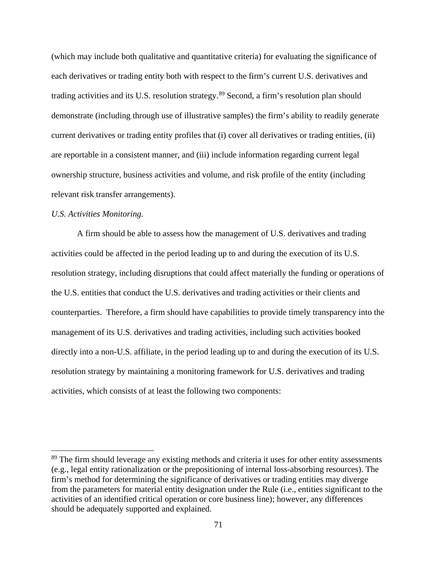(which may include both qualitative and quantitative criteria) for evaluating the significance of each derivatives or trading entity both with respect to the firm's current U.S. derivatives and trading activities and its U.S. resolution strategy.89 Second, a firm's resolution plan should demonstrate (including through use of illustrative samples) the firm's ability to readily generate current derivatives or trading entity profiles that (i) cover all derivatives or trading entities, (ii) are reportable in a consistent manner, and (iii) include information regarding current legal ownership structure, business activities and volume, and risk profile of the entity (including relevant risk transfer arrangements).

#### *U.S. Activities Monitoring.*

 $\overline{a}$ 

A firm should be able to assess how the management of U.S. derivatives and trading activities could be affected in the period leading up to and during the execution of its U.S. resolution strategy, including disruptions that could affect materially the funding or operations of the U.S. entities that conduct the U.S. derivatives and trading activities or their clients and counterparties. Therefore, a firm should have capabilities to provide timely transparency into the management of its U.S. derivatives and trading activities, including such activities booked directly into a non-U.S. affiliate, in the period leading up to and during the execution of its U.S. resolution strategy by maintaining a monitoring framework for U.S. derivatives and trading activities, which consists of at least the following two components:

<sup>&</sup>lt;sup>89</sup> The firm should leverage any existing methods and criteria it uses for other entity assessments (e.g., legal entity rationalization or the prepositioning of internal loss-absorbing resources). The firm's method for determining the significance of derivatives or trading entities may diverge from the parameters for material entity designation under the Rule (i.e., entities significant to the activities of an identified critical operation or core business line); however, any differences should be adequately supported and explained.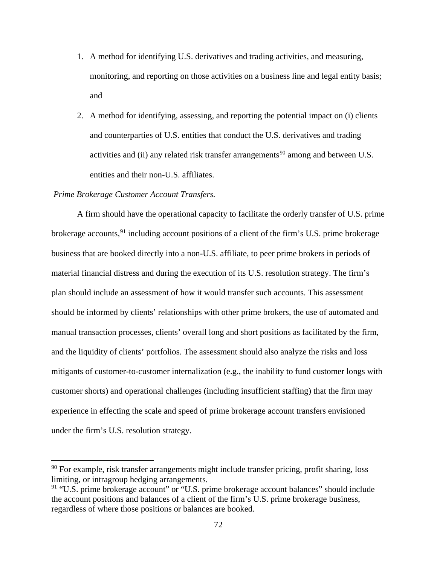- 1. A method for identifying U.S. derivatives and trading activities, and measuring, monitoring, and reporting on those activities on a business line and legal entity basis; and
- 2. A method for identifying, assessing, and reporting the potential impact on (i) clients and counterparties of U.S. entities that conduct the U.S. derivatives and trading activities and (ii) any related risk transfer arrangements<sup>90</sup> among and between U.S. entities and their non-U.S. affiliates.

#### *Prime Brokerage Customer Account Transfers.*

 $\overline{a}$ 

A firm should have the operational capacity to facilitate the orderly transfer of U.S. prime brokerage accounts,  $91$  including account positions of a client of the firm's U.S. prime brokerage business that are booked directly into a non-U.S. affiliate, to peer prime brokers in periods of material financial distress and during the execution of its U.S. resolution strategy. The firm's plan should include an assessment of how it would transfer such accounts. This assessment should be informed by clients' relationships with other prime brokers, the use of automated and manual transaction processes, clients' overall long and short positions as facilitated by the firm, and the liquidity of clients' portfolios. The assessment should also analyze the risks and loss mitigants of customer-to-customer internalization (e.g., the inability to fund customer longs with customer shorts) and operational challenges (including insufficient staffing) that the firm may experience in effecting the scale and speed of prime brokerage account transfers envisioned under the firm's U.S. resolution strategy.

 $90$  For example, risk transfer arrangements might include transfer pricing, profit sharing, loss limiting, or intragroup hedging arrangements.

<sup>&</sup>lt;sup>91</sup> "U.S. prime brokerage account" or "U.S. prime brokerage account balances" should include the account positions and balances of a client of the firm's U.S. prime brokerage business, regardless of where those positions or balances are booked.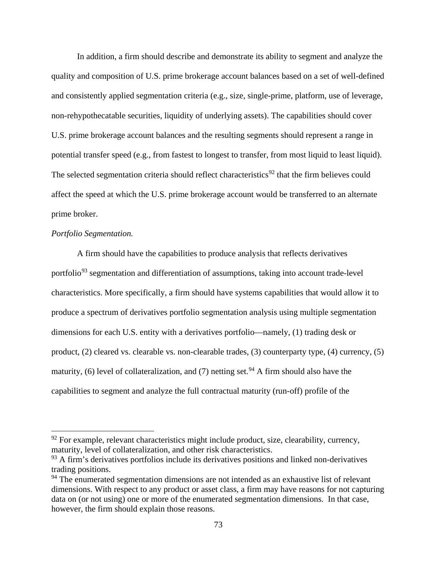In addition, a firm should describe and demonstrate its ability to segment and analyze the quality and composition of U.S. prime brokerage account balances based on a set of well-defined and consistently applied segmentation criteria (e.g., size, single-prime, platform, use of leverage, non-rehypothecatable securities, liquidity of underlying assets). The capabilities should cover U.S. prime brokerage account balances and the resulting segments should represent a range in potential transfer speed (e.g., from fastest to longest to transfer, from most liquid to least liquid). The selected segmentation criteria should reflect characteristics<sup>92</sup> that the firm believes could affect the speed at which the U.S. prime brokerage account would be transferred to an alternate prime broker.

# *Portfolio Segmentation.*

 $\overline{a}$ 

A firm should have the capabilities to produce analysis that reflects derivatives portfolio<sup>93</sup> segmentation and differentiation of assumptions, taking into account trade-level characteristics. More specifically, a firm should have systems capabilities that would allow it to produce a spectrum of derivatives portfolio segmentation analysis using multiple segmentation dimensions for each U.S. entity with a derivatives portfolio—namely, (1) trading desk or product, (2) cleared vs. clearable vs. non-clearable trades, (3) counterparty type, (4) currency, (5) maturity, (6) level of collateralization, and (7) netting set.<sup>94</sup> A firm should also have the capabilities to segment and analyze the full contractual maturity (run-off) profile of the

 $92$  For example, relevant characteristics might include product, size, clearability, currency, maturity, level of collateralization, and other risk characteristics.

 $93$  A firm's derivatives portfolios include its derivatives positions and linked non-derivatives trading positions.

<sup>&</sup>lt;sup>94</sup> The enumerated segmentation dimensions are not intended as an exhaustive list of relevant dimensions. With respect to any product or asset class, a firm may have reasons for not capturing data on (or not using) one or more of the enumerated segmentation dimensions. In that case, however, the firm should explain those reasons.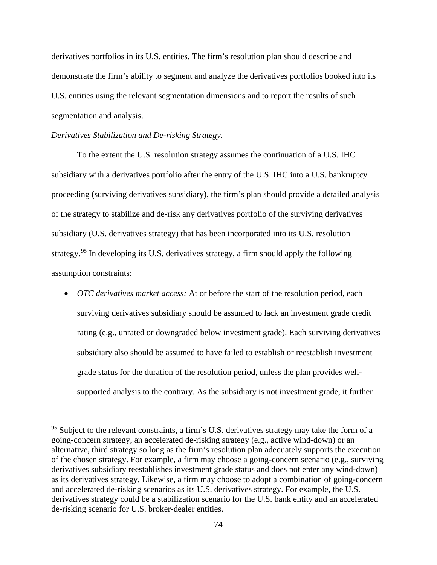derivatives portfolios in its U.S. entities. The firm's resolution plan should describe and demonstrate the firm's ability to segment and analyze the derivatives portfolios booked into its U.S. entities using the relevant segmentation dimensions and to report the results of such segmentation and analysis.

# *Derivatives Stabilization and De-risking Strategy.*

 $\overline{a}$ 

To the extent the U.S. resolution strategy assumes the continuation of a U.S. IHC subsidiary with a derivatives portfolio after the entry of the U.S. IHC into a U.S. bankruptcy proceeding (surviving derivatives subsidiary), the firm's plan should provide a detailed analysis of the strategy to stabilize and de-risk any derivatives portfolio of the surviving derivatives subsidiary (U.S. derivatives strategy) that has been incorporated into its U.S. resolution strategy.95 In developing its U.S. derivatives strategy, a firm should apply the following assumption constraints:

• *OTC derivatives market access:* At or before the start of the resolution period, each surviving derivatives subsidiary should be assumed to lack an investment grade credit rating (e.g., unrated or downgraded below investment grade). Each surviving derivatives subsidiary also should be assumed to have failed to establish or reestablish investment grade status for the duration of the resolution period, unless the plan provides wellsupported analysis to the contrary. As the subsidiary is not investment grade, it further

<sup>&</sup>lt;sup>95</sup> Subject to the relevant constraints, a firm's U.S. derivatives strategy may take the form of a going-concern strategy, an accelerated de-risking strategy (e.g., active wind-down) or an alternative, third strategy so long as the firm's resolution plan adequately supports the execution of the chosen strategy. For example, a firm may choose a going-concern scenario (e.g., surviving derivatives subsidiary reestablishes investment grade status and does not enter any wind-down) as its derivatives strategy. Likewise, a firm may choose to adopt a combination of going-concern and accelerated de-risking scenarios as its U.S. derivatives strategy. For example, the U.S. derivatives strategy could be a stabilization scenario for the U.S. bank entity and an accelerated de-risking scenario for U.S. broker-dealer entities.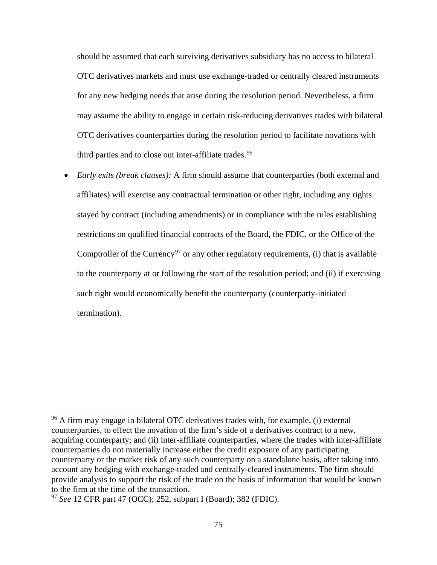should be assumed that each surviving derivatives subsidiary has no access to bilateral OTC derivatives markets and must use exchange-traded or centrally cleared instruments for any new hedging needs that arise during the resolution period. Nevertheless, a firm may assume the ability to engage in certain risk-reducing derivatives trades with bilateral OTC derivatives counterparties during the resolution period to facilitate novations with third parties and to close out inter-affiliate trades.<sup>96</sup>

• *Early exits (break clauses):* A firm should assume that counterparties (both external and affiliates) will exercise any contractual termination or other right, including any rights stayed by contract (including amendments) or in compliance with the rules establishing restrictions on qualified financial contracts of the Board, the FDIC, or the Office of the Comptroller of the Currency<sup>97</sup> or any other regulatory requirements, (i) that is available to the counterparty at or following the start of the resolution period; and (ii) if exercising such right would economically benefit the counterparty (counterparty-initiated termination).

 $\overline{a}$ 

<sup>96</sup> A firm may engage in bilateral OTC derivatives trades with, for example, (i) external counterparties, to effect the novation of the firm's side of a derivatives contract to a new, acquiring counterparty; and (ii) inter-affiliate counterparties, where the trades with inter-affiliate counterparties do not materially increase either the credit exposure of any participating counterparty or the market risk of any such counterparty on a standalone basis, after taking into account any hedging with exchange-traded and centrally-cleared instruments. The firm should provide analysis to support the risk of the trade on the basis of information that would be known to the firm at the time of the transaction.

<sup>97</sup> *See* 12 CFR part 47 (OCC); 252, subpart I (Board); 382 (FDIC).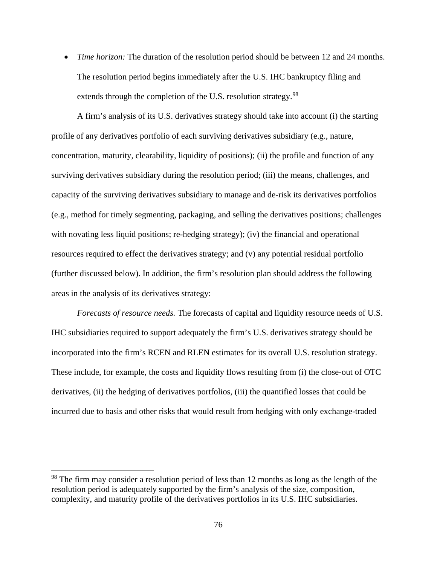• *Time horizon:* The duration of the resolution period should be between 12 and 24 months. The resolution period begins immediately after the U.S. IHC bankruptcy filing and extends through the completion of the U.S. resolution strategy.<sup>98</sup>

A firm's analysis of its U.S. derivatives strategy should take into account (i) the starting profile of any derivatives portfolio of each surviving derivatives subsidiary (e.g., nature, concentration, maturity, clearability, liquidity of positions); (ii) the profile and function of any surviving derivatives subsidiary during the resolution period; (iii) the means, challenges, and capacity of the surviving derivatives subsidiary to manage and de-risk its derivatives portfolios (e.g., method for timely segmenting, packaging, and selling the derivatives positions; challenges with novating less liquid positions; re-hedging strategy); (iv) the financial and operational resources required to effect the derivatives strategy; and (v) any potential residual portfolio (further discussed below). In addition, the firm's resolution plan should address the following areas in the analysis of its derivatives strategy:

*Forecasts of resource needs.* The forecasts of capital and liquidity resource needs of U.S. IHC subsidiaries required to support adequately the firm's U.S. derivatives strategy should be incorporated into the firm's RCEN and RLEN estimates for its overall U.S. resolution strategy. These include, for example, the costs and liquidity flows resulting from (i) the close-out of OTC derivatives, (ii) the hedging of derivatives portfolios, (iii) the quantified losses that could be incurred due to basis and other risks that would result from hedging with only exchange-traded

 $\overline{a}$ 

<sup>&</sup>lt;sup>98</sup> The firm may consider a resolution period of less than 12 months as long as the length of the resolution period is adequately supported by the firm's analysis of the size, composition, complexity, and maturity profile of the derivatives portfolios in its U.S. IHC subsidiaries.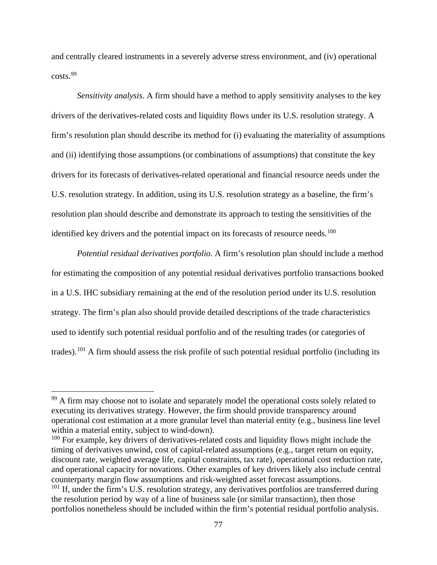and centrally cleared instruments in a severely adverse stress environment, and (iv) operational costs.<sup>99</sup>

*Sensitivity analysis.* A firm should have a method to apply sensitivity analyses to the key drivers of the derivatives-related costs and liquidity flows under its U.S. resolution strategy. A firm's resolution plan should describe its method for (i) evaluating the materiality of assumptions and (ii) identifying those assumptions (or combinations of assumptions) that constitute the key drivers for its forecasts of derivatives-related operational and financial resource needs under the U.S. resolution strategy. In addition, using its U.S. resolution strategy as a baseline, the firm's resolution plan should describe and demonstrate its approach to testing the sensitivities of the identified key drivers and the potential impact on its forecasts of resource needs.<sup>100</sup>

*Potential residual derivatives portfolio.* A firm's resolution plan should include a method for estimating the composition of any potential residual derivatives portfolio transactions booked in a U.S. IHC subsidiary remaining at the end of the resolution period under its U.S. resolution strategy. The firm's plan also should provide detailed descriptions of the trade characteristics used to identify such potential residual portfolio and of the resulting trades (or categories of trades).101 A firm should assess the risk profile of such potential residual portfolio (including its

 $\overline{a}$ 

 $100$  For example, key drivers of derivatives-related costs and liquidity flows might include the timing of derivatives unwind, cost of capital-related assumptions (e.g., target return on equity, discount rate, weighted average life, capital constraints, tax rate), operational cost reduction rate, and operational capacity for novations. Other examples of key drivers likely also include central counterparty margin flow assumptions and risk-weighted asset forecast assumptions.  $101$  If, under the firm's U.S. resolution strategy, any derivatives portfolios are transferred during

<sup>&</sup>lt;sup>99</sup> A firm may choose not to isolate and separately model the operational costs solely related to executing its derivatives strategy. However, the firm should provide transparency around operational cost estimation at a more granular level than material entity (e.g., business line level within a material entity, subject to wind-down).

the resolution period by way of a line of business sale (or similar transaction), then those portfolios nonetheless should be included within the firm's potential residual portfolio analysis.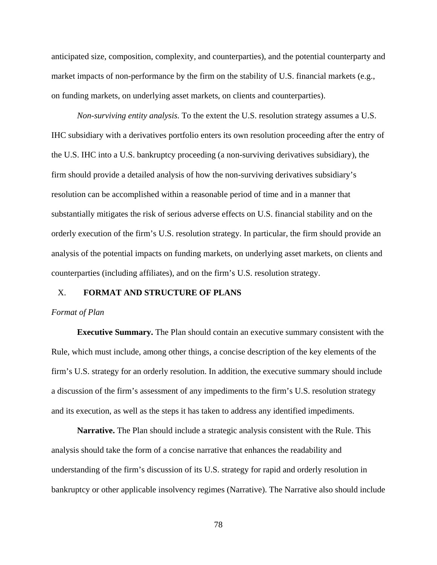anticipated size, composition, complexity, and counterparties), and the potential counterparty and market impacts of non-performance by the firm on the stability of U.S. financial markets (e.g., on funding markets, on underlying asset markets, on clients and counterparties).

*Non-surviving entity analysis.* To the extent the U.S. resolution strategy assumes a U.S. IHC subsidiary with a derivatives portfolio enters its own resolution proceeding after the entry of the U.S. IHC into a U.S. bankruptcy proceeding (a non-surviving derivatives subsidiary), the firm should provide a detailed analysis of how the non-surviving derivatives subsidiary's resolution can be accomplished within a reasonable period of time and in a manner that substantially mitigates the risk of serious adverse effects on U.S. financial stability and on the orderly execution of the firm's U.S. resolution strategy. In particular, the firm should provide an analysis of the potential impacts on funding markets, on underlying asset markets, on clients and counterparties (including affiliates), and on the firm's U.S. resolution strategy.

### X. **FORMAT AND STRUCTURE OF PLANS**

#### *Format of Plan*

**Executive Summary.** The Plan should contain an executive summary consistent with the Rule, which must include, among other things, a concise description of the key elements of the firm's U.S. strategy for an orderly resolution. In addition, the executive summary should include a discussion of the firm's assessment of any impediments to the firm's U.S. resolution strategy and its execution, as well as the steps it has taken to address any identified impediments.

**Narrative.** The Plan should include a strategic analysis consistent with the Rule. This analysis should take the form of a concise narrative that enhances the readability and understanding of the firm's discussion of its U.S. strategy for rapid and orderly resolution in bankruptcy or other applicable insolvency regimes (Narrative). The Narrative also should include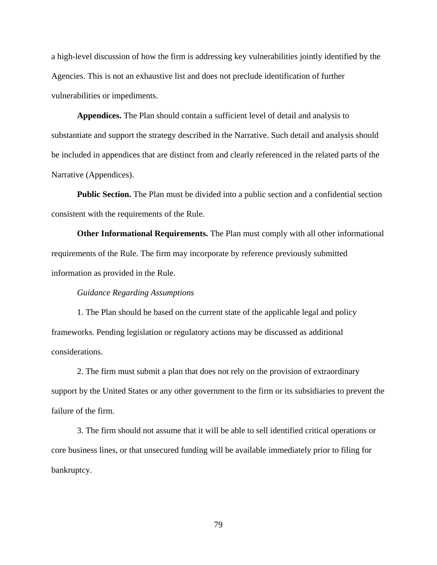a high-level discussion of how the firm is addressing key vulnerabilities jointly identified by the Agencies. This is not an exhaustive list and does not preclude identification of further vulnerabilities or impediments.

**Appendices.** The Plan should contain a sufficient level of detail and analysis to substantiate and support the strategy described in the Narrative. Such detail and analysis should be included in appendices that are distinct from and clearly referenced in the related parts of the Narrative (Appendices).

**Public Section.** The Plan must be divided into a public section and a confidential section consistent with the requirements of the Rule.

**Other Informational Requirements.** The Plan must comply with all other informational requirements of the Rule. The firm may incorporate by reference previously submitted information as provided in the Rule.

### *Guidance Regarding Assumptions*

1. The Plan should be based on the current state of the applicable legal and policy frameworks. Pending legislation or regulatory actions may be discussed as additional considerations.

2. The firm must submit a plan that does not rely on the provision of extraordinary support by the United States or any other government to the firm or its subsidiaries to prevent the failure of the firm.

3. The firm should not assume that it will be able to sell identified critical operations or core business lines, or that unsecured funding will be available immediately prior to filing for bankruptcy.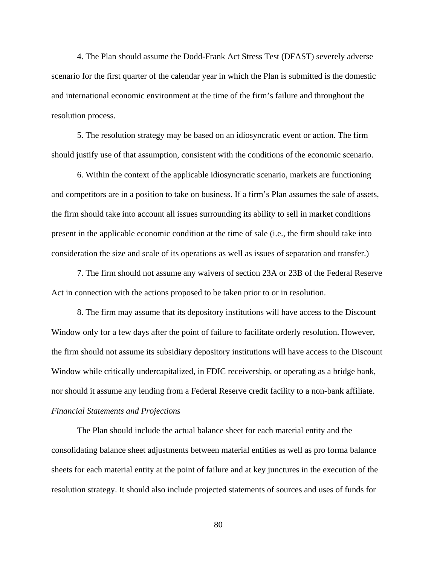4. The Plan should assume the Dodd-Frank Act Stress Test (DFAST) severely adverse scenario for the first quarter of the calendar year in which the Plan is submitted is the domestic and international economic environment at the time of the firm's failure and throughout the resolution process.

5. The resolution strategy may be based on an idiosyncratic event or action. The firm should justify use of that assumption, consistent with the conditions of the economic scenario.

6. Within the context of the applicable idiosyncratic scenario, markets are functioning and competitors are in a position to take on business. If a firm's Plan assumes the sale of assets, the firm should take into account all issues surrounding its ability to sell in market conditions present in the applicable economic condition at the time of sale (i.e., the firm should take into consideration the size and scale of its operations as well as issues of separation and transfer.)

7. The firm should not assume any waivers of section 23A or 23B of the Federal Reserve Act in connection with the actions proposed to be taken prior to or in resolution.

8. The firm may assume that its depository institutions will have access to the Discount Window only for a few days after the point of failure to facilitate orderly resolution. However, the firm should not assume its subsidiary depository institutions will have access to the Discount Window while critically undercapitalized, in FDIC receivership, or operating as a bridge bank, nor should it assume any lending from a Federal Reserve credit facility to a non-bank affiliate. *Financial Statements and Projections* 

The Plan should include the actual balance sheet for each material entity and the consolidating balance sheet adjustments between material entities as well as pro forma balance sheets for each material entity at the point of failure and at key junctures in the execution of the resolution strategy. It should also include projected statements of sources and uses of funds for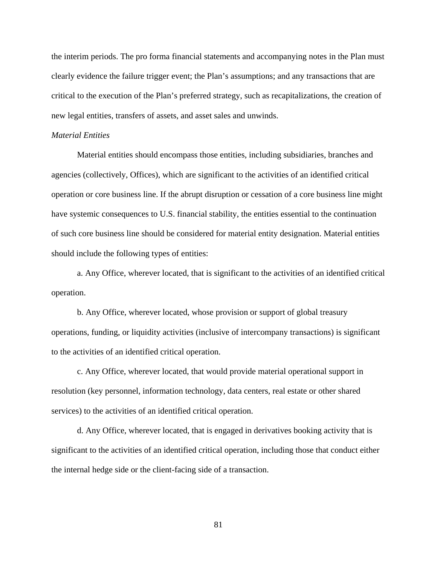the interim periods. The pro forma financial statements and accompanying notes in the Plan must clearly evidence the failure trigger event; the Plan's assumptions; and any transactions that are critical to the execution of the Plan's preferred strategy, such as recapitalizations, the creation of new legal entities, transfers of assets, and asset sales and unwinds.

## *Material Entities*

Material entities should encompass those entities, including subsidiaries, branches and agencies (collectively, Offices), which are significant to the activities of an identified critical operation or core business line. If the abrupt disruption or cessation of a core business line might have systemic consequences to U.S. financial stability, the entities essential to the continuation of such core business line should be considered for material entity designation. Material entities should include the following types of entities:

a. Any Office, wherever located, that is significant to the activities of an identified critical operation.

b. Any Office, wherever located, whose provision or support of global treasury operations, funding, or liquidity activities (inclusive of intercompany transactions) is significant to the activities of an identified critical operation.

c. Any Office, wherever located, that would provide material operational support in resolution (key personnel, information technology, data centers, real estate or other shared services) to the activities of an identified critical operation.

d. Any Office, wherever located, that is engaged in derivatives booking activity that is significant to the activities of an identified critical operation, including those that conduct either the internal hedge side or the client-facing side of a transaction.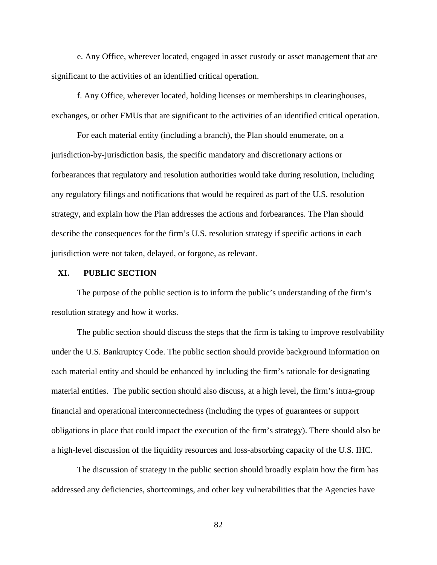e. Any Office, wherever located, engaged in asset custody or asset management that are significant to the activities of an identified critical operation.

f. Any Office, wherever located, holding licenses or memberships in clearinghouses, exchanges, or other FMUs that are significant to the activities of an identified critical operation.

For each material entity (including a branch), the Plan should enumerate, on a jurisdiction-by-jurisdiction basis, the specific mandatory and discretionary actions or forbearances that regulatory and resolution authorities would take during resolution, including any regulatory filings and notifications that would be required as part of the U.S. resolution strategy, and explain how the Plan addresses the actions and forbearances. The Plan should describe the consequences for the firm's U.S. resolution strategy if specific actions in each jurisdiction were not taken, delayed, or forgone, as relevant.

## **XI. PUBLIC SECTION**

The purpose of the public section is to inform the public's understanding of the firm's resolution strategy and how it works.

The public section should discuss the steps that the firm is taking to improve resolvability under the U.S. Bankruptcy Code. The public section should provide background information on each material entity and should be enhanced by including the firm's rationale for designating material entities. The public section should also discuss, at a high level, the firm's intra-group financial and operational interconnectedness (including the types of guarantees or support obligations in place that could impact the execution of the firm's strategy). There should also be a high-level discussion of the liquidity resources and loss-absorbing capacity of the U.S. IHC.

The discussion of strategy in the public section should broadly explain how the firm has addressed any deficiencies, shortcomings, and other key vulnerabilities that the Agencies have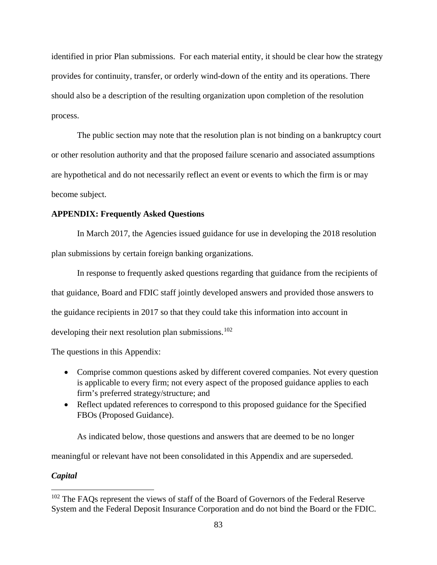identified in prior Plan submissions. For each material entity, it should be clear how the strategy provides for continuity, transfer, or orderly wind-down of the entity and its operations. There should also be a description of the resulting organization upon completion of the resolution process.

The public section may note that the resolution plan is not binding on a bankruptcy court or other resolution authority and that the proposed failure scenario and associated assumptions are hypothetical and do not necessarily reflect an event or events to which the firm is or may become subject.

# **APPENDIX: Frequently Asked Questions**

In March 2017, the Agencies issued guidance for use in developing the 2018 resolution plan submissions by certain foreign banking organizations.

In response to frequently asked questions regarding that guidance from the recipients of that guidance, Board and FDIC staff jointly developed answers and provided those answers to the guidance recipients in 2017 so that they could take this information into account in developing their next resolution plan submissions.<sup>102</sup>

The questions in this Appendix:

- Comprise common questions asked by different covered companies. Not every question is applicable to every firm; not every aspect of the proposed guidance applies to each firm's preferred strategy/structure; and
- Reflect updated references to correspond to this proposed guidance for the Specified FBOs (Proposed Guidance).

As indicated below, those questions and answers that are deemed to be no longer

meaningful or relevant have not been consolidated in this Appendix and are superseded.

### *Capital*

 $\overline{a}$ 

<sup>&</sup>lt;sup>102</sup> The FAQs represent the views of staff of the Board of Governors of the Federal Reserve System and the Federal Deposit Insurance Corporation and do not bind the Board or the FDIC.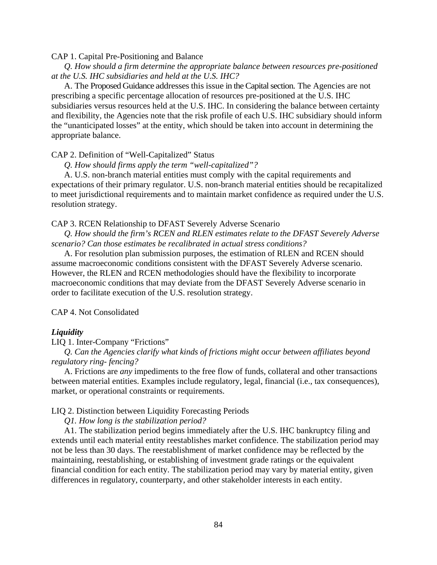### CAP 1. Capital Pre-Positioning and Balance

 *Q. How should a firm determine the appropriate balance between resources pre-positioned at the U.S. IHC subsidiaries and held at the U.S. IHC?* 

A. The Proposed Guidance addresses this issue in the Capital section. The Agencies are not prescribing a specific percentage allocation of resources pre-positioned at the U.S. IHC subsidiaries versus resources held at the U.S. IHC. In considering the balance between certainty and flexibility, the Agencies note that the risk profile of each U.S. IHC subsidiary should inform the "unanticipated losses" at the entity, which should be taken into account in determining the appropriate balance.

## CAP 2. Definition of "Well-Capitalized" Status

*Q. How should firms apply the term "well-capitalized"?*

 A. U.S. non-branch material entities must comply with the capital requirements and expectations of their primary regulator. U.S. non-branch material entities should be recapitalized to meet jurisdictional requirements and to maintain market confidence as required under the U.S. resolution strategy.

## CAP 3. RCEN Relationship to DFAST Severely Adverse Scenario

 *Q. How should the firm's RCEN and RLEN estimates relate to the DFAST Severely Adverse scenario? Can those estimates be recalibrated in actual stress conditions?* 

 A. For resolution plan submission purposes, the estimation of RLEN and RCEN should assume macroeconomic conditions consistent with the DFAST Severely Adverse scenario. However, the RLEN and RCEN methodologies should have the flexibility to incorporate macroeconomic conditions that may deviate from the DFAST Severely Adverse scenario in order to facilitate execution of the U.S. resolution strategy.

CAP 4. Not Consolidated

#### *Liquidity*

#### LIQ 1. Inter-Company "Frictions"

 *Q. Can the Agencies clarify what kinds of frictions might occur between affiliates beyond regulatory ring- fencing?* 

A. Frictions are *any* impediments to the free flow of funds, collateral and other transactions between material entities. Examples include regulatory, legal, financial (i.e., tax consequences), market, or operational constraints or requirements.

#### LIQ 2. Distinction between Liquidity Forecasting Periods

*Q1. How long is the stabilization period?*

 A1. The stabilization period begins immediately after the U.S. IHC bankruptcy filing and extends until each material entity reestablishes market confidence. The stabilization period may not be less than 30 days. The reestablishment of market confidence may be reflected by the maintaining, reestablishing, or establishing of investment grade ratings or the equivalent financial condition for each entity. The stabilization period may vary by material entity, given differences in regulatory, counterparty, and other stakeholder interests in each entity.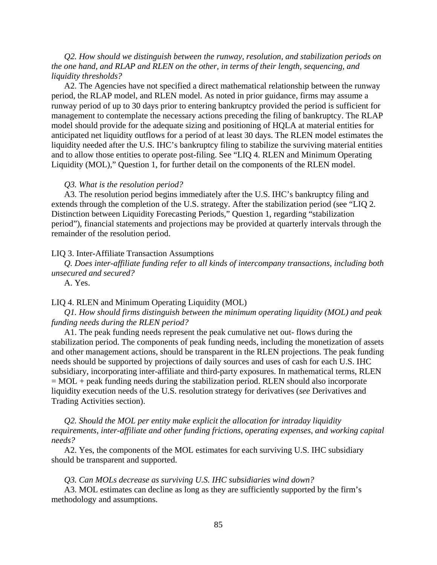*Q2. How should we distinguish between the runway, resolution, and stabilization periods on the one hand, and RLAP and RLEN on the other, in terms of their length, sequencing, and liquidity thresholds?*

A2. The Agencies have not specified a direct mathematical relationship between the runway period, the RLAP model, and RLEN model. As noted in prior guidance, firms may assume a runway period of up to 30 days prior to entering bankruptcy provided the period is sufficient for management to contemplate the necessary actions preceding the filing of bankruptcy. The RLAP model should provide for the adequate sizing and positioning of HQLA at material entities for anticipated net liquidity outflows for a period of at least 30 days. The RLEN model estimates the liquidity needed after the U.S. IHC's bankruptcy filing to stabilize the surviving material entities and to allow those entities to operate post-filing. See "LIQ 4. RLEN and Minimum Operating Liquidity (MOL)," Question 1, for further detail on the components of the RLEN model.

#### *Q3. What is the resolution period?*

 A3. The resolution period begins immediately after the U.S. IHC's bankruptcy filing and extends through the completion of the U.S. strategy. After the stabilization period (see "LIQ 2. Distinction between Liquidity Forecasting Periods," Question 1, regarding "stabilization period"), financial statements and projections may be provided at quarterly intervals through the remainder of the resolution period.

#### LIQ 3. Inter-Affiliate Transaction Assumptions

 *Q. Does inter-affiliate funding refer to all kinds of intercompany transactions, including both unsecured and secured?*

A. Yes.

# LIQ 4. RLEN and Minimum Operating Liquidity (MOL)

 *Q1. How should firms distinguish between the minimum operating liquidity (MOL) and peak funding needs during the RLEN period?* 

 A1. The peak funding needs represent the peak cumulative net out- flows during the stabilization period. The components of peak funding needs, including the monetization of assets and other management actions, should be transparent in the RLEN projections. The peak funding needs should be supported by projections of daily sources and uses of cash for each U.S. IHC subsidiary, incorporating inter-affiliate and third-party exposures. In mathematical terms, RLEN  $= MOL + peak$  funding needs during the stabilization period. RLEN should also incorporate liquidity execution needs of the U.S. resolution strategy for derivatives (*see* Derivatives and Trading Activities section).

 *Q2. Should the MOL per entity make explicit the allocation for intraday liquidity requirements, inter-affiliate and other funding frictions, operating expenses, and working capital needs?*

 A2. Yes, the components of the MOL estimates for each surviving U.S. IHC subsidiary should be transparent and supported.

#### *Q3. Can MOLs decrease as surviving U.S. IHC subsidiaries wind down?*

A3. MOL estimates can decline as long as they are sufficiently supported by the firm's methodology and assumptions.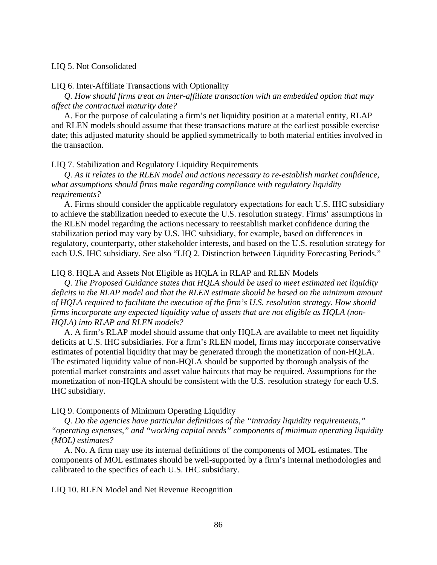## LIQ 5. Not Consolidated

### LIQ 6. Inter-Affiliate Transactions with Optionality

 *Q. How should firms treat an inter-affiliate transaction with an embedded option that may affect the contractual maturity date?*

 A. For the purpose of calculating a firm's net liquidity position at a material entity, RLAP and RLEN models should assume that these transactions mature at the earliest possible exercise date; this adjusted maturity should be applied symmetrically to both material entities involved in the transaction.

# LIQ 7. Stabilization and Regulatory Liquidity Requirements

*Q. As it relates to the RLEN model and actions necessary to re-establish market confidence, what assumptions should firms make regarding compliance with regulatory liquidity requirements?*

 A. Firms should consider the applicable regulatory expectations for each U.S. IHC subsidiary to achieve the stabilization needed to execute the U.S. resolution strategy. Firms' assumptions in the RLEN model regarding the actions necessary to reestablish market confidence during the stabilization period may vary by U.S. IHC subsidiary, for example, based on differences in regulatory, counterparty, other stakeholder interests, and based on the U.S. resolution strategy for each U.S. IHC subsidiary. See also "LIQ 2. Distinction between Liquidity Forecasting Periods."

# LIQ 8. HQLA and Assets Not Eligible as HQLA in RLAP and RLEN Models

 *Q. The Proposed Guidance states that HQLA should be used to meet estimated net liquidity deficits in the RLAP model and that the RLEN estimate should be based on the minimum amount of HQLA required to facilitate the execution of the firm's U.S. resolution strategy. How should firms incorporate any expected liquidity value of assets that are not eligible as HQLA (non-HQLA) into RLAP and RLEN models?*

 A. A firm's RLAP model should assume that only HQLA are available to meet net liquidity deficits at U.S. IHC subsidiaries. For a firm's RLEN model, firms may incorporate conservative estimates of potential liquidity that may be generated through the monetization of non-HQLA. The estimated liquidity value of non-HQLA should be supported by thorough analysis of the potential market constraints and asset value haircuts that may be required. Assumptions for the monetization of non-HQLA should be consistent with the U.S. resolution strategy for each U.S. IHC subsidiary.

LIQ 9. Components of Minimum Operating Liquidity

 *Q. Do the agencies have particular definitions of the "intraday liquidity requirements," "operating expenses," and "working capital needs" components of minimum operating liquidity (MOL) estimates?*

 A. No. A firm may use its internal definitions of the components of MOL estimates. The components of MOL estimates should be well-supported by a firm's internal methodologies and calibrated to the specifics of each U.S. IHC subsidiary.

LIQ 10. RLEN Model and Net Revenue Recognition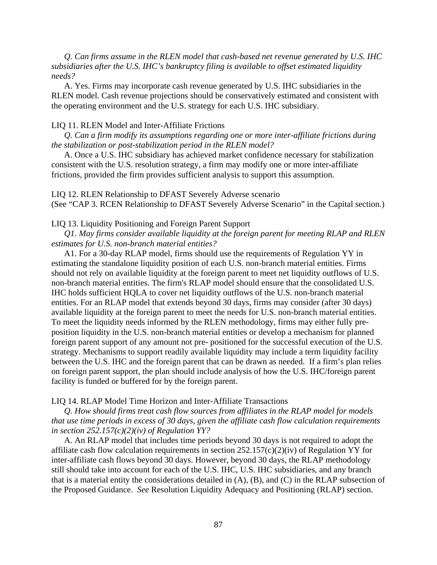*Q. Can firms assume in the RLEN model that cash-based net revenue generated by U.S. IHC subsidiaries after the U.S. IHC's bankruptcy filing is available to offset estimated liquidity needs?*

A. Yes. Firms may incorporate cash revenue generated by U.S. IHC subsidiaries in the RLEN model. Cash revenue projections should be conservatively estimated and consistent with the operating environment and the U.S. strategy for each U.S. IHC subsidiary.

# LIQ 11. RLEN Model and Inter-Affiliate Frictions

 *Q. Can a firm modify its assumptions regarding one or more inter-affiliate frictions during the stabilization or post-stabilization period in the RLEN model?*

 A. Once a U.S. IHC subsidiary has achieved market confidence necessary for stabilization consistent with the U.S. resolution strategy, a firm may modify one or more inter-affiliate frictions, provided the firm provides sufficient analysis to support this assumption.

LIQ 12. RLEN Relationship to DFAST Severely Adverse scenario (See "CAP 3. RCEN Relationship to DFAST Severely Adverse Scenario" in the Capital section.)

LIQ 13. Liquidity Positioning and Foreign Parent Support

 *Q1. May firms consider available liquidity at the foreign parent for meeting RLAP and RLEN estimates for U.S. non-branch material entities?* 

 A1. For a 30-day RLAP model, firms should use the requirements of Regulation YY in estimating the standalone liquidity position of each U.S. non-branch material entities. Firms should not rely on available liquidity at the foreign parent to meet net liquidity outflows of U.S. non-branch material entities. The firm's RLAP model should ensure that the consolidated U.S. IHC holds sufficient HQLA to cover net liquidity outflows of the U.S. non-branch material entities. For an RLAP model that extends beyond 30 days, firms may consider (after 30 days) available liquidity at the foreign parent to meet the needs for U.S. non-branch material entities. To meet the liquidity needs informed by the RLEN methodology, firms may either fully preposition liquidity in the U.S. non-branch material entities or develop a mechanism for planned foreign parent support of any amount not pre- positioned for the successful execution of the U.S. strategy. Mechanisms to support readily available liquidity may include a term liquidity facility between the U.S. IHC and the foreign parent that can be drawn as needed. If a firm's plan relies on foreign parent support, the plan should include analysis of how the U.S. IHC/foreign parent facility is funded or buffered for by the foreign parent.

## LIQ 14. RLAP Model Time Horizon and Inter-Affiliate Transactions

*Q. How should firms treat cash flow sources from affiliates in the RLAP model for models that use time periods in excess of 30 days, given the affiliate cash flow calculation requirements in section 252.157(c)(2)(iv) of Regulation YY?* 

 A. An RLAP model that includes time periods beyond 30 days is not required to adopt the affiliate cash flow calculation requirements in section 252.157(c)(2)(iv) of Regulation YY for inter-affiliate cash flows beyond 30 days. However, beyond 30 days, the RLAP methodology still should take into account for each of the U.S. IHC, U.S. IHC subsidiaries, and any branch that is a material entity the considerations detailed in (A), (B), and (C) in the RLAP subsection of the Proposed Guidance. *See* Resolution Liquidity Adequacy and Positioning (RLAP) section.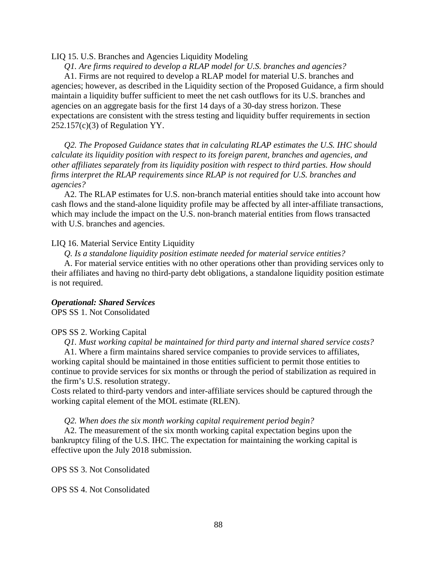## LIQ 15. U.S. Branches and Agencies Liquidity Modeling

 *Q1. Are firms required to develop a RLAP model for U.S. branches and agencies?* 

 A1. Firms are not required to develop a RLAP model for material U.S. branches and agencies; however, as described in the Liquidity section of the Proposed Guidance, a firm should maintain a liquidity buffer sufficient to meet the net cash outflows for its U.S. branches and agencies on an aggregate basis for the first 14 days of a 30-day stress horizon. These expectations are consistent with the stress testing and liquidity buffer requirements in section 252.157(c)(3) of Regulation YY.

 *Q2. The Proposed Guidance states that in calculating RLAP estimates the U.S. IHC should calculate its liquidity position with respect to its foreign parent, branches and agencies, and other affiliates separately from its liquidity position with respect to third parties. How should firms interpret the RLAP requirements since RLAP is not required for U.S. branches and agencies?*

 A2. The RLAP estimates for U.S. non-branch material entities should take into account how cash flows and the stand-alone liquidity profile may be affected by all inter-affiliate transactions, which may include the impact on the U.S. non-branch material entities from flows transacted with U.S. branches and agencies.

# LIQ 16. Material Service Entity Liquidity

*Q. Is a standalone liquidity position estimate needed for material service entities?* 

 A. For material service entities with no other operations other than providing services only to their affiliates and having no third-party debt obligations, a standalone liquidity position estimate is not required.

# *Operational: Shared Services*

OPS SS 1. Not Consolidated

## OPS SS 2. Working Capital

*Q1. Must working capital be maintained for third party and internal shared service costs?*

A1. Where a firm maintains shared service companies to provide services to affiliates, working capital should be maintained in those entities sufficient to permit those entities to continue to provide services for six months or through the period of stabilization as required in the firm's U.S. resolution strategy.

Costs related to third-party vendors and inter-affiliate services should be captured through the working capital element of the MOL estimate (RLEN).

*Q2. When does the six month working capital requirement period begin?* 

 A2. The measurement of the six month working capital expectation begins upon the bankruptcy filing of the U.S. IHC. The expectation for maintaining the working capital is effective upon the July 2018 submission.

OPS SS 3. Not Consolidated

OPS SS 4. Not Consolidated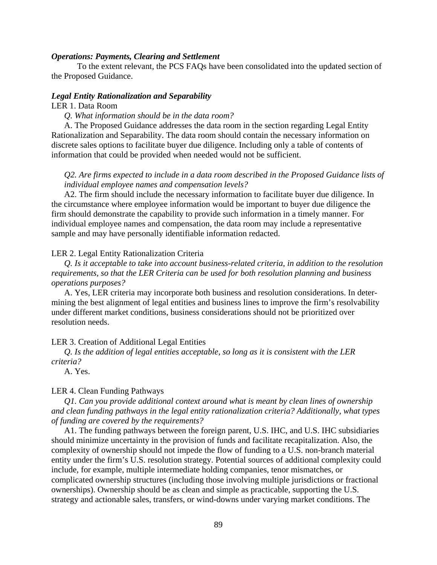## *Operations: Payments, Clearing and Settlement*

To the extent relevant, the PCS FAQs have been consolidated into the updated section of the Proposed Guidance.

#### *Legal Entity Rationalization and Separability*

### LER 1. Data Room

*Q. What information should be in the data room?* 

 A. The Proposed Guidance addresses the data room in the section regarding Legal Entity Rationalization and Separability. The data room should contain the necessary information on discrete sales options to facilitate buyer due diligence. Including only a table of contents of information that could be provided when needed would not be sufficient.

# *Q2. Are firms expected to include in a data room described in the Proposed Guidance lists of individual employee names and compensation levels?*

 A2. The firm should include the necessary information to facilitate buyer due diligence. In the circumstance where employee information would be important to buyer due diligence the firm should demonstrate the capability to provide such information in a timely manner. For individual employee names and compensation, the data room may include a representative sample and may have personally identifiable information redacted.

#### LER 2. Legal Entity Rationalization Criteria

 *Q. Is it acceptable to take into account business-related criteria, in addition to the resolution requirements, so that the LER Criteria can be used for both resolution planning and business operations purposes?* 

A. Yes, LER criteria may incorporate both business and resolution considerations. In determining the best alignment of legal entities and business lines to improve the firm's resolvability under different market conditions, business considerations should not be prioritized over resolution needs.

LER 3. Creation of Additional Legal Entities

 *Q. Is the addition of legal entities acceptable, so long as it is consistent with the LER criteria?*

A. Yes.

# LER 4. Clean Funding Pathways

 *Q1. Can you provide additional context around what is meant by clean lines of ownership and clean funding pathways in the legal entity rationalization criteria? Additionally, what types of funding are covered by the requirements?*

 A1. The funding pathways between the foreign parent, U.S. IHC, and U.S. IHC subsidiaries should minimize uncertainty in the provision of funds and facilitate recapitalization. Also, the complexity of ownership should not impede the flow of funding to a U.S. non-branch material entity under the firm's U.S. resolution strategy. Potential sources of additional complexity could include, for example, multiple intermediate holding companies, tenor mismatches, or complicated ownership structures (including those involving multiple jurisdictions or fractional ownerships). Ownership should be as clean and simple as practicable, supporting the U.S. strategy and actionable sales, transfers, or wind-downs under varying market conditions. The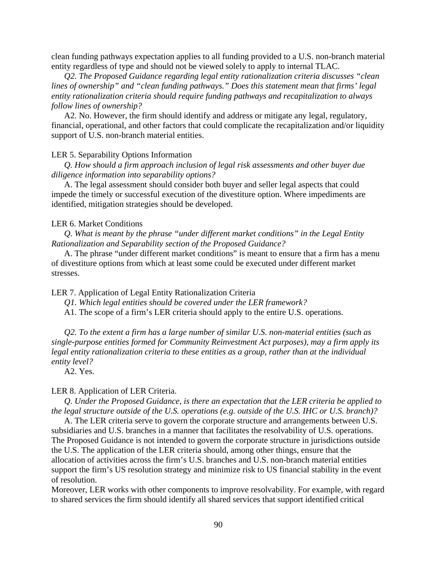clean funding pathways expectation applies to all funding provided to a U.S. non-branch material entity regardless of type and should not be viewed solely to apply to internal TLAC.

 *Q2. The Proposed Guidance regarding legal entity rationalization criteria discusses "clean lines of ownership" and "clean funding pathways." Does this statement mean that firms' legal entity rationalization criteria should require funding pathways and recapitalization to always follow lines of ownership?* 

 A2. No. However, the firm should identify and address or mitigate any legal, regulatory, financial, operational, and other factors that could complicate the recapitalization and/or liquidity support of U.S. non-branch material entities.

#### LER 5. Separability Options Information

 *Q. How should a firm approach inclusion of legal risk assessments and other buyer due diligence information into separability options?* 

A. The legal assessment should consider both buyer and seller legal aspects that could impede the timely or successful execution of the divestiture option. Where impediments are identified, mitigation strategies should be developed.

# LER 6. Market Conditions

 *Q. What is meant by the phrase "under different market conditions" in the Legal Entity Rationalization and Separability section of the Proposed Guidance?* 

A. The phrase "under different market conditions" is meant to ensure that a firm has a menu of divestiture options from which at least some could be executed under different market stresses.

LER 7. Application of Legal Entity Rationalization Criteria

 *Q1. Which legal entities should be covered under the LER framework?*

A1. The scope of a firm's LER criteria should apply to the entire U.S. operations.

 *Q2. To the extent a firm has a large number of similar U.S. non-material entities (such as single-purpose entities formed for Community Reinvestment Act purposes), may a firm apply its legal entity rationalization criteria to these entities as a group, rather than at the individual entity level?*

A2. Yes.

#### LER 8. Application of LER Criteria.

 *Q. Under the Proposed Guidance, is there an expectation that the LER criteria be applied to the legal structure outside of the U.S. operations (e.g. outside of the U.S. IHC or U.S. branch)?* 

 A. The LER criteria serve to govern the corporate structure and arrangements between U.S. subsidiaries and U.S. branches in a manner that facilitates the resolvability of U.S. operations. The Proposed Guidance is not intended to govern the corporate structure in jurisdictions outside the U.S. The application of the LER criteria should, among other things, ensure that the allocation of activities across the firm's U.S. branches and U.S. non-branch material entities support the firm's US resolution strategy and minimize risk to US financial stability in the event of resolution.

Moreover, LER works with other components to improve resolvability. For example, with regard to shared services the firm should identify all shared services that support identified critical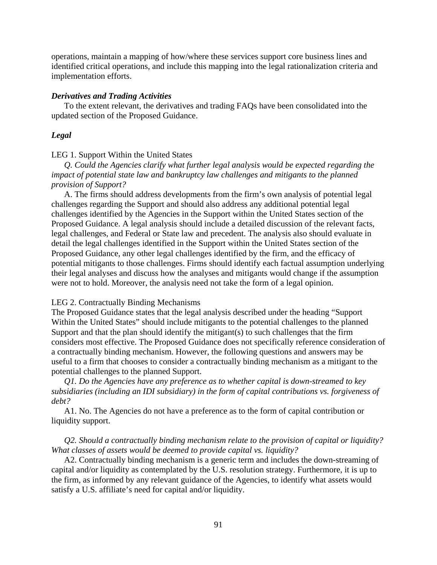operations, maintain a mapping of how/where these services support core business lines and identified critical operations, and include this mapping into the legal rationalization criteria and implementation efforts.

### *Derivatives and Trading Activities*

 To the extent relevant, the derivatives and trading FAQs have been consolidated into the updated section of the Proposed Guidance.

#### *Legal*

# LEG 1. Support Within the United States

 *Q. Could the Agencies clarify what further legal analysis would be expected regarding the impact of potential state law and bankruptcy law challenges and mitigants to the planned provision of Support?*

A. The firms should address developments from the firm's own analysis of potential legal challenges regarding the Support and should also address any additional potential legal challenges identified by the Agencies in the Support within the United States section of the Proposed Guidance. A legal analysis should include a detailed discussion of the relevant facts, legal challenges, and Federal or State law and precedent. The analysis also should evaluate in detail the legal challenges identified in the Support within the United States section of the Proposed Guidance, any other legal challenges identified by the firm, and the efficacy of potential mitigants to those challenges. Firms should identify each factual assumption underlying their legal analyses and discuss how the analyses and mitigants would change if the assumption were not to hold. Moreover, the analysis need not take the form of a legal opinion.

## LEG 2. Contractually Binding Mechanisms

The Proposed Guidance states that the legal analysis described under the heading "Support Within the United States" should include mitigants to the potential challenges to the planned Support and that the plan should identify the mitigant(s) to such challenges that the firm considers most effective. The Proposed Guidance does not specifically reference consideration of a contractually binding mechanism. However, the following questions and answers may be useful to a firm that chooses to consider a contractually binding mechanism as a mitigant to the potential challenges to the planned Support.

 *Q1. Do the Agencies have any preference as to whether capital is down-streamed to key subsidiaries (including an IDI subsidiary) in the form of capital contributions vs. forgiveness of debt?* 

 A1. No. The Agencies do not have a preference as to the form of capital contribution or liquidity support.

# *Q2. Should a contractually binding mechanism relate to the provision of capital or liquidity? What classes of assets would be deemed to provide capital vs. liquidity?*

 A2. Contractually binding mechanism is a generic term and includes the down-streaming of capital and/or liquidity as contemplated by the U.S. resolution strategy. Furthermore, it is up to the firm, as informed by any relevant guidance of the Agencies, to identify what assets would satisfy a U.S. affiliate's need for capital and/or liquidity.